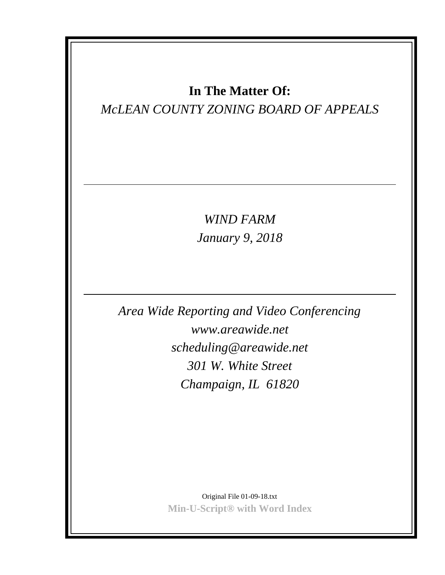# **In The Matter Of:**

# *McLEAN COUNTY ZONING BOARD OF APPEALS*

*WIND FARM January 9, 2018*

*Area Wide Reporting and Video Conferencing www.areawide.net scheduling@areawide.net 301 W. White Street Champaign, IL 61820*

> Original File 01-09-18.txt **Min-U-Script® with Word Index**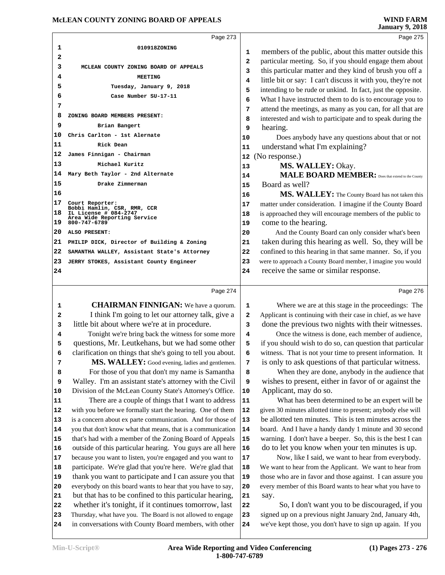### **MCLEAN COUNTY ZONING BOARD OF APPEALS WIND FARM**<br>19 January 9, 2018

|                        | <b>WIND FARM</b> |
|------------------------|------------------|
| <b>January 9, 2018</b> |                  |

|                       |                                                                                                                        | Page 273 |                              | Page 275                                                                                                                                                                                                                                                                                                       |
|-----------------------|------------------------------------------------------------------------------------------------------------------------|----------|------------------------------|----------------------------------------------------------------------------------------------------------------------------------------------------------------------------------------------------------------------------------------------------------------------------------------------------------------|
| 1<br>2                | 010918ZONING                                                                                                           |          | 1<br>$\overline{\mathbf{2}}$ | members of the public, about this matter outside this<br>particular meeting. So, if you should engage them about                                                                                                                                                                                               |
| 3<br>4<br>5<br>6<br>7 | MCLEAN COUNTY ZONING BOARD OF APPEALS<br><b>MEETING</b><br>Tuesday, January 9, 2018<br>Case Number SU-17-11            |          | 3<br>4<br>5<br>6<br>7        | this particular matter and they kind of brush you off a<br>little bit or say: I can't discuss it with you, they're not<br>intending to be rude or unkind. In fact, just the opposite.<br>What I have instructed them to do is to encourage you to<br>attend the meetings, as many as you can, for all that are |
| 8<br>9                | ZONING BOARD MEMBERS PRESENT:<br>Brian Bangert                                                                         |          | 8<br>9                       | interested and wish to participate and to speak during the<br>hearing.                                                                                                                                                                                                                                         |
| 10<br>11<br>12        | Chris Carlton - 1st Alernate<br>Rick Dean<br>James Finnigan - Chairman                                                 |          | 10<br>11<br>12               | Does anybody have any questions about that or not<br>understand what I'm explaining?<br>(No response.)                                                                                                                                                                                                         |
| $ 13\rangle$<br>14    | Michael Kuritz<br>Mary Beth Taylor - 2nd Alternate                                                                     |          | 13<br>14                     | MS. WALLEY: Okay.<br><b>MALE BOARD MEMBER:</b> Does that extend to the County                                                                                                                                                                                                                                  |
| 15<br>16              | Drake Zimmerman                                                                                                        |          | 15<br>16                     | Board as well?<br>MS. WALLEY: The County Board has not taken this                                                                                                                                                                                                                                              |
| 17<br>18<br>19        | Court Reporter:<br>Bobbi Hamlin, CSR, RMR, CCR<br>IL License # 084-2747<br>Area Wide Reporting Service<br>800-747-6789 |          | 17<br>18<br>19               | matter under consideration. I imagine if the County Board<br>is approached they will encourage members of the public to<br>come to the hearing.                                                                                                                                                                |
| 20                    | ALSO PRESENT:                                                                                                          |          | 20                           | And the County Board can only consider what's been                                                                                                                                                                                                                                                             |
| 21                    | PHILIP DICK, Director of Building & Zoning                                                                             |          | 21                           | taken during this hearing as well. So, they will be                                                                                                                                                                                                                                                            |
| 22                    | SAMANTHA WALLEY, Assistant State's Attorney                                                                            |          | 22                           | confined to this hearing in that same manner. So, if you                                                                                                                                                                                                                                                       |
| 23<br>24              | JERRY STOKES, Assistant County Engineer                                                                                |          | 23<br>24                     | were to approach a County Board member, I imagine you would<br>receive the same or similar response.                                                                                                                                                                                                           |

#### Page 274

 **CHAIRMAN FINNIGAN:** We have a quorum. 1 I think I'm going to let our attorney talk, give a 2 little bit about where we're at in procedure. Tonight we're bring back the witness for some more 4 questions, Mr. Leutkehans, but we had some other  $\vert$  **5**  clarification on things that she's going to tell you about. **MS. WALLEY:** Good evening, ladies and gentlemen. 7 For those of you that don't my name is Samantha **8**  Walley. I'm an assistant state's attorney with the Civil | **9** 10 Division of the McLean County State's Attorney's Office. 10 There are a couple of things that I want to address | **11**  with you before we formally start the hearing. One of them | **12**  is a concern about ex parte communication. And for those of 13 you that don't know what that means, that is a communication | **14**  that's had with a member of the Zoning Board of Appeals 15 outside of this particular hearing. You guys are all here | **16**  because you want to listen, you're engaged and you want to 17 participate. We're glad that you're here. We're glad that 18 thank you want to participate and I can assure you that 19 everybody on this board wants to hear that you have to say, 20 but that has to be confined to this particular hearing, 21 whether it's tonight, if it continues tomorrow, last 22 Thursday, what have you. The Board is not allowed to engage 23 in conversations with County Board members, with other 24

 Where we are at this stage in the proceedings: The Applicant is continuing with their case in chief, as we have done the previous two nights with their witnesses.

Once the witness is done, each member of audience, if you should wish to do so, can question that particular witness. That is not your time to present information. It is only to ask questions of that particular witness.

When they are done, anybody in the audience that wishes to present, either in favor of or against the Applicant, may do so.

 What has been determined to be an expert will be given 30 minutes allotted time to present; anybody else will be allotted ten minutes. This is ten minutes across the board. And I have a handy dandy 1 minute and 30 second warning. I don't have a beeper. So, this is the best I can do to let you know when your ten minutes is up.

Now, like I said, we want to hear from everybody. We want to hear from the Applicant. We want to hear from those who are in favor and those against. I can assure you every member of this Board wants to hear what you have to say.

 So, I don't want you to be discouraged, if you signed up on a previous night January 2nd, January 4th, we've kept those, you don't have to sign up again. If you

Page 276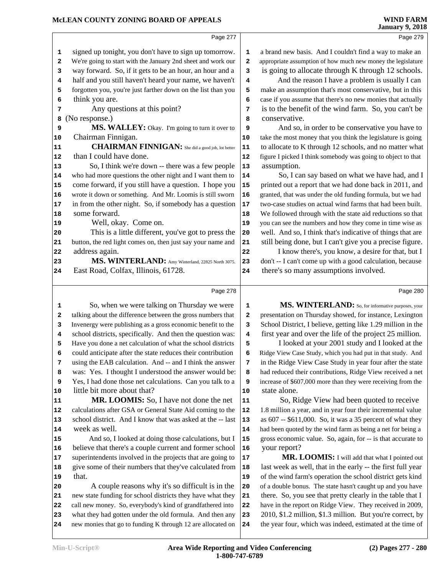Page 279

|    | Page 277                                                     |    |               |
|----|--------------------------------------------------------------|----|---------------|
| 1  | signed up tonight, you don't have to sign up tomorrow.       | 1  | a brand nev   |
| 2  | We're going to start with the January 2nd sheet and work our | 2  | appropriate a |
| 3  | way forward. So, if it gets to be an hour, an hour and a     | 3  | is going t    |
| 4  | half and you still haven't heard your name, we haven't       | 4  | And           |
| 5  | forgotten you, you're just farther down on the list than you | 5  | make an as    |
| 6  | think you are.                                               | 6  | case if you   |
| 7  | Any questions at this point?                                 | 7  | is to the b   |
| 8  | (No response.)                                               | 8  | conserva      |
| 9  | MS. WALLEY: Okay. I'm going to turn it over to               | 9  | And           |
| 10 | Chairman Finnigan.                                           | 10 | take the mo   |
| 11 | <b>CHAIRMAN FINNIGAN:</b> She did a good job, lot better     | 11 | to allocate   |
| 12 | than I could have done.                                      | 12 | figure I picl |
| 13 | So, I think we're down -- there was a few people             | 13 | assumption    |
| 14 | who had more questions the other night and I want them to    | 14 | So,           |
| 15 | come forward, if you still have a question. I hope you       | 15 | printed ou    |
| 16 | wrote it down or something. And Mr. Loomis is still sworn    | 16 | granted, tha  |
| 17 | in from the other night. So, if somebody has a question      | 17 | two-case st   |
| 18 | some forward.                                                | 18 | We follow     |
| 19 | Well, okay. Come on.                                         | 19 | you can see   |
| 20 | This is a little different, you've got to press the          | 20 | well. And     |
| 21 | button, the red light comes on, then just say your name and  | 21 | still being   |
| 22 | address again.                                               | 22 | I kno         |
| 23 | MS. WINTERLAND: Amy Winterland, 22825 North 3075.            | 23 | don't -- I ca |
| 24 | East Road, Colfax, Illinois, 61728.                          | 24 | there's so    |
|    | Page 278                                                     |    |               |
| 1  | So, when we were talking on Thursday we were                 | 1  | <b>MS</b>     |
| 2  | talking about the difference between the gross numbers that  | 2  | presentatio   |
| 3  | Invenergy were publishing as a gross economic benefit to the | 3  | School Dis    |
| 4  | school districts, specifically. And then the question was:   | 4  | first year    |
| 5  | Have you done a net calculation of what the school districts | 5  | I loc         |
| 6  | could anticipate after the state reduces their contribution  | 6  | Ridge View    |
| 7  | using the EAB calculation. And -- and I think the answer     | 7  | in the Ridg   |
| 8  | was: Yes. I thought I understood the answer would be:        | 8  | had reduce    |
| 9  | Yes, I had done those net calculations. Can you talk to a    | 9  | increase of   |
| 10 | little bit more about that?                                  | 10 | state alor    |
| 11 | <b>MR. LOOMIS:</b> So, I have not done the net               | 11 | So,           |
| 12 | calculations after GSA or General State Aid coming to the    | 12 | 1.8 million   |
| 13 | school district. And I know that was asked at the -- last    | 13 | as 607 -- \$  |
| 14 | week as well.                                                | 14 | had been qu   |
| 15 | And so, I looked at doing those calculations, but I          | 15 | gross econ    |
| 16 | believe that there's a couple current and former school      | 16 | your repo     |
| 17 | superintendents involved in the projects that are going to   | 17 | M             |
| 18 | give some of their numbers that they've calculated from      | 18 | last week     |
| 19 | that.                                                        | 19 | of the wind   |
| 20 | A couple reasons why it's so difficult is in the             | 20 | of a double   |
| 21 | new state funding for school districts they have what they   | 21 | there. So,    |
| 22 | call new money. So, everybody's kind of grandfathered into   | 22 | have in the   |
| 23 | what they had gotten under the old formula. And then any     | 23 | 2010, \$1.2   |

**24** new monies that go to funding K through 12 are allocated on 24

w basis. And I couldn't find a way to make an assumption of how much new money the legislature to allocate through K through 12 schools.

the reason I have a problem is usually I can **S** sumption that's most conservative, but in this assume that there's no new monies that actually **benefit of the wind farm. So, you can't be** *tive.* 

so, in order to be conservative you have to **10** host money that you think the legislature is going to K through 12 schools, and no matter what ked I think somebody was going to object to that **13** assumption.

I can say based on what we have had, and I It a report that we had done back in 2011, and at was under the old funding formula, but we had tudies on actual wind farms that had been built. ed through with the state aid reductions so that the numbers and how they come in time wise as so, I think that's indicative of things that are done, but I can't give you a precise figure.

ow there's, you know, a desire for that, but I an't come up with a good calculation, because many assumptions involved.

Page 280

**1. WINTERLAND:** So, for informative purposes, your *n* on Thursday showed, for instance, Lexington strict, I believe, getting like 1.29 million in the and over the life of the project 25 million.

 **5** I looked at your 2001 study and I looked at the Case Study, which you had put in that study. And ge View Case Study in year four after the state d their contributions, Ridge View received a net \$607,000 more than they were receiving from the **10** state alone.

**111** Ridge View had been quoted to receive a year, and in year four their incremental value 13611,000. So, it was a 35 percent of what they 14444444446 had been quoted by the wind farm as being a net for being a omic value. So, again, for -- is that accurate to **16** yrt?

**R. LOOMIS:** I will add that what I pointed out as well, that in the early -- the first full year d farm's operation the school district gets kind bonus. The state hasn't caught up and you have you see that pretty clearly in the table that I report on Ridge View. They received in 2009, **23** 2010, \$1.2 million, \$1.3 million. But you're correct, by **24** the year four, which was indeed, estimated at the time of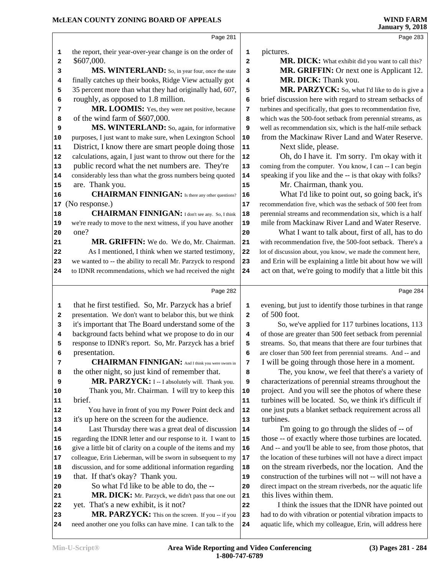|    |                                                              |            | <b>January 9, 2018</b>                                       |
|----|--------------------------------------------------------------|------------|--------------------------------------------------------------|
|    | Page 281                                                     |            | Page 283                                                     |
| 1  | the report, their year-over-year change is on the order of   | 1          | pictures.                                                    |
| 2  | \$607,000.                                                   | 2          | MR. DICK: What exhibit did you want to call this?            |
| 3  | MS. WINTERLAND: So, in year four, once the state             | 3          | MR. GRIFFIN: Or next one is Applicant 12.                    |
| 4  | finally catches up their books, Ridge View actually got      | 4          | MR. DICK: Thank you.                                         |
| 5  | 35 percent more than what they had originally had, 607,      | 5          | MR. PARZYCK: So, what I'd like to do is give a               |
| 6  | roughly, as opposed to 1.8 million.                          | 6          | brief discussion here with regard to stream setbacks of      |
| 7  | MR. LOOMIS: Yes, they were net positive, because             | 7          | turbines and specifically, that goes to recommendation five, |
| 8  | of the wind farm of \$607,000.                               | 8          | which was the 500-foot setback from perennial streams, as    |
| 9  | MS. WINTERLAND: So, again, for informative                   | 9          | well as recommendation six, which is the half-mile setback   |
| 10 | purposes, I just want to make sure, when Lexington School    | 10         | from the Mackinaw River Land and Water Reserve.              |
| 11 | District, I know there are smart people doing those          | 11         | Next slide, please.                                          |
| 12 | calculations, again, I just want to throw out there for the  | ${\bf 12}$ | Oh, do I have it. I'm sorry. I'm okay with it                |
| 13 | public record what the net numbers are. They're              | 13         | coming from the computer. You know, I can -- I can begin     |
| 14 | considerably less than what the gross numbers being quoted   | 14         | speaking if you like and the -- is that okay with folks?     |
| 15 | are. Thank you.                                              | 15         | Mr. Chairman, thank you.                                     |
| 16 | <b>CHAIRMAN FINNIGAN:</b> Is there any other questions?      | 16         | What I'd like to point out, so going back, it's              |
| 17 | (No response.)                                               | 17         | recommendation five, which was the setback of 500 feet from  |
| 18 | <b>CHAIRMAN FINNIGAN:</b> I don't see any. So, I think       | 18         | perennial streams and recommendation six, which is a half    |
| 19 | we're ready to move to the next witness, if you have another | 19         | mile from Mackinaw River Land and Water Reserve.             |
| 20 | one?                                                         | 20         | What I want to talk about, first of all, has to do           |
| 21 | MR. GRIFFIN: We do. We do, Mr. Chairman.                     | 21         | with recommendation five, the 500-foot setback. There's a    |
| 22 | As I mentioned, I think when we started testimony,           | 22         | lot of discussion about, you know, we made the comment here, |
| 23 | we wanted to -- the ability to recall Mr. Parzyck to respond | 23         | and Erin will be explaining a little bit about how we will   |
| 24 | to IDNR recommendations, which we had received the night     | 24         | act on that, we're going to modify that a little bit this    |
|    | Page 282                                                     |            | Page 284                                                     |
| 1  | that he first testified. So, Mr. Parzyck has a brief         | 1          | evening, but just to identify those turbines in that range   |
| 2  | presentation. We don't want to belabor this, but we think    | 2          | of 500 foot.                                                 |
| 3  | it's important that The Board understand some of the         | 3          | So, we've applied for 117 turbines locations, 113            |
| 4  | background facts behind what we propose to do in our         | 4          | of those are greater than 500 feet setback from perennial    |
| 5  | response to IDNR's report. So, Mr. Parzyck has a brief       | 5          | streams. So, that means that there are four turbines that    |
| 6  | presentation.                                                | 6          | are closer than 500 feet from perennial streams. And -- and  |
| 7  | <b>CHAIRMAN FINNIGAN:</b> And I think you were sworn in      | 7          | I will be going through those here in a moment.              |
| 8  | the other night, so just kind of remember that.              | 8          | The, you know, we feel that there's a variety of             |
| 9  | MR. PARZYCK: I -- I absolutely will. Thank you.              | 9          | characterizations of perennial streams throughout the        |
| 10 | Thank you, Mr. Chairman. I will try to keep this             | 10         | project. And you will see the photos of where these          |
| 11 | brief.                                                       | 11         | turbines will be located. So, we think it's difficult if     |
| 12 | You have in front of you my Power Point deck and             | 12         | one just puts a blanket setback requirement across all       |
| 13 | it's up here on the screen for the audience.                 | 13         | turbines.                                                    |
| 14 | Last Thursday there was a great deal of discussion           | 14         | I'm going to go through the slides of -- of                  |
| 15 | regarding the IDNR letter and our response to it. I want to  | 15         | those -- of exactly where those turbines are located.        |
| 16 | give a little bit of clarity on a couple of the items and my | 16         | And -- and you'll be able to see, from those photos, that    |
| 17 | colleague, Erin Lieberman, will be sworn in subsequent to my | 17         | the location of these turbines will not have a direct impact |
| 18 | discussion, and for some additional information regarding    | 18         | on the stream riverbeds, nor the location. And the           |
| 19 | that. If that's okay? Thank you.                             | 19         | construction of the turbines will not -- will not have a     |
| 20 | So what I'd like to be able to do, the --                    | 20         | direct impact on the stream riverbeds, nor the aquatic life  |
| 21 | MR. DICK: Mr. Parzyck, we didn't pass that one out           | 21         | this lives within them.                                      |
| 22 | yet. That's a new exhibit, is it not?                        | 22         | I think the issues that the IDNR have pointed out            |
| 23 | MR. PARZYCK: This on the screen. If you -- if you            | 23         | had to do with vibration or potential vibration impacts to   |
|    |                                                              |            | aquatic life, which my colleague, Erin, will address here    |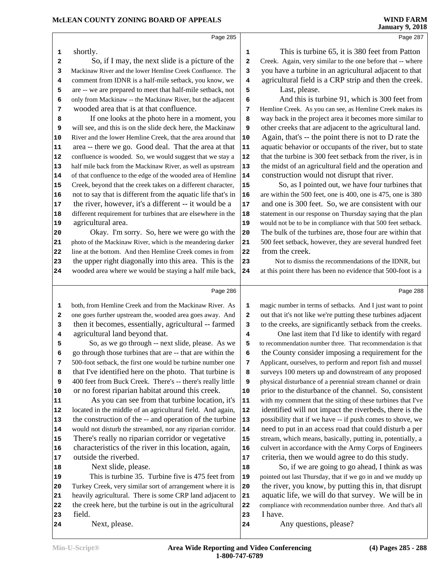Page 287

Page 285 shortly. So, if I may, the next slide is a picture of the 2 Mackinaw River and the lower Hemline Creek Confluence. The comment from IDNR is a half-mile setback, you know, we **4**  are -- we are prepared to meet that half-mile setback, not **5**  only from Mackinaw -- the Mackinaw River, but the adjacent **6**  wooded area that is at that confluence. If one looks at the photo here in a moment, you **8**  will see, and this is on the slide deck here, the Mackinaw River and the lower Hemline Creek, that the area around that 10 area -- there we go. Good deal. That the area at that 11 confluence is wooded. So, we would suggest that we stay a **12**  half mile back from the Mackinaw River, as well as upstream | **13**  of that confluence to the edge of the wooded area of Hemline | **14**  Creek, beyond that the creek takes on a different character, 15 not to say that is different from the aquatic life that's in | **16**  the river, however, it's a different  $-$  it would be a  $|17|$  different requirement for turbines that are elsewhere in the 18 agricultural area. Okay. I'm sorry. So, here we were go with the 20 photo of the Mackinaw River, which is the meandering darker 21 line at the bottom. And then Hemline Creek comes in from 22 the upper right diagonally into this area. This is the wooded area where we would be staying a half mile back, 24 Page 286 both, from Hemline Creek and from the Mackinaw River. As 1 one goes further upstream the, wooded area goes away. And **2**  then it becomes, essentially, agricultural -- farmed 3 agricultural land beyond that. So, as we go through -- next slide, please. As we **5**  go through those turbines that are -- that are within the 500-foot setback, the first one would be turbine number one 7 that I've identified here on the photo. That turbine is  $\parallel$  8 400 feet from Buck Creek. There's -- there's really little or no forest riparian habitat around this creek. As you can see from that turbine location, it's 11 located in the middle of an agricultural field. And again, **12** 13 the construction of the -- and operation of the turbine 13 would not disturb the streambed, nor any riparian corridor. **14**  There's really no riparian corridor or vegetative 15 16 characteristics of the river in this location, again, 16 outside the riverbed. Next slide, please. This is turbine 35. Turbine five is 475 feet from |**19**  Turkey Creek, very similar sort of arrangement where it is 20 heavily agricultural. There is some CRP land adjacent to 21

the creek here, but the turbine is out in the agricultural 22

 This is turbine 65, it is 380 feet from Patton Creek. Again, very similar to the one before that -- where you have a turbine in an agricultural adjacent to that agricultural field is a CRP strip and then the creek. Last, please.

And this is turbine 91, which is 300 feet from Hemline Creek. As you can see, as Hemline Creek makes its way back in the project area it becomes more similar to other creeks that are adjacent to the agricultural land. Again, that's -- the point there is not to D rate the aquatic behavior or occupants of the river, but to state that the turbine is 300 feet setback from the river, is in the midst of an agricultural field and the operation and construction would not disrupt that river.

 So, as I pointed out, we have four turbines that are within the 500 feet, one is 400, one is 475, one is 380 and one is 300 feet. So, we are consistent with our statement in our response on Thursday saying that the plan would not be to be in compliance with that 500 feet setback. The bulk of the turbines are, those four are within that 500 feet setback, however, they are several hundred feet from the creek.

 Not to dismiss the recommendations of the IDNR, but at this point there has been no evidence that 500-foot is a

Page 288

magic number in terms of setbacks. And I just want to point out that it's not like we're putting these turbines adjacent to the creeks, are significantly setback from the creeks.

 One last item that I'd like to identify with regard to recommendation number three. That recommendation is that the County consider imposing a requirement for the Applicant, ourselves, to perform and report fish and mussel surveys 100 meters up and downstream of any proposed physical disturbance of a perennial stream channel or drain prior to the disturbance of the channel. So, consistent with my comment that the siting of these turbines that I've identified will not impact the riverbeds, there is the possibility that if we have -- if push comes to shove, we need to put in an access road that could disturb a per stream, which means, basically, putting in, potentially, a culvert in accordance with the Army Corps of Engineers criteria, then we would agree to do this study.

 So, if we are going to go ahead, I think as was pointed out last Thursday, that if we go in and we muddy up the river, you know, by putting this in, that disrupt aquatic life, we will do that survey. We will be in compliance with recommendation number three. And that's all I have.

Any questions, please?

Next, please.

field.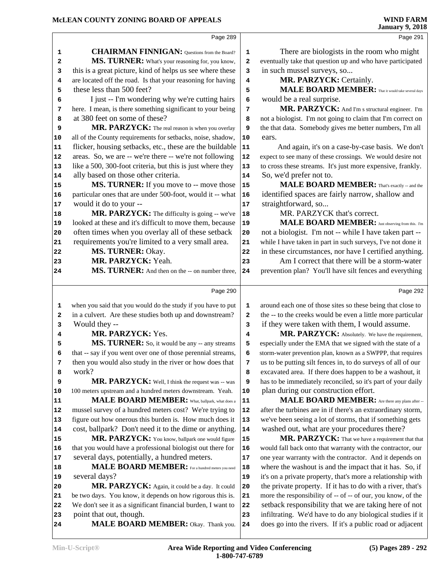Page 289 **CHAIRMAN FINNIGAN:** Questions from the Board? 1 **MS. TURNER:** What's your reasoning for, you know, 2 this is a great picture, kind of helps us see where these **3**  are located off the road. Is that your reasoning for having | **4**  these less than 500 feet? I just -- I'm wondering why we're cutting hairs **6**  here. I mean, is there something significant to your being **7**  at 380 feet on some of these? MR. PARZYCK: The real reason is when you overlay 9 all of the County requirements for setbacks, noise, shadow, **10**  flicker, housing setbacks, etc., these are the buildable | **11**  areas. So, we are -- we're there -- we're not following | **12**  like a 500, 300-foot criteria, but this is just where they 13 ally based on those other criteria. **MS. TURNER:** If you move to -- move those | 15 particular ones that are under 500-foot, would it -- what 16 would it do to your -- **MR. PARZYCK:** The difficulty is going -- we've | **18**  looked at these and it's difficult to move them, because 19 often times when you overlay all of these setback 20 requirements you're limited to a very small area. 21  **MS. TURNER:** Okay.  **MR. PARZYCK:** Yeah. MS. TURNER: And then on the -- on number three, 24 Page 290 when you said that you would do the study if you have to put **1**  in a culvert. Are these studies both up and downstream? **2**  Would they --  **MR. PARZYCK:** Yes. **MS. TURNER:** So, it would be any -- any streams | 5 that -- say if you went over one of those perennial streams, **6**  then you would also study in the river or how does that  $\begin{vmatrix} 7 \end{vmatrix}$  work? MR. PARZYCK: Well, I think the request was -- was | 9 100 meters upstream and a hundred meters downstream. Yeah. **10 MALE BOARD MEMBER:** What, ballpark, what does a | 11 mussel survey of a hundred meters cost? We're trying to | **12**  figure out how onerous this burden is. How much does it 13 cost, ballpark? Don't need it to the dime or anything. MR. PARZYCK: You know, ballpark one would figure 15 that you would have a professional biologist out there for 16 several days, potentially, a hundred meters. **MALE BOARD MEMBER:** For a hundred meters you need 18 several days? **MR. PARZYCK:** Again, it could be a day. It could 20 be two days. You know, it depends on how rigorous this is. **21**  We don't see it as a significant financial burden, I want to 22 point that out, though. **MALE BOARD MEMBER:** Okay. Thank you. 24 Page 291 There are biologists in the room who might eventually take that question up and who have participated in such mussel surveys, so...  **MR. PARZYCK:** Certainly. MALE BOARD MEMBER: That it would take several days would be a real surprise. **MR. PARZYCK:** And I'm s structural engineer. I'm not a biologist. I'm not going to claim that I'm correct on the that data. Somebody gives me better numbers, I'm all ears. And again, it's on a case-by-case basis. We don't expect to see many of these crossings. We would desire not to cross these streams. It's just more expensive, frankly. So, we'd prefer not to.  **MALE BOARD MEMBER:** That's exactly -- and the identified spaces are fairly narrow, shallow and straightforward, so... MR. PARZYCK that's correct.  **MALE BOARD MEMBER:** Just observing from this. I'm not a biologist. I'm not -- while I have taken part -- while I have taken in part in such surveys, I've not done it in these circumstances, nor have I certified anything. Am I correct that there will be a storm-water prevention plan? You'll have silt fences and everything Page 292 around each one of those sites so these being that close to the -- to the creeks would be even a little more particular if they were taken with them, I would assume. **MR. PARZYCK:** Absolutely. We have the requirement, especially under the EMA that we signed with the state of a storm-water prevention plan, known as a SWPPP, that requires us to be putting silt fences in, to do surveys of all of our excavated area. If there does happen to be a washout, it has to be immediately reconciled, so it's part of your daily plan during our construction effort.  **MALE BOARD MEMBER:** Are there any plans after -- after the turbines are in if there's an extraordinary storm, we've been seeing a lot of storms, that if something gets washed out, what are your procedures there? MR. PARZYCK: That we have a requirement that that would fall back onto that warranty with the contractor, our one year warranty with the contractor. And it depends on where the washout is and the impact that it has. So, if it's on a private property, that's more a relationship with the private property. If it has to do with a river, that's more the responsibility of -- of -- of our, you know, of the setback responsibility that we are taking here of not infiltrating. We'd have to do any biological studies if it does go into the rivers. If it's a public road or adjacent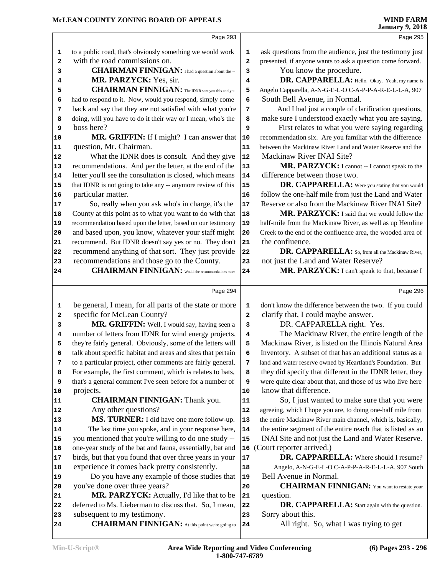#### **McLEAN COUNTY ZONING BOARD OF APPEALS**

|    |                                                              |                         | oanuary 7, 2010                                                                                             |
|----|--------------------------------------------------------------|-------------------------|-------------------------------------------------------------------------------------------------------------|
|    | Page 293                                                     |                         | Page 295                                                                                                    |
| 1  | to a public road, that's obviously something we would work   | 1                       | ask questions from the audience, just the testimony just                                                    |
| 2  | with the road commissions on.                                | $\overline{\mathbf{2}}$ | presented, if anyone wants to ask a question come forward.                                                  |
| 3  | <b>CHAIRMAN FINNIGAN:</b> I had a question about the --      | 3                       | You know the procedure.                                                                                     |
| 4  | MR. PARZYCK: Yes, sir.                                       | 4                       | DR. CAPPARELLA: Hello. Okay. Yeah, my name is                                                               |
| 5  | <b>CHAIRMAN FINNIGAN:</b> The IDNR sent you this and you     | 5                       | Angelo Capparella, A-N-G-E-L-O C-A-P-P-A-R-E-L-L-A, 907                                                     |
| 6  | had to respond to it. Now, would you respond, simply come    | 6                       | South Bell Avenue, in Normal.                                                                               |
| 7  | back and say that they are not satisfied with what you're    | 7                       | And I had just a couple of clarification questions,                                                         |
| 8  | doing, will you have to do it their way or I mean, who's the | 8                       | make sure I understood exactly what you are saying.                                                         |
| 9  | boss here?                                                   | 9                       | First relates to what you were saying regarding                                                             |
| 10 | MR. GRIFFIN: If I might? I can answer that                   | ${\bf 10}$              | recommendation six. Are you familiar with the difference                                                    |
| 11 | question, Mr. Chairman.                                      | 11                      | between the Mackinaw River Land and Water Reserve and the                                                   |
| 12 | What the IDNR does is consult. And they give                 | 12                      | Mackinaw River INAI Site?                                                                                   |
| 13 | recommendations. And per the letter, at the end of the       | 13                      | MR. PARZYCK: I cannot -- I cannot speak to the                                                              |
|    |                                                              | 14                      | difference between those two.                                                                               |
| 14 | letter you'll see the consultation is closed, which means    |                         |                                                                                                             |
| 15 | that IDNR is not going to take any -- anymore review of this | 15                      | DR. CAPPARELLA: Were you stating that you would                                                             |
| 16 | particular matter.                                           | ${\bf 16}$              | follow the one-half mile from just the Land and Water<br>Reserve or also from the Mackinaw River INAI Site? |
| 17 | So, really when you ask who's in charge, it's the            | 17                      |                                                                                                             |
| 18 | County at this point as to what you want to do with that     | 18                      | MR. PARZYCK: I said that we would follow the                                                                |
| 19 | recommendation based upon the letter, based on our testimony | 19                      | half-mile from the Mackinaw River, as well as up Hemline                                                    |
| 20 | and based upon, you know, whatever your staff might          | 20                      | Creek to the end of the confluence area, the wooded area of                                                 |
| 21 | recommend. But IDNR doesn't say yes or no. They don't        | 21                      | the confluence.                                                                                             |
| 22 | recommend anything of that sort. They just provide           | 22                      | DR. CAPPARELLA: So, from all the Mackinaw River,                                                            |
| 23 | recommendations and those go to the County.                  | 23                      | not just the Land and Water Reserve?                                                                        |
| 24 | <b>CHAIRMAN FINNIGAN:</b> Would the recommendations more     | 24                      | MR. PARZYCK: I can't speak to that, because I                                                               |
|    |                                                              |                         |                                                                                                             |
|    | Page 294                                                     |                         | Page 296                                                                                                    |
| 1  | be general, I mean, for all parts of the state or more       | 1                       | don't know the difference between the two. If you could                                                     |
|    |                                                              |                         |                                                                                                             |
| 2  | specific for McLean County?                                  | $\mathbf 2$             | clarify that, I could maybe answer.                                                                         |
| 3  | MR. GRIFFIN: Well, I would say, having seen a                | 3                       | DR. CAPPARELLA right. Yes.                                                                                  |
| 4  | number of letters from IDNR for wind energy projects,        | 4                       | The Mackinaw River, the entire length of the                                                                |
| 5  | they're fairly general. Obviously, some of the letters will  | 5                       | Mackinaw River, is listed on the Illinois Natural Area                                                      |
| 6  | talk about specific habitat and areas and sites that pertain | 6                       | Inventory. A subset of that has an additional status as a                                                   |
| 7  | to a particular project, other comments are fairly general.  | 7                       | land and water reserve owned by Heartland's Foundation. But                                                 |
| 8  | For example, the first comment, which is relates to bats,    | 8                       | they did specify that different in the IDNR letter, they                                                    |
| 9  | that's a general comment I've seen before for a number of    | 9                       | were quite clear about that, and those of us who live here                                                  |
| 10 | projects.                                                    | 10                      | know that difference.                                                                                       |
| 11 | <b>CHAIRMAN FINNIGAN:</b> Thank you.                         | 11                      | So, I just wanted to make sure that you were                                                                |
| 12 | Any other questions?                                         | 12                      | agreeing, which I hope you are, to doing one-half mile from                                                 |
| 13 | MS. TURNER: I did have one more follow-up.                   | 13                      | the entire Mackinaw River main channel, which is, basically,                                                |
| 14 | The last time you spoke, and in your response here,          | 14                      | the entire segment of the entire reach that is listed as an                                                 |
| 15 | you mentioned that you're willing to do one study --         | 15                      | INAI Site and not just the Land and Water Reserve.                                                          |
| 16 | one-year study of the bat and fauna, essentially, bat and    |                         | 16 (Court reporter arrived.)                                                                                |
| 17 | birds, but that you found that over three years in your      | 17                      | DR. CAPPARELLA: Where should I resume?                                                                      |
| 18 | experience it comes back pretty consistently.                | 18                      | Angelo, A-N-G-E-L-O C-A-P-P-A-R-E-L-L-A, 907 South                                                          |
| 19 | Do you have any example of those studies that                | 19                      | Bell Avenue in Normal.                                                                                      |
| 20 | you've done over three years?                                | 20                      | <b>CHAIRMAN FINNIGAN:</b> You want to restate your                                                          |
| 21 | MR. PARZYCK: Actually, I'd like that to be                   | 21                      | question.                                                                                                   |
| 22 | deferred to Ms. Lieberman to discuss that. So, I mean,       | 22                      | <b>DR. CAPPARELLA:</b> Start again with the question.                                                       |
| 23 | subsequent to my testimony.                                  | 23                      | Sorry about this.                                                                                           |
| 24 | <b>CHAIRMAN FINNIGAN:</b> At this point we're going to       | 24                      | All right. So, what I was trying to get                                                                     |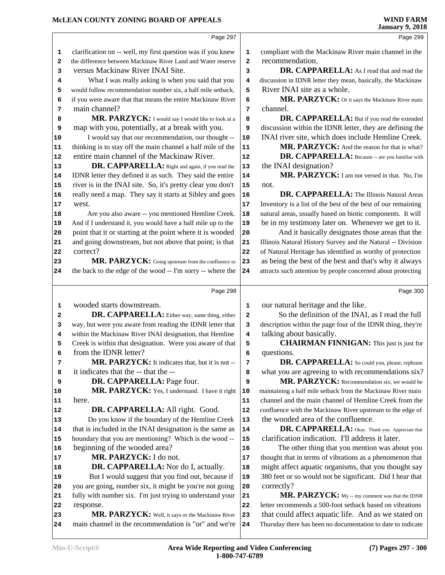#### **McLEAN COUNTY ZONING BOARD OF APPEALS**

|    | Page 297                                                     |    | Page 299                                                     |
|----|--------------------------------------------------------------|----|--------------------------------------------------------------|
| 1  | clarification on -- well, my first question was if you knew  | 1  | compliant with the Mackinaw River main channel in the        |
| 2  | the difference between Mackinaw River Land and Water reserve | 2  | recommendation.                                              |
| 3  | versus Mackinaw River INAI Site.                             | 3  | DR. CAPPARELLA: As I read that and read the                  |
| 4  | What I was really asking is when you said that you           | 4  | discussion in IDNR letter they mean, basically, the Mackinaw |
| 5  | would follow recommendation number six, a half mile setback, | 5  | River INAI site as a whole.                                  |
| 6  | if you were aware that that means the entire Mackinaw River  | 6  | MR. PARZYCK: Or it says the Mackinaw River main              |
| 7  | main channel?                                                | 7  | channel.                                                     |
| 8  | MR. PARZYCK: I would say I would like to look at a           | 8  | DR. CAPPARELLA: But if you read the extended                 |
| 9  | map with you, potentially, at a break with you.              | 9  | discussion within the IDNR letter, they are defining the     |
| 10 | I would say that our recommendation, our thought --          | 10 | INAI river site, which does include Hemline Creek.           |
| 11 | thinking is to stay off the main channel a half mile of the  | 11 | MR. PARZYCK: And the reason for that is what?                |
| 12 | entire main channel of the Mackinaw River.                   | 12 | DR. CAPPARELLA: Because -- are you familiar with             |
| 13 | DR. CAPPARELLA: Right and again, if you read the             | 13 | the INAI designation?                                        |
| 14 | IDNR letter they defined it as such. They said the entire    | 14 | MR. PARZYCK: I am not versed in that. No, I'm                |
| 15 | river is in the INAI site. So, it's pretty clear you don't   | 15 | not.                                                         |
| 16 | really need a map. They say it starts at Sibley and goes     | 16 | DR. CAPPARELLA: The Illinois Natural Areas                   |
| 17 | west.                                                        | 17 | Inventory is a list of the best of the best of our remaining |
| 18 | Are you also aware -- you mentioned Hemline Creek.           | 18 | natural areas, usually based on biotic components. It will   |
| 19 | And if I understand it, you would have a half mile up to the | 19 | be in my testimony later on. Whenever we get to it.          |
| 20 | point that it or starting at the point where it is wooded    | 20 | And it basically designates those areas that the             |
| 21 | and going downstream, but not above that point; is that      | 21 | Illinois Natural History Survey and the Natural -- Division  |
| 22 | correct?                                                     | 22 | of Natural Heritage has identified as worthy of protection   |
| 23 | MR. PARZYCK: Going upstream from the confluence to           | 23 | as being the best of the best and that's why it always       |
| 24 | the back to the edge of the wood -- I'm sorry -- where the   | 24 | attracts such attention by people concerned about protecting |
|    |                                                              |    |                                                              |
|    | Page 298                                                     |    | Page 300                                                     |
| 1  | wooded starts downstream.                                    | 1  | our natural heritage and the like.                           |
| 2  | DR. CAPPARELLA: Either way, same thing, either               | 2  | So the definition of the INAI, as I read the full            |
| 3  | way, but were you aware from reading the IDNR letter that    | 3  | description within the page four of the IDNR thing, they're  |
| 4  | within the Mackinaw River INAI designation, that Hemline     | 4  | talking about basically.                                     |
| 5  | Creek is within that designation. Were you aware of that     | 5  | <b>CHAIRMAN FINNIGAN:</b> This just is just for              |
| 6  | from the IDNR letter?                                        | 6  | questions.                                                   |
| 7  | MR. PARZYCK: It indicates that, but it is not --             | 7  | DR. CAPPARELLA: So could you, please, rephrase               |
| 8  | it indicates that the -- that the --                         | 8  | what you are agreeing to with recommendations six?           |
| 9  | DR. CAPPARELLA: Page four.                                   | 9  | MR. PARZYCK: Recommendation six, we would be                 |
| 10 | MR. PARZYCK: Yes, I understand. I have it right              | 10 | maintaining a half mile setback from the Mackinaw River main |
| 11 | here.                                                        | 11 | channel and the main channel of Hemline Creek from the       |
| 12 | DR. CAPPARELLA: All right. Good.                             | 12 | confluence with the Mackinaw River upstream to the edge of   |
| 13 | Do you know if the boundary of the Hemline Creek             | 13 | the wooded area of the confluence.                           |
| 14 | that is included in the INAI designation is the same as      | 14 | DR. CAPPARELLA: Okay. Thank you. Appreciate that             |
| 15 | boundary that you are mentioning? Which is the wood --       | 15 | clarification indication. I'll address it later.             |
| 16 | beginning of the wooded area?                                | 16 | The other thing that you mention was about you               |
| 17 | MR. PARZYCK: I do not.                                       | 17 | thought that in terms of vibrations as a phenomenon that     |
| 18 | <b>DR. CAPPARELLA:</b> Nor do I, actually.                   | 18 | might affect aquatic organisms, that you thought say         |
| 19 | But I would suggest that you find out, because if            | 19 | 380 feet or so would not be significant. Did I hear that     |
| 20 | you are going, number six, it might be you're not going      | 20 | correctly?                                                   |
| 21 | fully with number six. I'm just trying to understand your    | 21 | MR. PARZYCK: My -- my comment was that the IDNR              |
| 22 | response.                                                    | 22 | letter recommends a 500-foot setback based on vibrations     |
| 23 | MR. PARZYCK: Well, it says or the Mackinaw River             | 23 | that could affect aquatic life. And as we stated on          |
| 24 | main channel in the recommendation is "or" and we're         | 24 | Thursday there has been no documentation to date to indicate |
|    |                                                              |    |                                                              |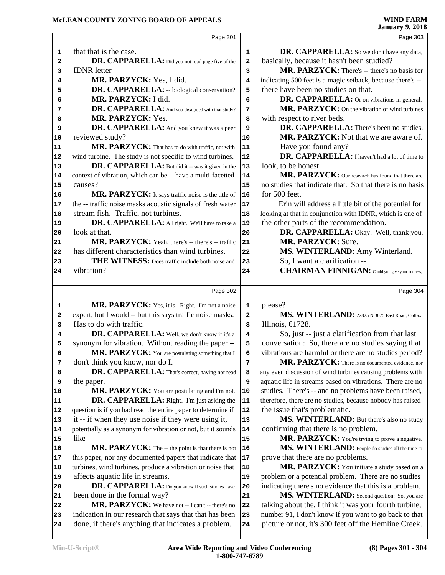|                                                                                  | Page 301                                                                                                       |                  | Page 303                                                                                                       |
|----------------------------------------------------------------------------------|----------------------------------------------------------------------------------------------------------------|------------------|----------------------------------------------------------------------------------------------------------------|
| 1                                                                                | that that is the case.                                                                                         | 1                | DR. CAPPARELLA: So we don't have any data,                                                                     |
| 2                                                                                | DR. CAPPARELLA: Did you not read page five of the                                                              | $\mathbf{2}$     | basically, because it hasn't been studied?                                                                     |
| 3                                                                                | IDNR letter --                                                                                                 | 3                | MR. PARZYCK: There's -- there's no basis for                                                                   |
| 4                                                                                | MR. PARZYCK: Yes, I did.                                                                                       | 4                | indicating 500 feet is a magic setback, because there's --                                                     |
| 5                                                                                | DR. CAPPARELLA: -- biological conservation?                                                                    | 5                | there have been no studies on that.                                                                            |
| 6                                                                                | MR. PARZYCK: I did.                                                                                            | 6                | DR. CAPPARELLA: Or on vibrations in general.                                                                   |
| 7                                                                                | DR. CAPPARELLA: And you disagreed with that study?                                                             | 7                | MR. PARZYCK: On the vibration of wind turbines                                                                 |
| 8                                                                                | MR. PARZYCK: Yes.                                                                                              | 8                | with respect to river beds.                                                                                    |
| 9                                                                                | DR. CAPPARELLA: And you knew it was a peer                                                                     | 9                | DR. CAPPARELLA: There's been no studies.                                                                       |
| 10                                                                               | reviewed study?                                                                                                | 10               | MR. PARZYCK: Not that we are aware of.                                                                         |
| 11                                                                               | MR. PARZYCK: That has to do with traffic, not with                                                             | ${\bf 11}$       | Have you found any?                                                                                            |
| 12                                                                               | wind turbine. The study is not specific to wind turbines.                                                      | 12               | DR. CAPPARELLA: I haven't had a lot of time to                                                                 |
| 13                                                                               | DR. CAPPARELLA: But did it -- was it given in the                                                              | 13               | look, to be honest.                                                                                            |
| 14                                                                               | context of vibration, which can be -- have a multi-facetted                                                    | 14               | MR. PARZYCK: Our research has found that there are                                                             |
| 15                                                                               | causes?                                                                                                        | 15               | no studies that indicate that. So that there is no basis                                                       |
| 16                                                                               | MR. PARZYCK: It says traffic noise is the title of                                                             | 16               | for 500 feet.                                                                                                  |
| 17                                                                               | the -- traffic noise masks acoustic signals of fresh water                                                     | 17               | Erin will address a little bit of the potential for                                                            |
| 18                                                                               | stream fish. Traffic, not turbines.                                                                            | 18               | looking at that in conjunction with IDNR, which is one of                                                      |
| 19                                                                               | DR. CAPPARELLA: All right. We'll have to take a                                                                | 19               | the other parts of the recommendation.                                                                         |
| 20                                                                               | look at that.                                                                                                  | 20               | DR. CAPPARELLA: Okay. Well, thank you.                                                                         |
| 21                                                                               | MR. PARZYCK: Yeah, there's -- there's -- traffic                                                               | 21               | <b>MR. PARZYCK: Sure.</b>                                                                                      |
| 22                                                                               | has different characteristics than wind turbines.                                                              | 22               | MS. WINTERLAND: Amy Winterland.                                                                                |
| 23                                                                               | THE WITNESS: Does traffic include both noise and                                                               | 23               | So, I want a clarification --                                                                                  |
| 24                                                                               | vibration?                                                                                                     | 24               | <b>CHAIRMAN FINNIGAN:</b> Could you give your address,                                                         |
|                                                                                  |                                                                                                                |                  |                                                                                                                |
|                                                                                  |                                                                                                                |                  |                                                                                                                |
|                                                                                  | Page 302                                                                                                       |                  | Page 304                                                                                                       |
|                                                                                  |                                                                                                                |                  |                                                                                                                |
| 1                                                                                | MR. PARZYCK: Yes, it is. Right. I'm not a noise                                                                | 1                | please?                                                                                                        |
| 2<br>3                                                                           | expert, but I would -- but this says traffic noise masks.<br>Has to do with traffic.                           | $\mathbf 2$<br>3 | MS. WINTERLAND: 22825 N 3075 East Road, Colfax,                                                                |
| 4                                                                                |                                                                                                                | 4                | Illinois, 61728.                                                                                               |
|                                                                                  | DR. CAPPARELLA: Well, we don't know if it's a                                                                  | 5                | So, just -- just a clarification from that last                                                                |
| 5                                                                                | synonym for vibration. Without reading the paper --                                                            |                  | conversation: So, there are no studies saying that                                                             |
| 6                                                                                | MR. PARZYCK: You are postulating something that I                                                              | 6                | vibrations are harmful or there are no studies period?                                                         |
| 7                                                                                | don't think you know, nor do I.                                                                                | 7                | MR. PARZYCK: There is no documented evidence, nor                                                              |
| 8                                                                                | DR. CAPPARELLA: That's correct, having not read                                                                | 8                | any even discussion of wind turbines causing problems with                                                     |
| 9                                                                                | the paper.                                                                                                     | 9<br>10          | aquatic life in streams based on vibrations. There are no                                                      |
|                                                                                  | MR. PARZYCK: You are postulating and I'm not.                                                                  |                  | studies. There's -- and no problems have been raised,                                                          |
|                                                                                  | <b>DR. CAPPARELLA:</b> Right. I'm just asking the                                                              | ${\bf 11}$<br>12 | therefore, there are no studies, because nobody has raised                                                     |
|                                                                                  | question is if you had read the entire paper to determine if                                                   | 13               | the issue that's problematic.                                                                                  |
|                                                                                  | it -- if when they use noise if they were using it,                                                            |                  | MS. WINTERLAND: But there's also no study                                                                      |
|                                                                                  | potentially as a synonym for vibration or not, but it sounds                                                   | 14               | confirming that there is no problem.                                                                           |
|                                                                                  | like --                                                                                                        | 15               | MR. PARZYCK: You're trying to prove a negative.                                                                |
|                                                                                  | MR. PARZYCK: The -- the point is that there is not                                                             | 16               | MS. WINTERLAND: People do studies all the time to                                                              |
|                                                                                  | this paper, nor any documented papers that indicate that                                                       | 17               | prove that there are no problems.                                                                              |
|                                                                                  | turbines, wind turbines, produce a vibration or noise that                                                     | 18               | MR. PARZYCK: You initiate a study based on a                                                                   |
|                                                                                  | affects aquatic life in streams.                                                                               | 19               | problem or a potential problem. There are no studies                                                           |
|                                                                                  | DR. CAPPARELLA: Do you know if such studies have                                                               | 20               | indicating there's no evidence that this is a problem.                                                         |
|                                                                                  | been done in the formal way?                                                                                   | 21               | MS. WINTERLAND: Second question: So, you are                                                                   |
| 20                                                                               | MR. PARZYCK: We have not -- I can't -- there's no                                                              | ${\bf 22}$       | talking about the, I think it was your fourth turbine,                                                         |
| 10<br>11<br>12<br>13<br>14<br>15<br>16<br>17<br>18<br>19<br>21<br>22<br>23<br>24 | indication in our research that says that that has been<br>done, if there's anything that indicates a problem. | 23<br>24         | number 91, I don't know if you want to go back to that<br>picture or not, it's 300 feet off the Hemline Creek. |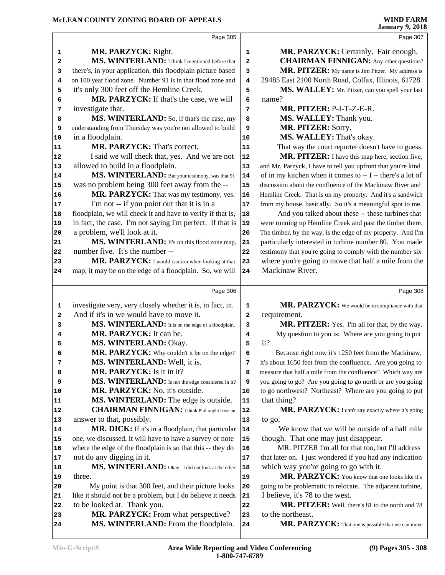|              | Page 305                                                                                               |             | Page 307                                                                |
|--------------|--------------------------------------------------------------------------------------------------------|-------------|-------------------------------------------------------------------------|
|              |                                                                                                        |             |                                                                         |
| 1            | MR. PARZYCK: Right.                                                                                    | $\mathbf 1$ | MR. PARZYCK: Certainly. Fair enough.                                    |
| 2            | MS. WINTERLAND: I think I mentioned before that                                                        | 2           | <b>CHAIRMAN FINNIGAN:</b> Any other questions?                          |
| 3            | there's, in your application, this floodplain picture based                                            | 3           | MR. PITZER: My name is Jim Pitzer. My address is                        |
| 4            | on 100 year flood zone. Number 91 is in that flood zone and                                            | 4           | 29485 East 2100 North Road, Colfax, Illinois, 61728.                    |
| 5            | it's only 300 feet off the Hemline Creek.                                                              | 5           | MS. WALLEY: Mr. Pitzer, can you spell your last                         |
| 6            | MR. PARZYCK: If that's the case, we will                                                               | 6           | name?                                                                   |
| 7            | investigate that.                                                                                      | 7           | MR. PITZER: P-I-T-Z-E-R.                                                |
| 8            | MS. WINTERLAND: So, if that's the case, my                                                             | 8           | MS. WALLEY: Thank you.                                                  |
| 9            | understanding from Thursday was you're not allowed to build                                            | 9           | MR. PITZER: Sorry.                                                      |
| 10           | in a floodplain.                                                                                       | 10          | MS. WALLEY: That's okay.                                                |
| 11           | MR. PARZYCK: That's correct.                                                                           | 11          | That way the court reporter doesn't have to guess.                      |
| 12           | I said we will check that, yes. And we are not                                                         | ${\bf 12}$  | MR. PITZER: I have this map here, section five,                         |
| 13           | allowed to build in a floodplain.                                                                      | 13          | and Mr. Parzyck, I have to tell you upfront that you're kind            |
| 14           | MS. WINTERLAND: But your testimony, was that 91                                                        | ${\bf 14}$  | of in my kitchen when it comes to -- I -- there's a lot of              |
| 15           | was no problem being 300 feet away from the --                                                         | 15          | discussion about the confluence of the Mackinaw River and               |
| 16           | MR. PARZYCK: That was my testimony, yes.                                                               | 16          | Hemline Creek. That is on my property. And it's a sandwich              |
| 17           | I'm not -- if you point out that it is in a                                                            | $17$        | from my house, basically. So it's a meaningful spot to me.              |
| 18           | floodplain, we will check it and have to verify if that is,                                            | 18          | And you talked about these -- these turbines that                       |
| 19           | in fact, the case. I'm not saying I'm perfect. If that is                                              | 19          | were running up Hemline Creek and past the timber there.                |
| 20           | a problem, we'll look at it.                                                                           | 20          | The timber, by the way, is the edge of my property. And I'm             |
| 21           | MS. WINTERLAND: It's on this flood zone map,                                                           | 21          | particularly interested in turbine number 80. You made                  |
| 22           | number five. It's the number --                                                                        | 22          | testimony that you're going to comply with the number six               |
| 23           | MR. PARZYCK: I would caution when looking at that                                                      | 23          | where you're going to move that half a mile from the                    |
| 24           | map, it may be on the edge of a floodplain. So, we will                                                | 24          | Mackinaw River.                                                         |
|              |                                                                                                        |             |                                                                         |
|              | Page 306                                                                                               |             | Page 308                                                                |
|              |                                                                                                        |             |                                                                         |
| 1            |                                                                                                        | 1           |                                                                         |
| $\mathbf{2}$ | investigate very, very closely whether it is, in fact, in.<br>And if it's in we would have to move it. | 2           | MR. PARZYCK: We would be in compliance with that                        |
| 3            |                                                                                                        | 3           | requirement.                                                            |
| 4            | MS. WINTERLAND: It is on the edge of a floodplain.<br>MR. PARZYCK: It can be.                          | 4           | MR. PITZER: Yes. I'm all for that, by the way.                          |
| 5            |                                                                                                        | 5           | My question to you is: Where are you going to put<br>it?                |
| 6            | MS. WINTERLAND: Okay.                                                                                  | 6           | Because right now it's 1250 feet from the Mackinaw,                     |
| 7            | MR. PARZYCK: Why couldn't it be on the edge?                                                           | 7           |                                                                         |
| 8            | MS. WINTERLAND: Well, it is.                                                                           | 8           | it's about 1650 feet from the confluence. Are you going to              |
|              | MR. PARZYCK: Is it in it?                                                                              |             | measure that half a mile from the confluence? Which way are             |
| 9            | MS. WINTERLAND: Is not the edge considered in it?                                                      | 9           | you going to go? Are you going to go north or are you going             |
| 10           | MR. PARZYCK: No, it's outside.                                                                         | 10          | to go northwest? Northeast? Where are you going to put                  |
| 11           | MS. WINTERLAND: The edge is outside.                                                                   | ${\bf 11}$  | that thing?                                                             |
| 12           | <b>CHAIRMAN FINNIGAN:</b> I think Phil might have an                                                   | 12          | MR. PARZYCK: I can't say exactly where it's going                       |
| 13           | answer to that, possibly.                                                                              | 13          | to go.                                                                  |
| 14           | MR. DICK: If it's in a floodplain, that particular                                                     | 14          | We know that we will be outside of a half mile                          |
| 15           | one, we discussed, it will have to have a survey or note                                               | 15          | though. That one may just disappear.                                    |
| 16           | where the edge of the floodplain is so that this -- they do                                            | 16          | MR. PITZER I'm all for that too, but I'll address                       |
| 17           | not do any digging in it.                                                                              | 17          | that later on. I just wondered if you had any indication                |
| 18           | MS. WINTERLAND: Okay. I did not look at the other                                                      | 18          | which way you're going to go with it.                                   |
| 19           | three.                                                                                                 | 19          | MR. PARZYCK: You know that one looks like it's                          |
| 20           | My point is that 300 feet, and their picture looks                                                     | 20          | going to be problematic to relocate. The adjacent turbine,              |
| 21           | like it should not be a problem, but I do believe it needs                                             | 21          | I believe, it's 78 to the west.                                         |
| 22           | to be looked at. Thank you.                                                                            | 22          | MR. PITZER: Well, there's 81 to the north and 78                        |
| 23<br>24     | MR. PARZYCK: From what perspective?<br>MS. WINTERLAND: From the floodplain.                            | 23<br>24    | to the northeast.<br>MR. PARZYCK: That one is possible that we can move |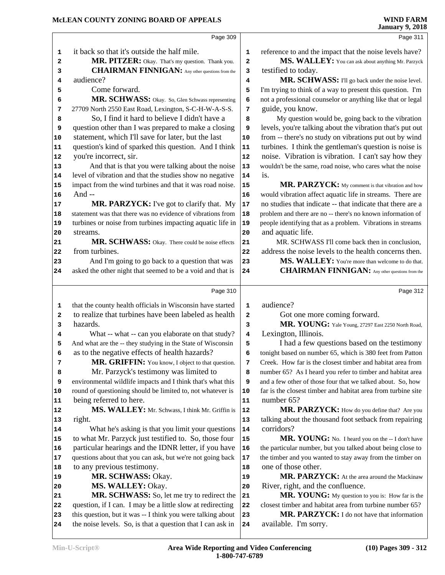**January 9, 2018** Page 309 it back so that it's outside the half mile. **MR. PITZER:** Okay. That's my question. Thank you. **CHAIRMAN FINNIGAN:** Any other questions from the 3 audience? Come forward. **MR. SCHWASS:** Okay. So, Glen Schwass representing 6 27709 North 2550 East Road, Lexington, S-C-H-W-A-S-S. So, I find it hard to believe I didn't have a question other than I was prepared to make a closing **9**  statement, which I'll save for later, but the last question's kind of sparked this question. And I think 11 you're incorrect, sir. And that is that you were talking about the noise 13 level of vibration and that the studies show no negative impact from the wind turbines and that it was road noise. 15 And -- MR. PARZYCK: I've got to clarify that. My 17 statement was that there was no evidence of vibrations from 18 turbines or noise from turbines impacting aquatic life in |**19**  streams. **MR. SCHWASS:** Okay. There could be noise effects 21 from turbines. And I'm going to go back to a question that was 23 asked the other night that seemed to be a void and that is 24 Page 310 that the county health officials in Wisconsin have started 1 to realize that turbines have been labeled as health 2 hazards. What -- what -- can you elaborate on that study? **4**  And what are the -- they studying in the State of Wisconsin 5 as to the negative effects of health hazards? **MR. GRIFFIN:** You know, I object to that question. 7 Mr. Parzyck's testimony was limited to environmental wildlife impacts and I think that's what this round of questioning should be limited to, not whatever is 10 being referred to here. **MS. WALLEY:** Mr. Schwass, I think Mr. Griffin is | 12 right. What he's asking is that you limit your questions | 14 to what Mr. Parzyck just testified to. So, those four particular hearings and the IDNR letter, if you have | **16**  questions about that you can ask, but we're not going back 17 to any previous testimony. 19 MR. SCHWASS: Okay. **MS. WALLEY:** Okay. **MR. SCHWASS:** So, let me try to redirect the 21 question, if I can. I may be a little slow at redirecting 22 this question, but it was  $-$  I think you were talking about 23 the noise levels. So, is that a question that I can ask in 24 Page 311 reference to and the impact that the noise levels have? **MS. WALLEY:** You can ask about anything Mr. Parzyck testified to today. **MR. SCHWASS:** I'll go back under the noise level. I'm trying to think of a way to present this question. I'm not a professional counselor or anything like that or legal guide, you know. My question would be, going back to the vibration levels, you're talking about the vibration that's put out from -- there's no study on vibrations put out by wind turbines. I think the gentleman's question is noise is noise. Vibration is vibration. I can't say how they wouldn't be the same, road noise, who cares what the noise is.  **MR. PARZYCK:** My comment is that vibration and how would vibration affect aquatic life in streams. There are no studies that indicate -- that indicate that there are a problem and there are no -- there's no known information of people identifying that as a problem. Vibrations in streams and aquatic life. MR. SCHWASS I'll come back then in conclusion, address the noise levels to the health concerns then.  **MS. WALLEY:** You're more than welcome to do that.  **CHAIRMAN FINNIGAN:** Any other questions from the Page 312 audience? Got one more coming forward.  **MR. YOUNG:** Yale Young, 27297 East 2250 North Road, Lexington, Illinois. I had a few questions based on the testimony tonight based on number 65, which is 380 feet from Patton Creek. How far is the closest timber and habitat area from number 65? As I heard you refer to timber and habitat area and a few other of those four that we talked about. So, how far is the closest timber and habitat area from turbine site number 65? **MR. PARZYCK:** How do you define that? Are you talking about the thousand foot setback from repairing corridors? MR. YOUNG: No. I heard you on the -- I don't have the particular number, but you talked about being close to the timber and you wanted to stay away from the timber on one of those other. **MR. PARZYCK:** At the area around the Mackinaw River, right, and the confluence.  **MR. YOUNG:** My question to you is: How far is the closest timber and habitat area from turbine number 65?  **MR. PARZYCK:** I do not have that information available. I'm sorry.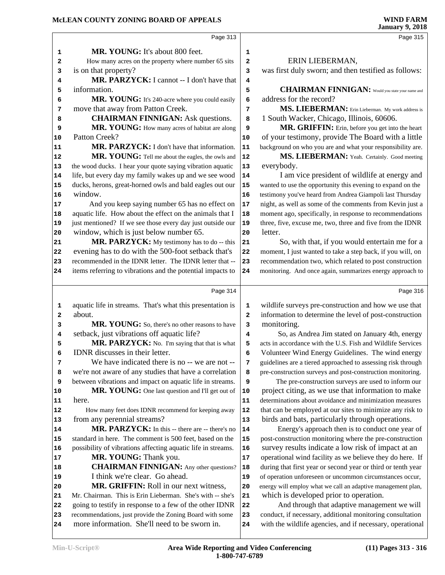Page 313  **MR. YOUNG:** It's about 800 feet. How many acres on the property where number 65 sits **2**  is on that property?  **MR. PARZYCK:** I cannot -- I don't have that information. **MR. YOUNG:** It's 240-acre where you could easily **6**  move that away from Patton Creek.  **CHAIRMAN FINNIGAN:** Ask questions. **MR. YOUNG:** How many acres of habitat are along **9**  Patton Creek? 11 MR. PARZYCK: I don't have that information. 11 **MR. YOUNG:** Tell me about the eagles, the owls and 12 the wood ducks. I hear your quote saying vibration aquatic 13 life, but every day my family wakes up and we see wood | **14**  ducks, herons, great-horned owls and bald eagles out our 15 window. And you keep saying number 65 has no effect on 17 aquatic life. How about the effect on the animals that I | **18**  just mentioned? If we see those every day just outside our 19 window, which is just below number 65. **MR. PARZYCK:** My testimony has to do -- this 21 evening has to do with the 500-foot setback that's 22 recommended in the IDNR letter. The IDNR letter that -- 23 items referring to vibrations and the potential impacts to 24 Page 314 aquatic life in streams. That's what this presentation is 1 about. **MR. YOUNG:** So, there's no other reasons to have 3 setback, just vibrations off aquatic life? **MR. PARZYCK:** No. I'm saying that that is what  $\begin{vmatrix} 5 \end{vmatrix}$  IDNR discusses in their letter. We have indicated there is no -- we are not --  $\vert$  **7**  we're not aware of any studies that have a correlation between vibrations and impact on aquatic life in streams. **9 MR. YOUNG:** One last question and I'll get out of | **10**  here. How many feet does IDNR recommend for keeping away 12 from any perennial streams? MR. PARZYCK: In this -- there are -- there's no | standard in here. The comment is 500 feet, based on the 15 possibility of vibrations affecting aquatic life in streams. **16** 17 MR. YOUNG: Thank you. **CHAIRMAN FINNIGAN:** Any other questions? | **18**  I think we're clear. Go ahead.  **MR. GRIFFIN:** Roll in our next witness, Mr. Chairman. This is Erin Lieberman. She's with -- she's 21 22 going to testify in response to a few of the other IDNR 22 23 recommendations, just provide the Zoning Board with some 23 more information. She'll need to be sworn in. Page 315 ERIN LIEBERMAN, was first duly sworn; and then testified as follows: **CHAIRMAN FINNIGAN:** Would you state your name and address for the record? **MS. LIEBERMAN:** Erin Lieberman. My work address is 1 South Wacker, Chicago, Illinois, 60606. MR. GRIFFIN: Erin, before you get into the heart of your testimony, provide The Board with a little background on who you are and what your responsibility are. MS. LIEBERMAN: Yeah. Certainly. Good meeting everybody. I am vice president of wildlife at energy and wanted to use the opportunity this evening to expand on the testimony you've heard from Andrea Giampoli last Thursday night, as well as some of the comments from Kevin just a moment ago, specifically, in response to recommendations three, five, excuse me, two, three and five from the IDNR letter. So, with that, if you would entertain me for a moment, I just wanted to take a step back, if you will, on recommendation two, which related to post construction monitoring. And once again, summarizes energy approach to Page 316 wildlife surveys pre-construction and how we use that information to determine the level of post-construction monitoring. So, as Andrea Jim stated on January 4th, energy acts in accordance with the U.S. Fish and Wildlife Services Volunteer Wind Energy Guidelines. The wind energy guidelines are a tiered approached to assessing risk through pre-construction surveys and post-construction monitoring. The pre-construction surveys are used to inform our project citing, as we use that information to make determinations about avoidance and minimization measures that can be employed at our sites to minimize any risk to birds and bats, particularly through operations. Energy's approach then is to conduct one year of post-construction monitoring where the pre-construction survey results indicate a low risk of impact at an operational wind facility as we believe they do here. If during that first year or second year or third or tenth year of operation unforeseen or uncommon circumstances occur, energy will employ what we call an adaptive management plan, which is developed prior to operation. And through that adaptive management we will conduct, if necessary, additional monitoring consultation with the wildlife agencies, and if necessary, operational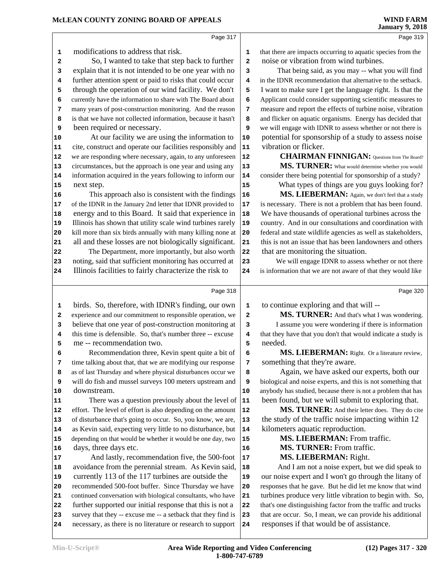### **McLEAN COUNTY ZONING BOARD OF APPEALS**

|                                                                                  | Page 317                                                     |            | Page 319                                                     |
|----------------------------------------------------------------------------------|--------------------------------------------------------------|------------|--------------------------------------------------------------|
| 1                                                                                | modifications to address that risk.                          | 1          | that there are impacts occurring to aquatic species from the |
| 2                                                                                | So, I wanted to take that step back to further               | 2          | noise or vibration from wind turbines.                       |
| 3                                                                                | explain that it is not intended to be one year with no       | 3          | That being said, as you may -- what you will find            |
| 4                                                                                | further attention spent or paid to risks that could occur    | 4          | in the IDNR recommendation that alternative to the setback.  |
| 5                                                                                | through the operation of our wind facility. We don't         | 5          | I want to make sure I get the language right. Is that the    |
| 6                                                                                | currently have the information to share with The Board about | 6          | Applicant could consider supporting scientific measures to   |
| 7                                                                                | many years of post-construction monitoring. And the reason   | 7          | measure and report the effects of turbine noise, vibration   |
| 8                                                                                | is that we have not collected information, because it hasn't | 8          | and flicker on aquatic organisms. Energy has decided that    |
| 9                                                                                | been required or necessary.                                  | 9          | we will engage with IDNR to assess whether or not there is   |
| 10                                                                               | At our facility we are using the information to              | ${\bf 10}$ | potential for sponsorship of a study to assess noise         |
| 11                                                                               | cite, construct and operate our facilities responsibly and   | $\bf 11$   | vibration or flicker.                                        |
| 12                                                                               | we are responding where necessary, again, to any unforeseen  | ${\bf 12}$ | <b>CHAIRMAN FINNIGAN:</b> Questions from The Board?          |
| 13                                                                               | circumstances, but the approach is one year and using any    | 13         | MS. TURNER: What would determine whether you would           |
| 14                                                                               | information acquired in the years following to inform our    | 14         | consider there being potential for sponsorship of a study?   |
| 15                                                                               | next step.                                                   | 15         | What types of things are you guys looking for?               |
| 16                                                                               | This approach also is consistent with the findings           | 16         | MS. LIEBERMAN: Again, we don't feel that a study             |
| 17                                                                               | of the IDNR in the January 2nd letter that IDNR provided to  | $17\,$     | is necessary. There is not a problem that has been found.    |
| 18                                                                               | energy and to this Board. It said that experience in         | 18         | We have thousands of operational turbines across the         |
| 19                                                                               | Illinois has shown that utility scale wind turbines rarely   | 19         | country. And in our consultations and coordination with      |
| 20                                                                               | kill more than six birds annually with many killing none at  | 20         | federal and state wildlife agencies as well as stakeholders, |
| 21                                                                               | all and these losses are not biologically significant.       | 21         | this is not an issue that has been landowners and others     |
| 22                                                                               | The Department, more importantly, but also worth             | 22         | that are monitoring the situation.                           |
| 23                                                                               | noting, said that sufficient monitoring has occurred at      | 23         | We will engage IDNR to assess whether or not there           |
| 24                                                                               | Illinois facilities to fairly characterize the risk to       | 24         | is information that we are not aware of that they would like |
|                                                                                  |                                                              |            |                                                              |
|                                                                                  |                                                              |            |                                                              |
|                                                                                  | Page 318                                                     |            | Page 320                                                     |
| 1                                                                                | birds. So, therefore, with IDNR's finding, our own           | 1          | to continue exploring and that will --                       |
| 2                                                                                | experience and our commitment to responsible operation, we   | 2          | MS. TURNER: And that's what I was wondering.                 |
| 3                                                                                | believe that one year of post-construction monitoring at     | 3          | I assume you were wondering if there is information          |
| 4                                                                                | this time is defensible. So, that's number three -- excuse   | 4          | that they have that you don't that would indicate a study is |
| 5                                                                                | me -- recommendation two.                                    | 5          | needed.                                                      |
| 6                                                                                | Recommendation three, Kevin spent quite a bit of             | 6          | MS. LIEBERMAN: Right. Or a literature review.                |
| 7                                                                                | time talking about that, that we are modifying our response  | 7          | something that they're aware.                                |
| 8                                                                                | as of last Thursday and where physical disturbances occur we | 8          | Again, we have asked our experts, both our                   |
| 9                                                                                | will do fish and mussel surveys 100 meters upstream and      | 9          | biological and noise experts, and this is not something that |
|                                                                                  | downstream.                                                  | 10         | anybody has studied, because there is not a problem that has |
|                                                                                  | There was a question previously about the level of           | $\vert 11$ | been found, but we will submit to exploring that.            |
|                                                                                  | effort. The level of effort is also depending on the amount  | 12         | MS. TURNER: And their letter does. They do cite              |
|                                                                                  | of disturbance that's going to occur. So, you know, we are,  | 13         | the study of the traffic noise impacting within 12           |
|                                                                                  | as Kevin said, expecting very little to no disturbance, but  | 14         | kilometers aquatic reproduction.                             |
|                                                                                  | depending on that would be whether it would be one day, two  | 15         | MS. LIEBERMAN: From traffic.                                 |
|                                                                                  | days, three days etc.                                        | 16         | MS. TURNER: From traffic.                                    |
|                                                                                  | And lastly, recommendation five, the 500-foot                | $17\,$     | <b>MS. LIEBERMAN: Right.</b>                                 |
|                                                                                  | avoidance from the perennial stream. As Kevin said,          | 18         | And I am not a noise expert, but we did speak to             |
|                                                                                  | currently 113 of the 117 turbines are outside the            | 19         | our noise expert and I won't go through the litany of        |
|                                                                                  | recommended 500-foot buffer. Since Thursday we have          | 20         | responses that he gave. But he did let me know that wind     |
|                                                                                  | continued conversation with biological consultants, who have | 21         | turbines produce very little vibration to begin with. So,    |
|                                                                                  | further supported our initial response that this is not a    | 22         | that's one distinguishing factor from the traffic and trucks |
| 10<br>11<br>12<br>13<br>14<br>15<br>16<br>17<br>18<br>19<br>20<br>21<br>22<br>23 | survey that they -- excuse me -- a setback that they find is | 23         | that are occur. So, I mean, we can provide his additional    |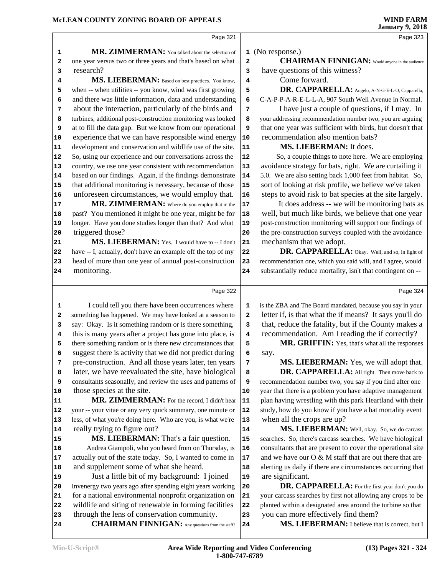research?

triggered those?

Page 323

Page 321 **MR. ZIMMERMAN:** You talked about the selection of one year versus two or three years and that's based on what **2 MS. LIEBERMAN:** Based on best practices. You know, when -- when utilities -- you know, wind was first growing 5 and there was little information, data and understanding **6**  about the interaction, particularly of the birds and  $\begin{bmatrix} 7 \end{bmatrix}$  turbines, additional post-construction monitoring was looked at to fill the data gap. But we know from our operational **9**  experience that we can have responsible wind energy | **10**  development and conservation and wildlife use of the site. **11**  So, using our experience and our conversations across the 12 country, we use one year consistent with recommendation 13 based on our findings. Again, if the findings demonstrate | **14**  that additional monitoring is necessary, because of those 15 16 unforeseen circumstances, we would employ that. 16 MR. ZIMMERMAN: Where do you employ that in the 17 past? You mentioned it might be one year, might be for | **18**  longer. Have you done studies longer than that? And what 19 (No response.) have questions of this witness? Come forward.

 **MS. LIEBERMAN:** Yes. I would have to -- I don't 21 have -- I, actually, don't have an example off the top of my 22 23 head of more than one year of annual post-construction 23 monitoring.

 **CHAIRMAN FINNIGAN:** Would anyone in the audience

 **DR. CAPPARELLA:** Angelo, A-N-G-E-L-O, Capparella, C-A-P-P-A-R-E-L-L-A, 907 South Well Avenue in Normal.

 I have just a couple of questions, if I may. In your addressing recommendation number two, you are arguing that one year was sufficient with birds, but doesn't that recommendation also mention bats?

#### **MS. LIEBERMAN:** It does.

 So, a couple things to note here. We are employing avoidance strategy for bats, right. We are curtailing it 5.0. We are also setting back 1,000 feet from habitat. So, sort of looking at risk profile, we believe we've taken steps to avoid risk to bat species at the site largely.

 It does address -- we will be monitoring bats as well, but much like birds, we believe that one year post-construction monitoring will support our findings of the pre-construction surveys coupled with the avoidance mechanism that we adopt.

 **DR. CAPPARELLA:** Okay. Well, and so, in light of recommendation one, which you said will, and I agree, would substantially reduce mortality, isn't that contingent on --

Page 324

Page 322 I could tell you there have been occurrences where **1**  something has happened. We may have looked at a season to **2**  say: Okay. Is it something random or is there something, **3**  this is many years after a project has gone into place, is **4**  there something random or is there new circumstances that **5**  suggest there is activity that we did not predict during pre-construction. And all those years later, ten years  $\vert$  **7**  later, we have reevaluated the site, have biological **8**  consultants seasonally, and review the uses and patterns of **9**  those species at the site. MR. ZIMMERMAN: For the record, I didn't hear 11 your -- your vitae or any very quick summary, one minute or | **12**  less, of what you're doing here. Who are you, is what we're | **13**  really trying to figure out? **MS. LIEBERMAN:** That's a fair question. 15 Andrea Giampoli, who you heard from on Thursday, is 16 actually out of the state today. So, I wanted to come in | **17**  and supplement some of what she heard. Just a little bit of my background: I joined Invenergy two years ago after spending eight years working 20 for a national environmental nonprofit organization on 21 wildlife and siting of renewable in forming facilities 22 through the lens of conservation community.

**CHAIRMAN FINNIGAN:** Any questions from the staff? 24

 is the ZBA and The Board mandated, because you say in your letter if, is that what the if means? It says you'll do that, reduce the fatality, but if the County makes a recommendation. Am I reading the if correctly?

MR. GRIFFIN: Yes, that's what all the responses say.

**MS. LIEBERMAN:** Yes, we will adopt that. **DR. CAPPARELLA:** All right. Then move back to

recommendation number two, you say if you find after one year that there is a problem you have adaptive management plan having wrestling with this park Heartland with their study, how do you know if you have a bat mortality event when all the crops are up?

 **MS. LIEBERMAN:** Well, okay. So, we do carcass searches. So, there's carcass searches. We have biological consultants that are present to cover the operational site and we have our O & M staff that are out there that are alerting us daily if there are circumstances occurring that are significant.

 **DR. CAPPARELLA:** For the first year don't you do your carcass searches by first not allowing any crops to be planted within a designated area around the turbine so that you can more effectively find them?

MS. LIEBERMAN: I believe that is correct, but I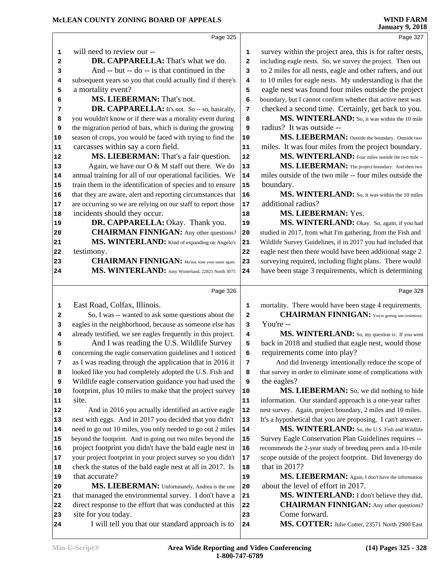Page 327

Page 328

Page 325 will need to review our --  **DR. CAPPARELLA:** That's what we do. And -- but -- do -- is that continued in the  $\begin{vmatrix} 3 \end{vmatrix}$  subsequent years so you that could actually find if there's a mortality event?  **MS. LIEBERMAN:** That's not. DR. CAPPARELLA: It's not. So -- so, basically, 7 you wouldn't know or if there was a morality event during **8**  the migration period of bats, which is during the growing **9**  season of crops, you would be faced with trying to find the **10**  carcasses within say a corn field. **MS. LIEBERMAN:** That's a fair question. 12 Again, we have our O & M staff out there. We do 13 annual training for all of our operational facilities. We | **14**  train them in the identification of species and to ensure 15 that they are aware, alert and reporting circumstances that 16 are occurring so we are relying on our staff to report those 17 incidents should they occur.  **DR. CAPPARELLA:** Okay. Thank you. **CHAIRMAN FINNIGAN:** Any other questions? 20 MS. WINTERLAND: Kind of expanding on Angelo's 21 testimony. **CHAIRMAN FINNIGAN:** Ma'am, state your name again. 23 **MS. WINTERLAND:** Amy Winterland, 22825 North 3075 24 Page 326 East Road, Colfax, Illinois. **2** So, I was -- wanted to ask some questions about the **2**  eagles in the neighborhood, because as someone else has **3**  already testified, we see eagles frequently in this project. **4** 5 And I was reading the U.S. Wildlife Survey 5 concerning the eagle conservation guidelines and I noticed **6**  as I was reading through the application that in 2016 it  $\begin{array}{|c|c|} \hline \end{array}$  looked like you had completely adopted the U.S. Fish and Wildlife eagle conservation guidance you had used the footprint, plus 10 miles to make that the project survey 10 site. And in 2016 you actually identified an active eagle | **12**  nest with eggs. And in 2017 you decided that you didn't need to go out 10 miles, you only needed to go out 2 miles **14**  beyond the footprint. And in going out two miles beyond the 15 project footprint you didn't have the bald eagle nest in | **16**  your project footprint in your project survey so you didn't 17 check the status of the bald eagle nest at all in 2017. Is 18 that accurate? **MS. LIEBERMAN:** Unfortunately, Andrea is the one 20 that managed the environmental survey. I don't have a 21 direct response to the effort that was conducted at this 22 site for you today. I will tell you that our standard approach is to 24 survey within the project area, this is for rafter nests, including eagle nests. So, we survey the project. Then out to 2 miles for all nests, eagle and other rafters, and out to 10 miles for eagle nests. My understanding is that the eagle nest was found four miles outside the project boundary, but I cannot confirm whether that active nest was checked a second time. Certainly, get back to you. MS. WINTERLAND: So, it was within the 10 mile radius? It was outside --**MS. LIEBERMAN:** Outside the boundary. Outside two miles. It was four miles from the project boundary.  **MS. WINTERLAND:** Four miles outside the two mile -- **MS. LIEBERMAN:** The project boundary. And then two miles outside of the two mile -- four miles outside the boundary.  **MS. WINTERLAND:** So, it was within the 10 miles additional radius?  **MS. LIEBERMAN:** Yes. MS. WINTERLAND: Okay. So, again, if you had studied in 2017, from what I'm gathering, from the Fish and Wildlife Survey Guidelines, if in 2017 you had included that eagle nest then there would have been additional stage 2 surveying required, including flight plans. There would have been stage 3 requirements, which is determining mortality. There would have been stage 4 requirements.  **CHAIRMAN FINNIGAN:** You're getting into testimony. You're -- **MS. WINTERLAND:** So, my question is: If you went back in 2018 and studied that eagle nest, would those requirements come into play? And did Invenergy intentionally reduce the scope of that survey in order to eliminate some of complications with the eagles? **MS. LIEBERMAN:** So, we did nothing to hide information. Our standard approach is a one-year rafter nest survey. Again, project boundary, 2 miles and 10 miles. It's a hypothetical that you are proposing. I can't answer.  **MS. WINTERLAND:** So, the U.S. Fish and Wildlife Survey Eagle Conservation Plan Guidelines requires -- recommends the 2-year study of breeding peers and a 10-mile scope outside of the project footprint. Did Invenergy do that in 2017? **MS. LIEBERMAN:** Again, I don't have the information about the level of effort in 2017.  **MS. WINTERLAND:** I don't believe they did.  **CHAIRMAN FINNIGAN:** Any other questions? Come forward.  **MS. COTTER:** Julie Cotter, 23571 North 2900 East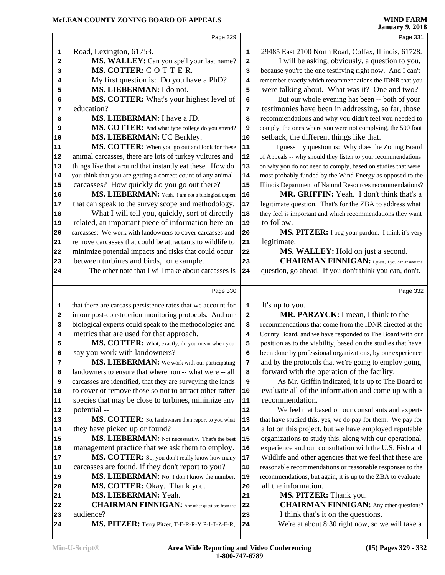#### **McLEAN COUNTY ZONING BOARD OF APPEALS**

| Page 331                                                     |
|--------------------------------------------------------------|
|                                                              |
| 29485 East 2100 North Road, Colfax, Illinois, 61728.         |
| I will be asking, obviously, a question to you,              |
| because you're the one testifying right now. And I can't     |
| remember exactly which recommendations the IDNR that you     |
| were talking about. What was it? One and two?                |
| But our whole evening has been -- both of your               |
| testimonies have been in addressing, so far, those           |
| recommendations and why you didn't feel you needed to        |
| comply, the ones where you were not complying, the 500 foot  |
|                                                              |
| I guess my question is: Why does the Zoning Board            |
| of Appeals -- why should they listen to your recommendations |
| on why you do not need to comply, based on studies that were |
| most probably funded by the Wind Energy as opposed to the    |
| Illinois Department of Natural Resources recommendations?    |
| MR. GRIFFIN: Yeah. I don't think that's a                    |
| legitimate question. That's for the ZBA to address what      |
| they feel is important and which recommendations they want   |
|                                                              |
| MS. PITZER: I beg your pardon. I think it's very             |
|                                                              |
| MS. WALLEY: Hold on just a second.                           |
| <b>CHAIRMAN FINNIGAN:</b> I guess, if you can answer the     |
| question, go ahead. If you don't think you can, don't.       |
|                                                              |
| Page 332                                                     |
|                                                              |
| MR. PARZYCK: I mean, I think to the                          |
|                                                              |
| recommendations that come from the IDNR directed at the      |
| County Board, and we have responded to The Board with our    |
| position as to the viability, based on the studies that have |
| been done by professional organizations, by our experience   |
| and by the protocols that we're going to employ going        |
|                                                              |
| As Mr. Griffin indicated, it is up to The Board to           |
| evaluate all of the information and come up with a           |
|                                                              |
| We feel that based on our consultants and experts            |
| that have studied this, yes, we do pay for them. We pay for  |
| a lot on this project, but we have employed reputable        |
| organizations to study this, along with our operational      |
| experience and our consultation with the U.S. Fish and       |
| Wildlife and other agencies that we feel that these are      |
| reasonable recommendations or reasonable responses to the    |
| recommendations, but again, it is up to the ZBA to evaluate  |
|                                                              |
|                                                              |
| <b>CHAIRMAN FINNIGAN:</b> Any other questions?               |
|                                                              |
|                                                              |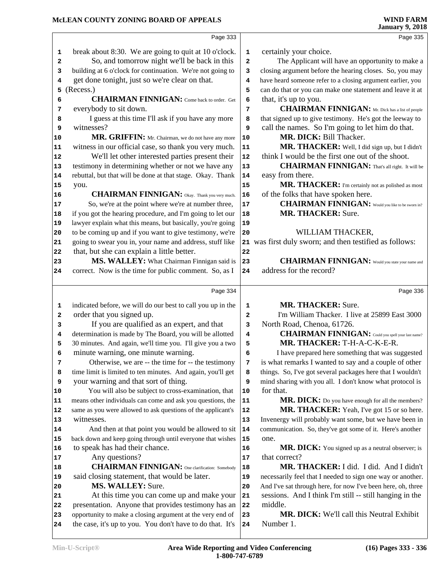|                                                                                        | Page 333                                                                                                               |              | Page 335                                                     |
|----------------------------------------------------------------------------------------|------------------------------------------------------------------------------------------------------------------------|--------------|--------------------------------------------------------------|
| 1                                                                                      | break about 8:30. We are going to quit at 10 o'clock.                                                                  | $\mathbf 1$  | certainly your choice.                                       |
| 2                                                                                      | So, and tomorrow night we'll be back in this                                                                           | $\mathbf{2}$ | The Applicant will have an opportunity to make a             |
| з                                                                                      | building at 6 o'clock for continuation. We're not going to                                                             | 3            | closing argument before the hearing closes. So, you may      |
| 4                                                                                      | get done tonight, just so we're clear on that.                                                                         | 4            | have heard someone refer to a closing argument earlier, you  |
| 5                                                                                      | (Recess.)                                                                                                              | 5            | can do that or you can make one statement and leave it at    |
| 6                                                                                      | <b>CHAIRMAN FINNIGAN:</b> Come back to order. Get                                                                      | 6            | that, it's up to you.                                        |
| 7                                                                                      | everybody to sit down.                                                                                                 | 7            | <b>CHAIRMAN FINNIGAN:</b> Mr. Dick has a list of people      |
| 8                                                                                      | I guess at this time I'll ask if you have any more                                                                     | 8            | that signed up to give testimony. He's got the leeway to     |
| 9                                                                                      | witnesses?                                                                                                             | 9            | call the names. So I'm going to let him do that.             |
| 10                                                                                     | MR. GRIFFIN: Mr. Chairman, we do not have any more                                                                     | 10           | MR. DICK: Bill Thacker.                                      |
| 11                                                                                     | witness in our official case, so thank you very much.                                                                  | ${\bf 11}$   | MR. THACKER: Well, I did sign up, but I didn't               |
| 12                                                                                     | We'll let other interested parties present their                                                                       | 12           | think I would be the first one out of the shoot.             |
| 13                                                                                     | testimony in determining whether or not we have any                                                                    | $13$         | <b>CHAIRMAN FINNIGAN:</b> That's all right. It will be       |
| 14                                                                                     | rebuttal, but that will be done at that stage. Okay. Thank                                                             | 14           | easy from there.                                             |
| 15                                                                                     |                                                                                                                        | 15           | MR. THACKER: I'm certainly not as polished as most           |
|                                                                                        | you.<br><b>CHAIRMAN FINNIGAN:</b> Okay. Thank you very much.                                                           | 16           | of the folks that have spoken here.                          |
| 16                                                                                     |                                                                                                                        | $17$         | <b>CHAIRMAN FINNIGAN:</b> Would you like to be sworn in?     |
| 17                                                                                     | So, we're at the point where we're at number three,                                                                    |              | <b>MR. THACKER: Sure.</b>                                    |
| 18                                                                                     | if you got the hearing procedure, and I'm going to let our                                                             | 18           |                                                              |
| 19                                                                                     | lawyer explain what this means, but basically, you're going                                                            | 19           | WILLIAM THACKER,                                             |
| 20                                                                                     | to be coming up and if you want to give testimony, we're                                                               | 20           |                                                              |
| 21                                                                                     | going to swear you in, your name and address, stuff like                                                               |              | 21 was first duly sworn; and then testified as follows:      |
| 22                                                                                     | that, but she can explain a little better.                                                                             | 22           |                                                              |
| 23                                                                                     | MS. WALLEY: What Chairman Finnigan said is                                                                             | 23           | <b>CHAIRMAN FINNIGAN:</b> Would you state your name and      |
| 24                                                                                     | correct. Now is the time for public comment. So, as I                                                                  | 24           | address for the record?                                      |
|                                                                                        |                                                                                                                        |              |                                                              |
|                                                                                        | Page 334                                                                                                               |              | Page 336                                                     |
|                                                                                        |                                                                                                                        |              |                                                              |
| 1                                                                                      | indicated before, we will do our best to call you up in the                                                            | 1            | <b>MR. THACKER: Sure.</b>                                    |
| 2                                                                                      | order that you signed up.                                                                                              | $\mathbf{2}$ | I'm William Thacker. I live at 25899 East 3000               |
| 3                                                                                      | If you are qualified as an expert, and that                                                                            | 3            | North Road, Chenoa, 61726.                                   |
| 4                                                                                      | determination is made by The Board, you will be allotted                                                               | 4            | <b>CHAIRMAN FINNIGAN:</b> Could you spell your last name?    |
| 5                                                                                      | 30 minutes. And again, we'll time you. I'll give you a two                                                             | 5            | MR. THACKER: T-H-A-C-K-E-R.                                  |
| 6                                                                                      | minute warning, one minute warning.                                                                                    | 6            | I have prepared here something that was suggested            |
| 7                                                                                      | Otherwise, we are -- the time for -- the testimony                                                                     | 7            | is what remarks I wanted to say and a couple of other        |
| 8                                                                                      | time limit is limited to ten minutes. And again, you'll get                                                            | 8            | things. So, I've got several packages here that I wouldn't   |
| 9                                                                                      | your warning and that sort of thing.                                                                                   | 9            | mind sharing with you all. I don't know what protocol is     |
|                                                                                        | You will also be subject to cross-examination, that                                                                    | 10           | for that.                                                    |
|                                                                                        | means other individuals can come and ask you questions, the                                                            | 11           | MR. DICK: Do you have enough for all the members?            |
|                                                                                        | same as you were allowed to ask questions of the applicant's                                                           | 12           | MR. THACKER: Yeah, I've got 15 or so here.                   |
|                                                                                        | witnesses.                                                                                                             | 13           | Invenergy will probably want some, but we have been in       |
|                                                                                        | And then at that point you would be allowed to sit                                                                     | 14           | communication. So, they've got some of it. Here's another    |
|                                                                                        | back down and keep going through until everyone that wishes                                                            | 15           | one.                                                         |
|                                                                                        | to speak has had their chance.                                                                                         | 16           | MR. DICK: You signed up as a neutral observer; is            |
|                                                                                        | Any questions?                                                                                                         | 17           | that correct?                                                |
|                                                                                        | <b>CHAIRMAN FINNIGAN:</b> One clarification: Somebody                                                                  | 18           | MR. THACKER: I did. I did. And I didn't                      |
|                                                                                        | said closing statement, that would be later.                                                                           | 19           | necessarily feel that I needed to sign one way or another.   |
|                                                                                        | MS. WALLEY: Sure.                                                                                                      | 20           | And I've sat through here, for now I've been here, oh, three |
|                                                                                        | At this time you can come up and make your                                                                             | 21           | sessions. And I think I'm still -- still hanging in the      |
|                                                                                        | presentation. Anyone that provides testimony has an                                                                    | 22           | middle.                                                      |
| 10<br>11<br>12<br>13<br>14<br>15<br>16<br>17<br>18<br>19<br>20<br>21<br>22<br>23<br>24 | opportunity to make a closing argument at the very end of<br>the case, it's up to you. You don't have to do that. It's | 23<br>24     | MR. DICK: We'll call this Neutral Exhibit<br>Number 1.       |
|                                                                                        |                                                                                                                        |              |                                                              |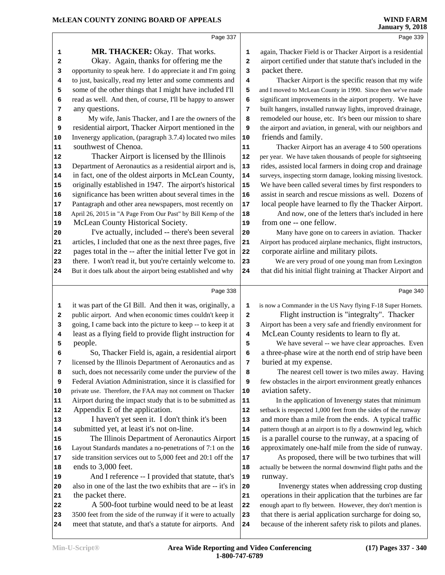#### **McLEAN COUNTY ZONING BOARD OF APPEALS**

|                | Page 337                                                                                                                  |            | Page 339                                                     |
|----------------|---------------------------------------------------------------------------------------------------------------------------|------------|--------------------------------------------------------------|
| 1              | MR. THACKER: Okay. That works.                                                                                            | 1          | again, Thacker Field is or Thacker Airport is a residential  |
| 2              | Okay. Again, thanks for offering me the                                                                                   | 2          | airport certified under that statute that's included in the  |
| 3              | opportunity to speak here. I do appreciate it and I'm going                                                               | 3          | packet there.                                                |
| 4              | to just, basically, read my letter and some comments and                                                                  | 4          | Thacker Airport is the specific reason that my wife          |
| 5              | some of the other things that I might have included I'll                                                                  | 5          | and I moved to McLean County in 1990. Since then we've made  |
| 6              | read as well. And then, of course, I'll be happy to answer                                                                | 6          | significant improvements in the airport property. We have    |
| 7              | any questions.                                                                                                            | 7          | built hangers, installed runway lights, improved drainage,   |
| 8              | My wife, Janis Thacker, and I are the owners of the                                                                       | 8          | remodeled our house, etc. It's been our mission to share     |
| 9              | residential airport, Thacker Airport mentioned in the                                                                     | 9          | the airport and aviation, in general, with our neighbors and |
| $10$           | Invenergy application, (paragraph 3.7.4) located two miles                                                                | 10         | friends and family.                                          |
| 11             | southwest of Chenoa.                                                                                                      | 11         | Thacker Airport has an average 4 to 500 operations           |
| 12             | Thacker Airport is licensed by the Illinois                                                                               | 12         | per year. We have taken thousands of people for sightseeing  |
| 13             | Department of Aeronautics as a residential airport and is,                                                                | $13$       | rides, assisted local farmers in doing crop and drainage     |
| 14             | in fact, one of the oldest airports in McLean County,                                                                     | 14         | surveys, inspecting storm damage, looking missing livestock. |
| 15             | originally established in 1947. The airport's historical                                                                  | 15         | We have been called several times by first responders to     |
| 16             | significance has been written about several times in the                                                                  | 16         | assist in search and rescue missions as well. Dozens of      |
| $17$           | Pantagraph and other area newspapers, most recently on                                                                    | 17         | local people have learned to fly the Thacker Airport.        |
| 18             | April 26, 2015 in "A Page From Our Past" by Bill Kemp of the                                                              | 18         | And now, one of the letters that's included in here          |
| 19             | McLean County Historical Society.                                                                                         | 19         | from one -- one fellow.                                      |
| 20             | I've actually, included -- there's been several                                                                           | 20         | Many have gone on to careers in aviation. Thacker            |
| 21             | articles, I included that one as the next three pages, five                                                               | 21         | Airport has produced airplane mechanics, flight instructors, |
| 22             | pages total in the -- after the initial letter I've got in                                                                | 22         | corporate airline and military pilots.                       |
| 23             | there. I won't read it, but you're certainly welcome to.                                                                  | 23         | We are very proud of one young man from Lexington            |
| 24             | But it does talk about the airport being established and why                                                              | 24         | that did his initial flight training at Thacker Airport and  |
|                | Page 338                                                                                                                  |            | Page 340                                                     |
| 1              | it was part of the GI Bill. And then it was, originally, a                                                                | 1          | is now a Commander in the US Navy flying F-18 Super Hornets. |
| 2              | public airport. And when economic times couldn't keep it                                                                  | 2          | Flight instruction is "integralty". Thacker                  |
| 3              | going, I came back into the picture to keep -- to keep it at                                                              | 3          | Airport has been a very safe and friendly environment for    |
| 4              | least as a flying field to provide flight instruction for                                                                 | 4          | McLean County residents to learn to fly at.                  |
| 5              | people.                                                                                                                   | 5          | We have several -- we have clear approaches. Even            |
| 6              | So, Thacker Field is, again, a residential airport                                                                        | 6          | a three-phase wire at the north end of strip have been       |
| 7              | licensed by the Illinois Department of Aeronautics and as                                                                 | 7          | buried at my expense.                                        |
| 8              | such, does not necessarily come under the purview of the                                                                  | 8          | The nearest cell tower is two miles away. Having             |
| 9              | Federal Aviation Administration, since it is classified for                                                               | 9          | few obstacles in the airport environment greatly enhances    |
| 10             | private use. Therefore, the FAA may not comment on Thacker                                                                | ${\bf 10}$ | aviation safety.                                             |
| 11             | Airport during the impact study that is to be submitted as                                                                | 11         | In the application of Invenergy states that minimum          |
| 12             | Appendix E of the application.                                                                                            | 12         | setback is respected 1,000 feet from the sides of the runway |
| 13             | I haven't yet seen it. I don't think it's been                                                                            | 13         | and more than a mile from the ends. A typical traffic        |
| 14             | submitted yet, at least it's not on-line.                                                                                 | 14         | pattern though at an airport is to fly a downwind leg, which |
| 15             | The Illinois Department of Aeronautics Airport                                                                            | ${\bf 15}$ | is a parallel course to the runway, at a spacing of          |
| 16             | Layout Standards mandates a no-penetrations of 7:1 on the                                                                 | 16         | approximately one-half mile from the side of runway.         |
| 17             | side transition services out to 5,000 feet and 20:1 off the                                                               | 17         | As proposed, there will be two turbines that will            |
| 18             | ends to 3,000 feet.                                                                                                       | 18         | actually be between the normal downwind flight paths and the |
| 19             | And I reference -- I provided that statute, that's                                                                        | 19         | runway.                                                      |
|                |                                                                                                                           |            |                                                              |
|                | also in one of the last the two exhibits that are -- it's in                                                              | 20         | Invenergy states when addressing crop dusting                |
|                | the packet there.                                                                                                         | 21         | operations in their application that the turbines are far    |
| 20<br>21<br>22 | A 500-foot turbine would need to be at least                                                                              | 22         | enough apart to fly between. However, they don't mention is  |
| 23             | 3500 feet from the side of the runway if it were to actually<br>meet that statute, and that's a statute for airports. And | 23         | that there is aerial application surcharge for doing so,     |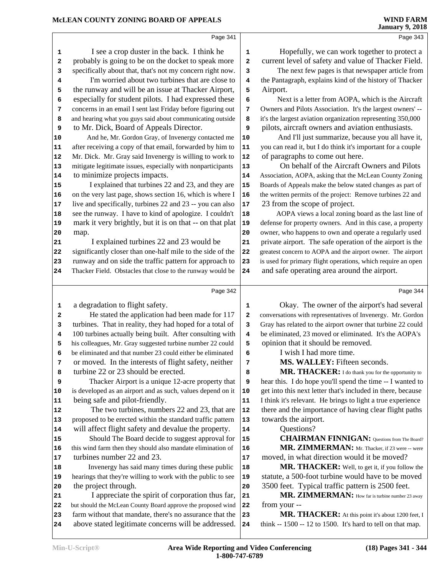Page 341 I see a crop duster in the back. I think he  $\vert$  **1**  probably is going to be on the docket to speak more 2 specifically about that, that's not my concern right now. **3**  I'm worried about two turbines that are close to  $\begin{bmatrix} 4 \end{bmatrix}$  the runway and will be an issue at Thacker Airport,  $\begin{bmatrix} 5 \end{bmatrix}$  especially for student pilots. I had expressed these concerns in an email I sent last Friday before figuring out | **7**  and hearing what you guys said about communicating outside **8**  to Mr. Dick, Board of Appeals Director. And he, Mr. Gordon Gray, of Invenergy contacted me | **10**  after receiving a copy of that email, forwarded by him to 11 Mr. Dick. Mr. Gray said Invenergy is willing to work to 12 mitigate legitimate issues, especially with nonparticipants 13 to minimize projects impacts. I explained that turbines 22 and 23, and they are 15 on the very last page, shows section 16, which is where I | **16**  live and specifically, turbines 22 and 23 -- you can also 17 18 see the runway. I have to kind of apologize. I couldn't | 18 mark it very brightly, but it is on that -- on that plat | **19**  map. I explained turbines 22 and 23 would be significantly closer than one-half mile to the side of the 22 runway and on side the traffic pattern for approach to 23 Thacker Field. Obstacles that close to the runway would be 24 Page 342 a degradation to flight safety. He stated the application had been made for 117 2 turbines. That in reality, they had hoped for a total of **3**  100 turbines actually being built. After consulting with **4**  his colleagues, Mr. Gray suggested turbine number 22 could **5**  be eliminated and that number 23 could either be eliminated  $\begin{bmatrix} 6 \end{bmatrix}$  or moved. In the interests of flight safety, neither 7 turbine 22 or 23 should be erected. Thacker Airport is a unique 12-acre property that **9**  is developed as an airport and as such, values depend on it | **10**  being safe and pilot-friendly. The two turbines, numbers 22 and 23, that are 12 proposed to be erected within the standard traffic pattern | **13**  will affect flight safety and devalue the property. 14 Should The Board decide to suggest approval for | 15 this wind farm then they should also mandate elimination of 16 turbines number 22 and 23. Invenergy has said many times during these public 18 hearings that they're willing to work with the public to see | **19**  the project through. I appreciate the spirit of corporation thus far, 21 but should the McLean County Board approve the proposed wind 22 farm without that mandate, there's no assurance that the 23 above stated legitimate concerns will be addressed. 24 Page 343 Hopefully, we can work together to protect a current level of safety and value of Thacker Field. The next few pages is that newspaper article from the Pantagraph, explains kind of the history of Thacker Airport. Next is a letter from AOPA, which is the Aircraft Owners and Pilots Association. It's the largest owners' -- it's the largest aviation organization representing 350,000 pilots, aircraft owners and aviation enthusiasts. And I'll just summarize, because you all have it, you can read it, but I do think it's important for a couple of paragraphs to come out here. On behalf of the Aircraft Owners and Pilots Association, AOPA, asking that the McLean County Zoning Boards of Appeals make the below stated changes as part of the written permits of the project: Remove turbines 22 and 23 from the scope of project. AOPA views a local zoning board as the last line of defense for property owners. And in this case, a property owner, who happens to own and operate a regularly used private airport. The safe operation of the airport is the greatest concern to AOPA and the airport owner. The airport is used for primary flight operations, which require an open and safe operating area around the airport. Page 344 Okay. The owner of the airport's had several conversations with representatives of Invenergy. Mr. Gordon Gray has related to the airport owner that turbine 22 could be eliminated, 23 moved or eliminated. It's the AOPA's opinion that it should be removed. **I** wish I had more time.  **MS. WALLEY:** Fifteen seconds.  **MR. THACKER:** I do thank you for the opportunity to hear this. I do hope you'll spend the time -- I wanted to get into this next letter that's included in there, because I think it's relevant. He brings to light a true experience there and the importance of having clear flight paths towards the airport. Questions? CHAIRMAN FINNIGAN: Questions from The Board? MR. ZIMMERMAN: Mr. Thacker, if 23 were -- were moved, in what direction would it be moved?  **MR. THACKER:** Well, to get it, if you follow the statute, a 500-foot turbine would have to be moved 3500 feet. Typical traffic pattern is 2500 feet.  **MR. ZIMMERMAN:** How far is turbine number 23 away from your -- **MR. THACKER:** At this point it's about 1200 feet, I think -- 1500 -- 12 to 1500. It's hard to tell on that map.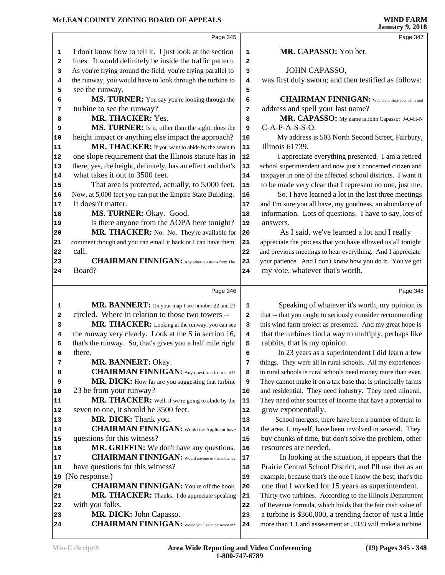#### **McLEAN COUNTY ZONING BOARD OF APPEALS**

|          |                                                                                     |                         | $J \rightarrow 9$ and $\sim$                                                                                            |
|----------|-------------------------------------------------------------------------------------|-------------------------|-------------------------------------------------------------------------------------------------------------------------|
|          | Page 345                                                                            |                         | Page 347                                                                                                                |
| 1        | I don't know how to tell it. I just look at the section                             | 1                       | MR. CAPASSO: You bet.                                                                                                   |
| 2        | lines. It would definitely be inside the traffic pattern.                           | $\mathbf{2}$            |                                                                                                                         |
| 3        | As you're flying around the field, you're flying parallel to                        | 3                       | JOHN CAPASSO,                                                                                                           |
| 4        | the runway, you would have to look through the turbine to                           | 4                       | was first duly sworn; and then testified as follows:                                                                    |
| 5        | see the runway.                                                                     | 5                       |                                                                                                                         |
| 6        | MS. TURNER: You say you're looking through the                                      | 6                       | <b>CHAIRMAN FINNIGAN:</b> Would you state your name and                                                                 |
| 7        | turbine to see the runway?                                                          | 7                       | address and spell your last name?                                                                                       |
| 8        | MR. THACKER: Yes.                                                                   | 8                       | MR. CAPASSO: My name is John Capasso: J-O-H-N                                                                           |
| 9        | MS. TURNER: Is it, other than the sight, does the                                   | 9                       | $C-A-P-A-S-S-O.$                                                                                                        |
| 10       | height impact or anything else impact the approach?                                 | 10                      | My address is 503 North Second Street, Fairbury,                                                                        |
| 11       | MR. THACKER: If you want to abide by the seven to                                   | ${\bf 11}$              | Illinois 61739.                                                                                                         |
| 12       | one slope requirement that the Illinois statute has in                              | 12                      | I appreciate everything presented. I am a retired                                                                       |
| 13       | there, yes, the height, definitely, has an effect and that's                        | 13                      | school superintendent and now just a concerned citizen and                                                              |
| 14       | what takes it out to 3500 feet.                                                     | 14                      | taxpayer in one of the affected school districts. I want it                                                             |
| 15       | That area is protected, actually, to 5,000 feet.                                    | 15                      | to be made very clear that I represent no one, just me.                                                                 |
| 16       | Now, at 5,000 feet you can put the Empire State Building.                           | 16                      | So, I have learned a lot in the last three meetings                                                                     |
| 17       | It doesn't matter.                                                                  | 17                      | and I'm sure you all have, my goodness, an abundance of                                                                 |
| 18       | MS. TURNER: Okay. Good.                                                             | 18                      | information. Lots of questions. I have to say, lots of                                                                  |
| 19       | Is there anyone from the AOPA here tonight?                                         | 19                      | answers.                                                                                                                |
| 20       | MR. THACKER: No. No. They're available for                                          | 20                      | As I said, we've learned a lot and I really                                                                             |
| 21       | comment though and you can email it back or I can have them                         | 21                      | appreciate the process that you have allowed us all tonight                                                             |
| 22       | call.                                                                               | 22                      | and previous meetings to hear everything. And I appreciate                                                              |
| 23       | <b>CHAIRMAN FINNIGAN:</b> Any other questions from The                              | 23                      | your patience. And I don't know how you do it. You've got                                                               |
| 24       | Board?                                                                              | 24                      | my vote, whatever that's worth.                                                                                         |
|          | Page 346                                                                            |                         | Page 348                                                                                                                |
| 1        | MR. BANNERT: On your map I see number 22 and 23                                     | 1                       | Speaking of whatever it's worth, my opinion is                                                                          |
| 2        | circled. Where in relation to those two towers --                                   | $\mathbf{2}$            | that -- that you ought to seriously consider recommending                                                               |
| з        | MR. THACKER: Looking at the runway, you can see                                     | 3                       | this wind farm project as presented. And my great hope is                                                               |
| 4        | the runway very clearly. Look at the S in section 16,                               | $\overline{\mathbf{4}}$ | that the turbines find a way to multiply, perhaps like                                                                  |
| 5        | that's the runway. So, that's gives you a half mile right                           | 5                       | rabbits, that is my opinion.                                                                                            |
| 6        | there.                                                                              | 6                       | In 23 years as a superintendent I did learn a few                                                                       |
| 7        | MR. BANNERT: Okay.                                                                  | 7                       | things. They were all in rural schools. All my experiences                                                              |
| 8        | <b>CHAIRMAN FINNIGAN:</b> Any questions from staff?                                 | 8                       | in rural schools is rural schools need money more than ever.                                                            |
| 9        | MR. DICK: How far are you suggesting that turbine                                   | 9                       | They cannot make it on a tax base that is principally farms                                                             |
| 10       | 23 be from your runway?                                                             | 10                      | and residential. They need industry. They need mineral.                                                                 |
| 11       | MR. THACKER: Well, if we're going to abide by the                                   | 11                      | They need other sources of income that have a potential to                                                              |
| 12       | seven to one, it should be 3500 feet.                                               | 12                      | grow exponentially.                                                                                                     |
| 13       | MR. DICK: Thank you.                                                                | 13                      | School mergers, there have been a number of them in                                                                     |
| 14       | <b>CHAIRMAN FINNIGAN:</b> Would the Applicant have                                  | 14                      | the area, I, myself, have been involved in several. They                                                                |
| 15       | questions for this witness?                                                         | 15                      | buy chunks of time, but don't solve the problem, other                                                                  |
| 16       | MR. GRIFFIN: We don't have any questions.                                           | 16                      | resources are needed.                                                                                                   |
| 17       | <b>CHAIRMAN FINNIGAN:</b> Would anyone in the audience                              | $17$                    | In looking at the situation, it appears that the                                                                        |
| 18       | have questions for this witness?                                                    | 18                      | Prairie Central School District, and I'll use that as an<br>example, because that's the one I know the best, that's the |
|          |                                                                                     |                         |                                                                                                                         |
| 19       | (No response.)                                                                      | 19                      |                                                                                                                         |
|          | <b>CHAIRMAN FINNIGAN:</b> You're off the hook.                                      | 20                      | one that I worked for 15 years as superintendent.                                                                       |
| 20<br>21 | MR. THACKER: Thanks. I do appreciate speaking                                       | 21                      | Thirty-two turbines. According to the Illinois Department                                                               |
| 22       | with you folks.                                                                     | 22                      | of Revenue formula, which holds that the fair cash value of                                                             |
| 23<br>24 | MR. DICK: John Capasso.<br><b>CHAIRMAN FINNIGAN:</b> Would you like to be sworn in? | 23<br>24                | a turbine is \$360,000, a trending factor of just a little<br>more than 1.1 and assessment at .3333 will make a turbine |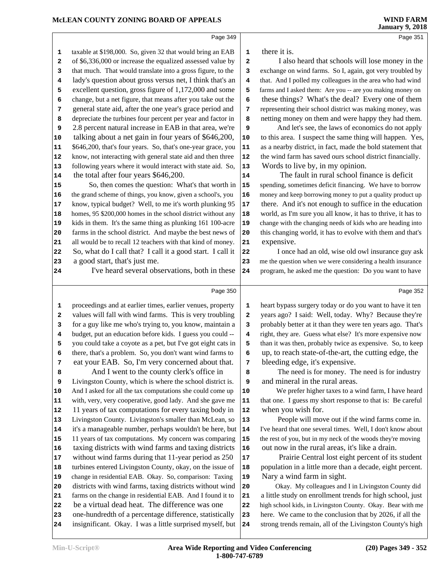age 351

|          | Page 349                                                                                                             |                | Page 351                                                                                                              |
|----------|----------------------------------------------------------------------------------------------------------------------|----------------|-----------------------------------------------------------------------------------------------------------------------|
| 1        | taxable at \$198,000. So, given 32 that would bring an EAB                                                           | 1              | there it is.                                                                                                          |
| 2        | of \$6,336,000 or increase the equalized assessed value by                                                           | $\overline{2}$ | I also heard that schools will lose money in the                                                                      |
| 3        | that much. That would translate into a gross figure, to the                                                          | 3              | exchange on wind farms. So I, again, got very troubled by                                                             |
| 4        | lady's question about gross versus net, I think that's an                                                            | 4              | that. And I polled my colleagues in the area who had wind                                                             |
| 5        | excellent question, gross figure of 1,172,000 and some                                                               | 5              | farms and I asked them: Are you -- are you making money on                                                            |
| 6        | change, but a net figure, that means after you take out the                                                          | 6              | these things? What's the deal? Every one of them                                                                      |
| 7        | general state aid, after the one year's grace period and                                                             | $\overline{7}$ | representing their school district was making money, was                                                              |
| 8        | depreciate the turbines four percent per year and factor in                                                          | 8              | netting money on them and were happy they had them.                                                                   |
| 9        | 2.8 percent natural increase in EAB in that area, we're                                                              | 9              | And let's see, the laws of economics do not apply                                                                     |
| 10       | talking about a net gain in four years of \$646,200,                                                                 | 10             | to this area. I suspect the same thing will happen. Yes,                                                              |
| 11       | \$646,200, that's four years. So, that's one-year grace, you                                                         | 11             | as a nearby district, in fact, made the bold statement that                                                           |
| 12       | know, not interacting with general state aid and then three                                                          | 12             | the wind farm has saved ours school district financially.                                                             |
| 13       | following years where it would interact with state aid. So,                                                          | 13             | Words to live by, in my opinion.                                                                                      |
| 14       | the total after four years \$646,200.                                                                                | 14             | The fault in rural school finance is deficit                                                                          |
| 15       | So, then comes the question: What's that worth in                                                                    | 15             | spending, sometimes deficit financing. We have to borrow                                                              |
| 16       | the grand scheme of things, you know, given a school's, you                                                          | 16             | money and keep borrowing money to put a quality product up                                                            |
| 17       | know, typical budget? Well, to me it's worth plunking 95                                                             | 17             | there. And it's not enough to suffice in the education                                                                |
| 18       | homes, 95 \$200,000 homes in the school district without any                                                         | 18             | world, as I'm sure you all know, it has to thrive, it has to                                                          |
| 19       | kids in them. It's the same thing as plunking 161 100-acre                                                           | 19             | change with the changing needs of kids who are heading into                                                           |
| 20       | farms in the school district. And maybe the best news of                                                             | 20             | this changing world, it has to evolve with them and that's                                                            |
| 21       | all would be to recall 12 teachers with that kind of money.                                                          | 21             | expensive.                                                                                                            |
| 22       | So, what do I call that? I call it a good start. I call it                                                           | 22             | I once had an old, wise old owl insurance guy ask                                                                     |
| 23       | a good start, that's just me.                                                                                        | 23             | me the question when we were considering a health insurance                                                           |
| 24       | I've heard several observations, both in these                                                                       | 24             | program, he asked me the question: Do you want to have                                                                |
|          |                                                                                                                      |                |                                                                                                                       |
|          |                                                                                                                      |                |                                                                                                                       |
|          | Page 350                                                                                                             |                | Page 352                                                                                                              |
| 1        | proceedings and at earlier times, earlier venues, property                                                           | 1              | heart bypass surgery today or do you want to have it ten                                                              |
| 2        | values will fall with wind farms. This is very troubling                                                             | $\mathbf{2}$   | years ago? I said: Well, today. Why? Because they're                                                                  |
| з        | for a guy like me who's trying to, you know, maintain a                                                              | 3              | probably better at it than they were ten years ago. That's                                                            |
| 4        | budget, put an education before kids. I guess you could --                                                           | 4              | right, they are. Guess what else? It's more expensive now                                                             |
| 5        | you could take a coyote as a pet, but I've got eight cats in                                                         | 5              | than it was then, probably twice as expensive. So, to keep                                                            |
| 6        | there, that's a problem. So, you don't want wind farms to                                                            | 6              | up, to reach state-of-the-art, the cutting edge, the                                                                  |
| 7        | eat your EAB. So, I'm very concerned about that.                                                                     | 7              | bleeding edge, it's expensive.                                                                                        |
| 8        | And I went to the county clerk's office in                                                                           | 8              | The need is for money. The need is for industry                                                                       |
| 9        | Livingston County, which is where the school district is.                                                            | 9              | and mineral in the rural areas.                                                                                       |
| 10       | And I asked for all the tax computations she could come up                                                           | 10             | We prefer higher taxes to a wind farm, I have heard                                                                   |
| 11       | with, very, very cooperative, good lady. And she gave me                                                             | 11             | that one. I guess my short response to that is: Be careful                                                            |
| 12       | 11 years of tax computations for every taxing body in                                                                | 12             | when you wish for.                                                                                                    |
| 13       | Livingston County. Livingston's smaller than McLean, so                                                              | 13             | People will move out if the wind farms come in.                                                                       |
| 14       | it's a manageable number, perhaps wouldn't be here, but                                                              | 14             | I've heard that one several times. Well, I don't know about                                                           |
| 15       | 11 years of tax computations. My concern was comparing                                                               | 15             | the rest of you, but in my neck of the woods they're moving                                                           |
| 16       | taxing districts with wind farms and taxing districts                                                                | 16             | out now in the rural areas, it's like a drain.                                                                        |
| 17       | without wind farms during that 11-year period as 250                                                                 | 17             | Prairie Central lost eight percent of its student                                                                     |
| 18       | turbines entered Livingston County, okay, on the issue of                                                            | 18             | population in a little more than a decade, eight percent.                                                             |
| 19       | change in residential EAB. Okay. So, comparison: Taxing                                                              | 19             | Nary a wind farm in sight.                                                                                            |
| 20       | districts with wind farms, taxing districts without wind                                                             | 20             | Okay. My colleagues and I in Livingston County did                                                                    |
| 21       | farms on the change in residential EAB. And I found it to                                                            | 21             | a little study on enrollment trends for high school, just                                                             |
| 22       | be a virtual dead heat. The difference was one                                                                       | 22             | high school kids, in Livingston County. Okay. Bear with me                                                            |
| 23<br>24 | one-hundredth of a percentage difference, statistically<br>insignificant. Okay. I was a little surprised myself, but | 23<br>24       | here. We came to the conclusion that by 2026, if all the<br>strong trends remain, all of the Livingston County's high |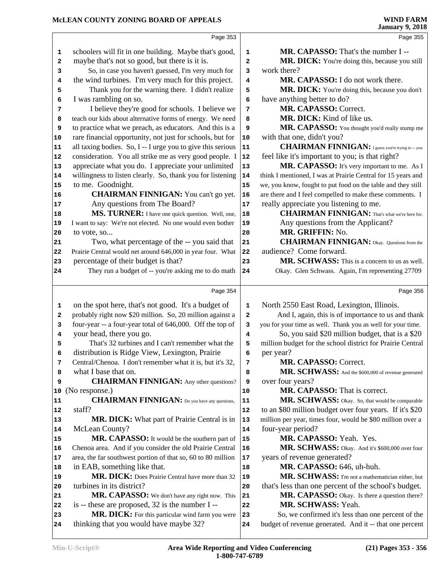### **McLEAN COUNTY ZONING BOARD OF APPEALS**

|        |                                                              |                   | oanaary 7, 2010                                              |
|--------|--------------------------------------------------------------|-------------------|--------------------------------------------------------------|
|        | Page 353                                                     |                   | Page 355                                                     |
| 1      | schoolers will fit in one building. Maybe that's good,       | 1                 | <b>MR. CAPASSO:</b> That's the number I --                   |
| 2      | maybe that's not so good, but there is it is.                | $\mathbf{2}$      | MR. DICK: You're doing this, because you still               |
| 3      | So, in case you haven't guessed, I'm very much for           | 3                 | work there?                                                  |
| 4      | the wind turbines. I'm very much for this project.           | 4                 | MR. CAPASSO: I do not work there.                            |
| 5      | Thank you for the warning there. I didn't realize            | 5                 | MR. DICK: You're doing this, because you don't               |
| 6      | I was rambling on so.                                        | 6                 | have anything better to do?                                  |
| 7      | I believe they're good for schools. I believe we             | 7                 | MR. CAPASSO: Correct.                                        |
| 8      | teach our kids about alternative forms of energy. We need    | 8                 | MR. DICK: Kind of like us.                                   |
| 9      | to practice what we preach, as educators. And this is a      | 9                 | MR. CAPASSO: You thought you'd really stump me               |
| 10     | rare financial opportunity, not just for schools, but for    | 10                | with that one, didn't you?                                   |
| 11     | all taxing bodies. So, I -- I urge you to give this serious  | 11                | <b>CHAIRMAN FINNIGAN:</b> I guess you're trying to -- you    |
| 12     | consideration. You all strike me as very good people. I      | ${\bf 12}$        | feel like it's important to you; is that right?              |
| 13     | appreciate what you do. I appreciate your unlimited          | 13                | MR. CAPASSO: It's very important to me. As I                 |
| 14     | willingness to listen clearly. So, thank you for listening   | 14                | think I mentioned, I was at Prairie Central for 15 years and |
| 15     | to me. Goodnight.                                            | 15                | we, you know, fought to put food on the table and they still |
| 16     | <b>CHAIRMAN FINNIGAN:</b> You can't go yet.                  | 16                | are there and I feel compelled to make these comments. I     |
| 17     | Any questions from The Board?                                | 17                | really appreciate you listening to me.                       |
| 18     | MS. TURNER: I have one quick question. Well, one,            | 18                | <b>CHAIRMAN FINNIGAN:</b> That's what we're here for.        |
| 19     | I want to say: We're not elected. No one would even bother   | 19                | Any questions from the Applicant?                            |
| 20     | to vote, so                                                  | 20                | MR. GRIFFIN: No.                                             |
| 21     | Two, what percentage of the -- you said that                 | 21                | <b>CHAIRMAN FINNIGAN:</b> Okay. Questions from the           |
| 22     | Prairie Central would net around 646,000 in year four. What  | 22                | audience? Come forward.                                      |
| 23     | percentage of their budget is that?                          | 23                | MR. SCHWASS: This is a concern to us as well.                |
| 24     | They run a budget of -- you're asking me to do math          | 24                | Okay. Glen Schwass. Again, I'm representing 27709            |
|        | Page 354                                                     |                   | Page 356                                                     |
|        | on the spot here, that's not good. It's a budget of          |                   | North 2550 East Road, Lexington, Illinois.                   |
| 1<br>2 | probably right now \$20 million. So, 20 million against a    | 1<br>$\mathbf{2}$ | And I, again, this is of importance to us and thank          |
| 3      | four-year -- a four-year total of 646,000. Off the top of    | 3                 | you for your time as well. Thank you as well for your time.  |
| 4      | your head, there you go.                                     | 4                 | So, you said \$20 million budget, that is a \$20             |
| 5      | That's 32 turbines and I can't remember what the             | 5                 | million budget for the school district for Prairie Central   |
|        | distribution is Ridge View, Lexington, Prairie               | 6                 | per year?                                                    |
| 7      | Central/Chenoa. I don't remember what it is, but it's 32,    | 7                 | MR. CAPASSO: Correct.                                        |
| 8      | what I base that on.                                         | 8                 | MR. SCHWASS: And the \$600,000 of revenue generated          |
| 9      | <b>CHAIRMAN FINNIGAN:</b> Any other questions?               | 9                 | over four years?                                             |
| 10     | (No response.)                                               | 10                | MR. CAPASSO: That is correct.                                |
| 11     | <b>CHAIRMAN FINNIGAN:</b> Do you have any questions,         | 11                | MR. SCHWASS: Okay. So, that would be comparable              |
| 12     | staff?                                                       | 12                | to an \$80 million budget over four years. If it's \$20      |
| 13     | MR. DICK: What part of Prairie Central is in                 | 13                | million per year, times four, would be \$80 million over a   |
| 14     | McLean County?                                               | 14                | four-year period?                                            |
| 15     | MR. CAPASSO: It would be the southern part of                | 15                | MR. CAPASSO: Yeah. Yes.                                      |
| 16     | Chenoa area. And if you consider the old Prairie Central     | 16                | MR. SCHWASS: Okay. And it's \$600,000 over four              |
| 17     | area, the far southwest portion of that so, 60 to 80 million | $17\,$            | years of revenue generated?                                  |
| 18     | in EAB, something like that.                                 | 18                | MR. CAPASSO: 646, uh-huh.                                    |
| 19     | MR. DICK: Does Prairie Central have more than 32             | 19                | MR. SCHWASS: I'm not a mathematician either, but             |
| 20     | turbines in its district?                                    | 20                | that's less than one percent of the school's budget.         |
| 21     | MR. CAPASSO: We don't have any right now. This               | 21                | MR. CAPASSO: Okay. Is there a question there?                |
| 22     | is -- these are proposed, 32 is the number I --              | 22                | MR. SCHWASS: Yeah.                                           |
| 23     | MR. DICK: For this particular wind farm you were             | 23                | So, we confirmed it's less than one percent of the           |
| 24     | thinking that you would have maybe 32?                       | 24                | budget of revenue generated. And it -- that one percent      |
|        |                                                              |                   |                                                              |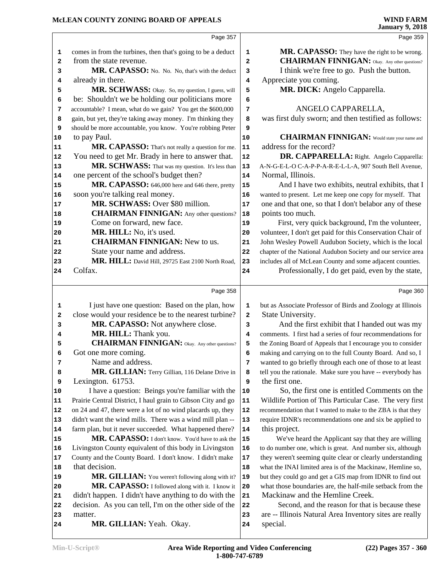|                |                                                              |                | <b>January 9, 2018</b>                                       |
|----------------|--------------------------------------------------------------|----------------|--------------------------------------------------------------|
|                | Page 357                                                     |                | Page 359                                                     |
| 1              | comes in from the turbines, then that's going to be a deduct | 1              | MR. CAPASSO: They have the right to be wrong.                |
| 2              | from the state revenue.                                      | $\overline{a}$ | <b>CHAIRMAN FINNIGAN:</b> Okay. Any other questions?         |
| 3              | MR. CAPASSO: No. No. No, that's with the deduct              | 3              | I think we're free to go. Push the button.                   |
| 4              | already in there.                                            | 4              | Appreciate you coming.                                       |
| 5              | MR. SCHWASS: Okay. So, my question, I guess, will            | 5              | MR. DICK: Angelo Capparella.                                 |
| 6              | be: Shouldn't we be holding our politicians more             | 6              |                                                              |
| 7              | accountable? I mean, what do we gain? You get the \$600,000  | 7              | ANGELO CAPPARELLA,                                           |
| 8              | gain, but yet, they're taking away money. I'm thinking they  | 8              | was first duly sworn; and then testified as follows:         |
| 9              | should be more accountable, you know. You're robbing Peter   | 9              |                                                              |
| 10             | to pay Paul.                                                 | 10             | <b>CHAIRMAN FINNIGAN:</b> Would state your name and          |
| 11             | MR. CAPASSO: That's not really a question for me.            | ${\bf 11}$     | address for the record?                                      |
| 12             | You need to get Mr. Brady in here to answer that.            | ${\bf 12}$     | DR. CAPPARELLA: Right. Angelo Capparella:                    |
| 13             | MR. SCHWASS: That was my question. It's less than            | 13             | A-N-G-E-L-O C-A-P-P-A-R-E-L-L-A, 907 South Bell Avenue,      |
| 14             | one percent of the school's budget then?                     | 14             | Normal, Illinois.                                            |
| 15             | MR. CAPASSO: 646,000 here and 646 there, pretty              | 15             | And I have two exhibits, neutral exhibits, that I            |
| 16             | soon you're talking real money.                              | 16             | wanted to present. Let me keep one copy for myself. That     |
| 17             | MR. SCHWASS: Over \$80 million.                              | 17             | one and that one, so that I don't belabor any of these       |
| 18             | <b>CHAIRMAN FINNIGAN:</b> Any other questions?               | 18             | points too much.                                             |
| 19             | Come on forward, new face.                                   | 19             | First, very quick background, I'm the volunteer,             |
| 20             | MR. HILL: No, it's used.                                     | 20             | volunteer, I don't get paid for this Conservation Chair of   |
| 21             | <b>CHAIRMAN FINNIGAN:</b> New to us.                         | 21             | John Wesley Powell Audubon Society, which is the local       |
| 22             | State your name and address.                                 | 22             | chapter of the National Audubon Society and our service area |
| 23             | MR. HILL: David Hill, 29725 East 2100 North Road,            | 23             | includes all of McLean County and some adjacent counties.    |
| 24             | Colfax.                                                      | 24             | Professionally, I do get paid, even by the state,            |
|                | Page 358                                                     |                | Page 360                                                     |
| 1              | I just have one question: Based on the plan, how             | 1              | but as Associate Professor of Birds and Zoology at Illinois  |
| 2              | close would your residence be to the nearest turbine?        | $\mathbf{2}$   | State University.                                            |
| 3              | MR. CAPASSO: Not anywhere close.                             | 3              | And the first exhibit that I handed out was my               |
| 4              | MR. HILL: Thank you.                                         | 4              | comments. I first had a series of four recommendations for   |
| 5              | <b>CHAIRMAN FINNIGAN:</b> Okay. Any other questions?         | 5              | the Zoning Board of Appeals that I encourage you to consider |
| 6              | Got one more coming.                                         | 6              | making and carrying on to the full County Board. And so, I   |
| 7              | Name and address.                                            | 7              | wanted to go briefly through each one of those to at least   |
| 8              | MR. GILLIAN: Terry Gillian, 116 Delane Drive in              | 8              | tell you the rationale. Make sure you have -- everybody has  |
| 9              | Lexington. 61753.                                            | 9              | the first one.                                               |
| 10             | I have a question: Beings you're familiar with the           | 10             | So, the first one is entitled Comments on the                |
| 11             | Prairie Central District, I haul grain to Gibson City and go | 11             | Wildlife Portion of This Particular Case. The very first     |
| 12             | on 24 and 47, there were a lot of no wind placards up, they  | 12             | recommendation that I wanted to make to the ZBA is that they |
| 13             | didn't want the wind mills. There was a wind mill plan --    | 13             | require IDNR's recommendations one and six be applied to     |
| 14             | farm plan, but it never succeeded. What happened there?      | 14             | this project.                                                |
| 15             | MR. CAPASSO: I don't know. You'd have to ask the             | 15             | We've heard the Applicant say that they are willing          |
| 16             | Livingston County equivalent of this body in Livingston      | 16             | to do number one, which is great. And number six, although   |
| 17             | County and the County Board. I don't know. I didn't make     | 17             | they weren't seeming quite clear or clearly understanding    |
| 18             | that decision.                                               | 18             | what the INAI limited area is of the Mackinaw, Hemline so,   |
| 19             | MR. GILLIAN: You weren't following along with it?            | 19             | but they could go and get a GIS map from IDNR to find out    |
| 20             |                                                              | 20             | what those boundaries are, the half-mile setback from the    |
|                | MR. CAPASSO: I followed along with it. I know it             |                |                                                              |
|                | didn't happen. I didn't have anything to do with the         | 21             | Mackinaw and the Hemline Creek.                              |
|                | decision. As you can tell, I'm on the other side of the      | 22             | Second, and the reason for that is because these             |
| 21<br>22<br>23 | matter.                                                      | 23             | are -- Illinois Natural Area Inventory sites are really      |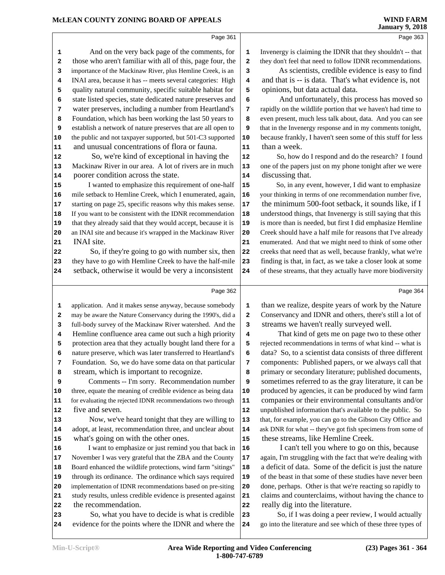Page 363

|                         | Page 361                                                     |                         |         |
|-------------------------|--------------------------------------------------------------|-------------------------|---------|
| 1                       | And on the very back page of the comments, for               | 1                       | Inven   |
| $\mathbf{2}$            | those who aren't familiar with all of this, page four, the   | $\overline{\mathbf{2}}$ | they d  |
| 3                       | importance of the Mackinaw River, plus Hemline Creek, is an  | 3                       |         |
| 4                       | INAI area, because it has -- meets several categories: High  | 4                       | and t   |
| 5                       | quality natural community, specific suitable habitat for     | 5                       | opin    |
| 6                       | state listed species, state dedicated nature preserves and   | 6                       |         |
| 7                       | water preserves, including a number from Heartland's         | 7                       | rapidl  |
| 8                       | Foundation, which has been working the last 50 years to      | 8                       | even p  |
| 9                       | establish a network of nature preserves that are all open to | 9                       | that in |
| 10                      | the public and not taxpayer supported, but 501-C3 supported  | 10                      | becau   |
| 11                      | and unusual concentrations of flora or fauna.                | 11                      | than    |
| 12                      | So, we're kind of exceptional in having the                  | 12                      |         |
| 13                      | Mackinaw River in our area. A lot of rivers are in much      | 13                      | one of  |
| 14                      | poorer condition across the state.                           | 14                      | discu   |
| 15                      | I wanted to emphasize this requirement of one-half           | 15                      |         |
| 16                      | mile setback to Hemline Creek, which I enumerated, again,    | 16                      | your tl |
| 17                      | starting on page 25, specific reasons why this makes sense.  | 17                      | the n   |
| 18                      | If you want to be consistent with the IDNR recommendation    | 18                      | under   |
| 19                      | that they already said that they would accept, because it is | 19                      | is mo   |
| 20                      | an INAI site and because it's wrapped in the Mackinaw River  | 20                      | Creek   |
| 21                      | INAI site.                                                   | 21                      | enume   |
| 22                      | So, if they're going to go with number six, then             | 22                      | creek:  |
| 23                      | they have to go with Hemline Creek to have the half-mile     | 23                      | findir  |
| 24                      | setback, otherwise it would be very a inconsistent           | 24                      | of the  |
|                         |                                                              |                         |         |
|                         | Page 362                                                     |                         |         |
| 1                       | application. And it makes sense anyway, because somebody     | 1                       | than    |
| $\overline{\mathbf{2}}$ | may be aware the Nature Conservancy during the 1990's, did a | $\overline{\mathbf{2}}$ | Conse   |
| 3                       | full-body survey of the Mackinaw River watershed. And the    | 3                       | strea   |
| 4                       | Hemline confluence area came out such a high priority        | 4                       |         |
| 5                       | protection area that they actually bought land there for a   | 5                       | reject  |
| 6                       | nature preserve, which was later transferred to Heartland's  | 6                       | data?   |
| 7                       | Foundation. So, we do have some data on that particular      | 7                       | comp    |
| 8                       | stream, which is important to recognize.                     | 8                       | prima   |
| 9                       | Comments -- I'm sorry. Recommendation number                 | 9                       | some    |
| 10                      | three, equate the meaning of credible evidence as being data | 10                      | produ   |
| 11                      | for evaluating the rejected IDNR recommendations two through | 11                      | comp    |
| 12                      | five and seven.                                              | 12                      | unpub   |
| 13                      | Now, we've heard tonight that they are willing to            | 13                      | that, f |
| 14                      | adopt, at least, recommendation three, and unclear about     | 14                      | ask Dl  |
| 15                      | what's going on with the other ones.                         | 15                      | these   |
| 16                      | I want to emphasize or just remind you that back in          | 16                      |         |
| 17                      | November I was very grateful that the ZBA and the County     | 17                      | again,  |
| 18                      | Board enhanced the wildlife protections, wind farm "sitings" | 18                      | a defi  |
| 19                      | through its ordinance. The ordinance which says required     | 19                      | of the  |
| 20                      | implementation of IDNR recommendations based on pre-siting   | 20                      | done,   |
| 21                      | study results, unless credible evidence is presented against | 21                      | claim   |

ergy is claiming the IDNR that they shouldn't -- that lon't feel that need to follow **IDNR** recommendations.

As scientists, credible evidence is easy to find that is -- is data. That's what evidence is, not **ions, but data actual data.** 

And unfortunately, this process has moved so **y** on the wildlife portion that we haven't had time to **B** present, much less talk about, data. And you can see the Invenergy response and in my comments tonight, **100** is frankly, I haven't seen some of this stuff for less a week.

So, how do I respond and do the research? I found f the papers just on my phone tonight after we were **14** issing that.

**15** So, in any event, however, I did want to emphasize hinking in terms of one recommendation number five, **17** the minimum 500-foot setback, it sounds like, if I stood things, that Invenergy is still saying that this re than is needed, but first I did emphasize Hemline should have a half mile for reasons that I've already erated. And that we might need to think of some other  $22$  s that need that as well, because frankly, what we're **23** finding is that, in fact, as we take a closer look at some se streams, that they actually have more biodiversity

Page 364

**22** the recommendation. 23 So, what you have to decide is what is credible 23 **24** evidence for the points where the IDNR and where the 24 we realize, despite years of work by the Nature ervancy and IDNR and others, there's still a lot of **In stranger we haven't really surveyed well.** 

That kind of gets me on page two to these other ed recommendations in terms of what kind -- what is So, to a scientist data consists of three different *Published papers, or we always call that* ary or secondary literature; published documents, estimes referred to as the gray literature, it can be **10** produced by agencies, it can be produced by wind farm **11** companies or their environmental consultants and/or **12** unpublished information that's available to the public. So **13** that, for example, you can go to the Gibson City Office and NR for what -- they've got fish specimens from some of **15** streams, like Hemline Creek.

I can't tell you where to go on this, because I'm struggling with the fact that we're dealing with **18** active of the deficit is just the nature beast in that some of these studies have never been perhaps. Other is that we're reacting so rapidly to **21** claims and counterclaims, without having the chance to **22** really dig into the literature.

**23** So, if I was doing a peer review, I would actually **24** go into the literature and see which of these three types of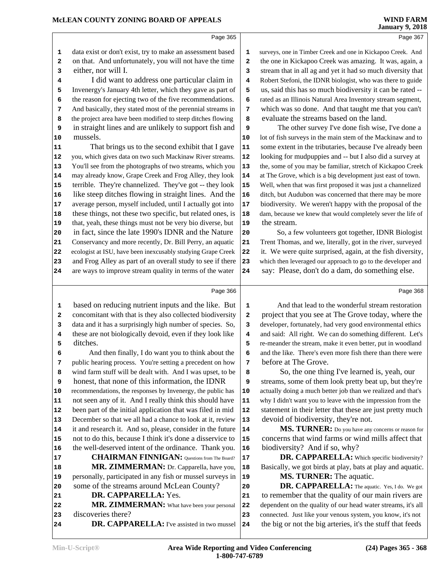|            | Page 365                                                     |            |                            |
|------------|--------------------------------------------------------------|------------|----------------------------|
| 1          | data exist or don't exist, try to make an assessment based   | 1          | surveys, one in Timber C   |
| 2          | on that. And unfortunately, you will not have the time       | 2          | the one in Kickapoo C      |
| 3          | either, nor will I.                                          | 3          | stream that in all ag ar   |
| 4          | I did want to address one particular claim in                | 4          | Robert Stefoni, the IDN    |
| 5          | Invenergy's January 4th letter, which they gave as part of   | 5          | us, said this has so m     |
| 6          | the reason for ejecting two of the five recommendations.     | 6          | rated as an Illinois Natu  |
| 7          | And basically, they stated most of the perennial streams in  | 7          | which was so done.         |
| 8          | the project area have been modified to steep ditches flowing | 8          | evaluate the stream        |
| 9          | in straight lines and are unlikely to support fish and       | 9          | The other surve            |
| 10         | mussels.                                                     | 10         | lot of fish surveys in the |
| 11         | That brings us to the second exhibit that I gave             | 11         | some extent in the trib    |
| 12         | you, which gives data on two such Mackinaw River streams.    | 12         | looking for mudpuppie      |
| 13         | You'll see from the photographs of two streams, which you    | 13         | the, some of you may be    |
| ${\bf 14}$ | may already know, Grape Creek and Frog Alley, they look      | 14         | at The Grove, which is a   |
| 15         | terrible. They're channelized. They've got -- they look      | 15         | Well, when that was firs   |
| 16         | like steep ditches flowing in straight lines. And the        | 16         | ditch, but Audubon was     |
| 17         | average person, myself included, until I actually got into   | 17         | biodiversity. We were      |
| 18         | these things, not these two specific, but related ones, is   | 18         | dam, because we knew tl    |
| 19         | that, yeah, these things must not be very bio diverse, but   | 19         | the stream.                |
| 20         | in fact, since the late 1990's IDNR and the Nature           | 20         | So, a few volunt           |
| 21         | Conservancy and more recently, Dr. Bill Perry, an aquatic    | 21         | Trent Thomas, and we,      |
| 22         | ecologist at ISU, have been inexcusably studying Grape Creek | 22         | it. We were quite sur      |
| 23         | and Frog Alley as part of an overall study to see if there   | 23         | which then leveraged ou:   |
| 24         | are ways to improve stream quality in terms of the water     | 24         | say: Please, don't d       |
|            | Page 366                                                     |            |                            |
| 1          | based on reducing nutrient inputs and the like. But          | 1          | And that lead to           |
| 2          | concomitant with that is they also collected biodiversity    | 2          | project that you see       |
| 3          | data and it has a surprisingly high number of species. So,   | 3          | developer, fortunately, l  |
| 4          | these are not biologically devoid, even if they look like    | 4          | and said: All right. W     |
| 5          | ditches.                                                     | 5          | re-meander the stream,     |
| 6          | And then finally, I do want you to think about the           | 6          | and the like. There's ev   |
| 7          | public hearing process. You're setting a precedent on how    | 7          | before at The Grove        |
| 8          | wind farm stuff will be dealt with. And I was upset, to be   | 8          | So, the one th             |
| 9          | honest, that none of this information, the IDNR              | 9          | streams, some of their     |
| 10         | recommendations, the responses by Invenergy, the public has  | ${\bf 10}$ | actually doing a much b    |
| 11         | not seen any of it. And I really think this should have      | 11         | why I didn't want you to   |
| 12         | been part of the initial application that was filed in mid   | 12         | statement in their lett    |
| 13         | December so that we all had a chance to look at it, review   | 13         | devoid of biodivers        |
| 14         | it and research it. And so, please, consider in the future   | 14         | <b>MS. TURNE</b>           |
| 15         | not to do this, because I think it's done a disservice to    | 15         | concerns that wind         |
| 16         | the well-deserved intent of the ordinance. Thank you.        | 16         | biodiversity? And          |
| 17         | <b>CHAIRMAN FINNIGAN:</b> Questions from The Board?          | 17         | DR. CAPPAI                 |
| 18         | MR. ZIMMERMAN: Dr. Capparella, have you,                     | 18         | Basically, we got bird     |
| 19         | personally, participated in any fish or mussel surveys in    | 19         | <b>MS. TURNE</b>           |
| 20         | some of the streams around McLean County?                    | 20         | DR. CAPPAI                 |
| 21         | DR. CAPPARELLA: Yes.                                         | 21         | to remember that th        |
| 22         | MR. ZIMMERMAN: What have been your personal                  | 22         | dependent on the quali     |
| 23         | discoveries there?                                           | 23         | connected. Just like you   |
| 24         | <b>DR. CAPPARELLA:</b> I've assisted in two mussel           | 24         | the big or not the big     |

reek and one in Kickapoo Creek. And reek was amazing. It was, again, a d yet it had so much diversity that R biologist, who was there to guide **Example 1** us, such biodiversity it can be rated -ral Area Inventory stream segment, And that taught me that you can't s based on the land.

**y** I've done fish wise, I've done a e main stem of the Mackinaw and to butaries, because I've already been es and -- but I also did a survey at **13** e familiar, stretch of Kickapoo Creek a big development just east of town. **15** st proposed it was just a channelized **16** s concerned that there may be more en't happy with the proposal of the hat would completely sever the life of

**2025** a got together, **IDNR** Biologist literally, got in the river, surveyed prised, again, at the fish diversity, r approach to go to the developer and  $\alpha$  a dam, do something else.

Page 368

the wonderful stream restoration at The Grove today, where the had very good environmental ethics e can do something different. Let's make it even better, put in woodland **b** wen more fish there than there were  **7** before at The Grove.

ing I've learned is, yeah, our m look pretty beat up, but they're **1** better job than we realized and that's 11 leave with the impression from the er that these are just pretty much ity, they're not.

**R**: Do you have any concerns or reason for farms or wind mills affect that **if so, why?** 

**RELLA:** Which specific biodiversity? Is at play, bats at play and aquatic. **R:** The aquatic.

**RELLA:** The aquatic. Yes, I do. We got e quality of our main rivers are ty of our head water streams, it's all  $2$  curvenous system, you know, it's not **24** the big or not the big arteries, it's the stuff that feeds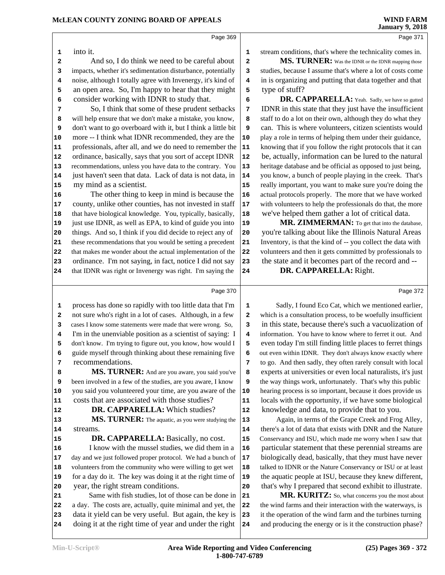Page 371

Page 372

Page 369

into it.

 And so, I do think we need to be careful about 2 impacts, whether it's sedimentation disturbance, potentially **3**  noise, although I totally agree with Invenergy, it's kind of **4**  an open area. So, I'm happy to hear that they might  $\vert$  **5** consider working with IDNR to study that.

 So, I think that some of these prudent setbacks  $\begin{bmatrix} 7 \end{bmatrix}$  will help ensure that we don't make a mistake, you know, don't want to go overboard with it, but I think a little bit | **9**  more -- I think what IDNR recommended, they are the 10 professionals, after all, and we do need to remember the **11**  ordinance, basically, says that you sort of accept IDNR | **12**  recommendations, unless you have data to the contrary. You **13**  just haven't seen that data. Lack of data is not data, in | **14** my mind as a scientist.

 The other thing to keep in mind is because the 16 county, unlike other counties, has not invested in staff | **17**  that have biological knowledge. You, typically, basically, 18 just use IDNR, as well as EPA, to kind of guide you into 19 things. And so, I think if you did decide to reject any of 20 these recommendations that you would be setting a precedent 21 that makes me wonder about the actual implementation of the 22 23 ordinance. I'm not saying, in fact, notice I did not say 23 that IDNR was right or Invenergy was right. I'm saying the 24

stream conditions, that's where the technicality comes in.

**MS. TURNER:** Was the IDNR or the IDNR mapping those studies, because I assume that's where a lot of costs come in is organizing and putting that data together and that type of stuff?

 **DR. CAPPARELLA:** Yeah. Sadly, we have so gutted **IDNR** in this state that they just have the insufficient staff to do a lot on their own, although they do what they can. This is where volunteers, citizen scientists would play a role in terms of helping them under their guidance, knowing that if you follow the right protocols that it can be, actually, information can be lured to the natural heritage database and be official as opposed to just being, you know, a bunch of people playing in the creek. That's really important, you want to make sure you're doing the actual protocols properly. The more that we have worked with volunteers to help the professionals do that, the more we've helped them gather a lot of critical data.

MR. ZIMMERMAN: To get that into the database, you're talking about like the Illinois Natural Areas Inventory, is that the kind of -- you collect the data with volunteers and then it gets committed by professionals to the state and it becomes part of the record and --

 **DR. CAPPARELLA:** Right.

Page 370

 process has done so rapidly with too little data that I'm 1 not sure who's right in a lot of cases. Although, in a few | **2**  cases I know some statements were made that were wrong. So, I'm in the unenviable position as a scientist of saying: I 4 don't know. I'm trying to figure out, you know, how would I 5 guide myself through thinking about these remaining five  $\begin{bmatrix} 6 \end{bmatrix}$  recommendations. **MS. TURNER:** And are you aware, you said you've | 8 been involved in a few of the studies, are you aware, I know **9**  you said you volunteered your time, are you aware of the 10 costs that are associated with those studies?  **DR. CAPPARELLA:** Which studies? **MS. TURNER:** The aquatic, as you were studying the 13 streams. **DR. CAPPARELLA:** Basically, no cost. I know with the mussel studies, we did them in a | **16**  day and we just followed proper protocol. We had a bunch of 17 volunteers from the community who were willing to get wet | **18**  for a day do it. The key was doing it at the right time of | **19**  year, the right stream conditions. Same with fish studies, lot of those can be done in 21 a day. The costs are, actually, quite minimal and yet, the 22 data it yield can be very useful. But again, the key is 23 doing it at the right time of year and under the right 24

Sadly, I found Eco Cat, which we mentioned earlier, which is a consultation process, to be woefully insufficient in this state, because there's such a vacuolization of information. You have to know where to ferret it out. And even today I'm still finding little places to ferret things out even within IDNR. They don't always know exactly where to go. And then sadly, they often rarely consult with local experts at universities or even local naturalists, it's just the way things work, unfortunately. That's why this public hearing process is so important, because it does provide us locals with the opportunity, if we have some biological knowledge and data, to provide that to you.

 Again, in terms of the Grape Creek and Frog Alley, there's a lot of data that exists with DNR and the Nature Conservancy and ISU, which made me worry when I saw that particular statement that these perennial streams are biologically dead, basically, that they must have never talked to IDNR or the Nature Conservancy or ISU or at least the aquatic people at ISU, because they knew different, that's why I prepared that second exhibit to illustrate.

MR. KURITZ: So, what concerns you the most about the wind farms and their interaction with the waterways, is it the operation of the wind farm and the turbines turning and producing the energy or is it the construction phase?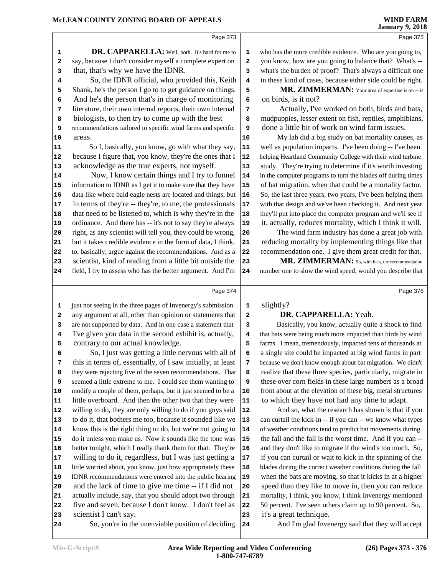Page 375

|                         | Page 373                                                     |                         |         |
|-------------------------|--------------------------------------------------------------|-------------------------|---------|
| 1                       | DR. CAPPARELLA: Well, both. It's hard for me to              | 1                       | who l   |
| $\overline{\mathbf{2}}$ | say, because I don't consider myself a complete expert on    | $\overline{\mathbf{2}}$ | you l   |
| 3                       | that, that's why we have the IDNR.                           | 3                       | what    |
| 4                       | So, the IDNR official, who provided this, Keith              | $\overline{\mathbf{4}}$ | in the  |
| 5                       | Shank, he's the person I go to to get guidance on things.    | 5                       |         |
| 6                       | And he's the person that's in charge of monitoring           | 6                       | on b    |
| 7                       | literature, their own internal reports, their own internal   | 7                       |         |
| 8                       | biologists, to then try to come up with the best             | 8                       | mud     |
| 9                       | recommendations tailored to specific wind farms and specific | 9                       | don     |
| 10                      | areas.                                                       | 10                      |         |
| 11                      | So I, basically, you know, go with what they say,            | 11                      | well    |
| 12                      | because I figure that, you know, they're the ones that I     | 12                      | helpir  |
| 13                      | acknowledge as the true experts, not myself.                 | 13                      | study   |
| 14                      | Now, I know certain things and I try to funnel               | 14                      | in the  |
| 15                      | information to IDNR as I get it to make sure that they have  | 15                      | $of$ ba |
| 16                      | data like where bald eagle nests are located and things, but | 16                      | So, tl  |
| 17                      | in terms of they're -- they're, to me, the professionals     | 17                      | with 1  |
| 18                      | that need to be listened to, which is why they're in the     | 18                      | they'l  |
| 19                      | ordinance. And there has -- it's not to say they're always   | 19                      | it, a   |
| 20                      | right, as any scientist will tell you, they could be wrong,  | 20                      |         |
| 21                      | but it takes credible evidence in the form of data, I think, | 21                      | redu    |
| 22                      | to, basically, argue against the recommendations. And as a   | 22                      | recor   |
| 23                      | scientist, kind of reading from a little bit outside the     | 23                      |         |
| 24                      | field, I try to assess who has the better argument. And I'm  | 24                      | numb    |
|                         |                                                              |                         |         |
|                         |                                                              |                         |         |

 just not seeing in the three pages of Invenergy's submission 1 any argument at all, other than opinion or statements that **2**  are not supported by data. And in one case a statement that **3** I've given you data in the second exhibit is, actually,

**6** So, I just was getting a little nervous with all of **6** 

contrary to our actual knowledge.

 who has the more credible evidence. Who are you going to, you know, how are you going to balance that? What's -- what's the burden of proof? That's always a difficult one in these kind of cases, because either side could be right.

 MR. ZIMMERMAN: Your area of expertise is on -- is on birds, is it not?

 Actually, I've worked on both, birds and bats, mudpuppies, lesser extent on fish, reptiles, amphibians, done a little bit of work on wind farm issues.

 My lab did a big study on bat mortality causes, as well as population impacts. I've been doing -- I've been helping Heartland Community College with their wind turbine study. They're trying to determine if it's worth investing in the computer programs to turn the blades off during times of bat migration, when that could be a mortality factor. So, the last three years, two years, I've been helping them with that design and we've been checking it. And next year they'll put into place the computer program and we'll see if it, actually, reduces mortality, which I think it will.

 The wind farm industry has done a great job with reducing mortality by implementing things like that recommendation one. I give them great credit for that.

23 MR. ZIMMERMAN: So, with bats, the recommendation number one to slow the wind speed, would you describe that

Page 374

| slightly? |                  |
|-----------|------------------|
|           | DD <i>c</i> iddi |

#### **DR. CAPPARELLA:** Yeah.

 Basically, you know, actually quite a shock to find that bats were being much more impacted than birds by wind farms. I mean, tremendously, impacted tens of thousands at a single site could be impacted at big wind farms in part because we don't know enough about bat migration. We didn't realize that these three species, particularly, migrate in these over corn fields in these large numbers as a broad front about at the elevation of these big, metal structures to which they have not had any time to adapt.

And so, what the research has shown is that if you can curtail the kick-in -- if you can -- we know what types of weather conditions tend to predict bat movements during the fall and the fall is the worst time. And if you can -- and they don't like to migrate if the wind's too much. So, if you can curtail or wait to kick in the spinning of the blades during the correct weather conditions during the fall when the bats are moving, so that it kicks in at a higher speed than they like to move in, then you can reduce mortality, I think, you know, I think Invenergy mentioned 50 percent. I've seen others claim up to 90 percent. So, it's a great technique.

And I'm glad Invenergy said that they will accept

**7** this in terms of, essentially, of I saw initially, at least  $\begin{bmatrix} 7 \end{bmatrix}$ 

 they were rejecting five of the seven recommendations. That **8**  seemed a little extreme to me. I could see them wanting to **9**  modify a couple of them, perhaps, but it just seemed to be a | **10**  little overboard. And then the other two that they were | **11**  willing to do, they are only willing to do if you guys said | **12**  to do it, that bothers me too, because it sounded like we | **13**  know this is the right thing to do, but we're not going to |**14**  do it unless you make us. Now it sounds like the tone was 15 better tonight, which I really thank them for that. They're 16 willing to do it, regardless, but I was just getting a | **17**  little worried about, you know, just how appropriately these | **18**  IDNR recommendations were entered into the public hearing 19 and the lack of time to give me time -- if I did not actually include, say, that you should adopt two through 21 five and seven, because I don't know. I don't feel as 22 scientist I can't say. So, you're in the unenviable position of deciding 24

Page 376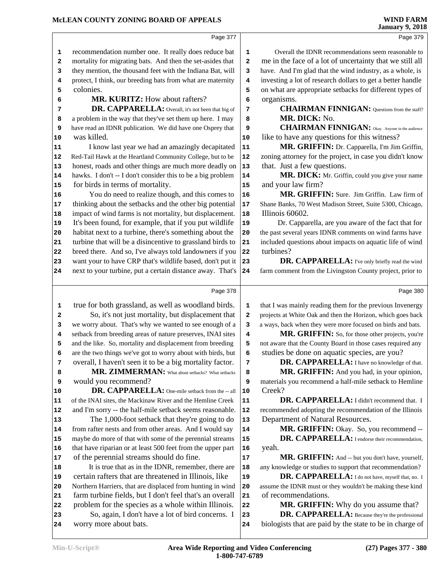| McLEAN COUNTY ZONING BOARD OF APPEALS |                                                             |                         | <b>WIND FARM</b><br><b>January 9, 2018</b>                  |  |  |  |
|---------------------------------------|-------------------------------------------------------------|-------------------------|-------------------------------------------------------------|--|--|--|
|                                       | Page 377                                                    |                         | Page 379                                                    |  |  |  |
| 1                                     | recommendation number one. It really does reduce bat        | $\mathbf 1$             | Overall the IDNR recommendations seem reasonable to         |  |  |  |
| 2                                     | mortality for migrating bats. And then the set-asides that  | 2                       | me in the face of a lot of uncertainty that we still all    |  |  |  |
| 3                                     | they mention, the thousand feet with the Indiana Bat, will  | 3                       | have. And I'm glad that the wind industry, as a whole, is   |  |  |  |
| 4                                     | protect, I think, our breeding bats from what are maternity | $\overline{\mathbf{4}}$ | investing a lot of research dollars to get a better handle  |  |  |  |
| 5                                     | colonies.                                                   | 5                       | on what are appropriate setbacks for different types of     |  |  |  |
| 6                                     | MR. KURITZ: How about rafters?                              | 6                       | organisms.                                                  |  |  |  |
| 7                                     | DR. CAPPARELLA: Overall, it's not been that big of          | 7                       | <b>CHAIRMAN FINNIGAN:</b> Questions from the staff?         |  |  |  |
| 8                                     | a problem in the way that they've set them up here. I may   | 8                       | MR. DICK: No.                                               |  |  |  |
| 9                                     | have read an IDNR publication. We did have one Osprey that  | 9                       | <b>CHAIRMAN FINNIGAN:</b> Okay. Anyone in the audience      |  |  |  |
| 10                                    | was killed.                                                 | 10                      | like to have any questions for this witness?                |  |  |  |
| 11                                    | I know last year we had an amazingly decapitated            | ${\bf 11}$              | MR. GRIFFIN: Dr. Capparella, I'm Jim Griffin,               |  |  |  |
| 12                                    | Red-Tail Hawk at the Heartland Community College, but to be | ${\bf 12}$              | zoning attorney for the project, in case you didn't know    |  |  |  |
| 13                                    | honest, roads and other things are much more deadly on      | 13                      | that. Just a few questions.                                 |  |  |  |
| 14                                    | hawks. I don't -- I don't consider this to be a big problem | 14                      | MR. DICK: Mr. Griffin, could you give your name             |  |  |  |
| 15                                    | for birds in terms of mortality.                            | 15                      | and your law firm?                                          |  |  |  |
| 16                                    | You do need to realize though, and this comes to            | 16                      | MR. GRIFFIN: Sure. Jim Griffin. Law firm of                 |  |  |  |
| 17                                    | thinking about the setbacks and the other big potential     | 17                      | Shane Banks, 70 West Madison Street, Suite 5300, Chicago,   |  |  |  |
| 18                                    | impact of wind farms is not mortality, but displacement.    | 18                      | Illinois 60602.                                             |  |  |  |
| 19                                    | It's been found, for example, that if you put wildlife      | 19                      | Dr. Capparella, are you aware of the fact that for          |  |  |  |
| 20                                    | habitat next to a turbine, there's something about the      | 20                      | the past several years IDNR comments on wind farms have     |  |  |  |
| 21                                    | turbine that will be a disincentive to grassland birds to   | 21                      | included questions about impacts on aquatic life of wind    |  |  |  |
| 22                                    | breed there. And so, I've always told landowners if you     | 22                      | turbines?                                                   |  |  |  |
| 23                                    | want your to have CRP that's wildlife based, don't put it   | 23                      | DR. CAPPARELLA: I've only briefly read the wind             |  |  |  |
| 24                                    | next to your turbine, put a certain distance away. That's   | 24                      | farm comment from the Livingston County project, prior to   |  |  |  |
|                                       | Page 378                                                    |                         | Page 380                                                    |  |  |  |
| 1                                     | true for both grassland, as well as woodland birds.         | 1                       | that I was mainly reading them for the previous Invenergy   |  |  |  |
| $\mathbf{2}$                          | So, it's not just mortality, but displacement that          | $\mathbf 2$             | projects at White Oak and then the Horizon, which goes back |  |  |  |
| 3                                     | we worry about. That's why we wanted to see enough of a     | з                       | a ways, back when they were more focused on birds and bats. |  |  |  |
| 4                                     | setback from breeding areas of nature preserves, INAI sites | 4                       | MR. GRIFFIN: So, for those other projects, you're           |  |  |  |
| 5                                     | and the like. So, mortality and displacement from breeding  | 5                       | not aware that the County Board in those cases required any |  |  |  |
| 6                                     | are the two things we've got to worry about with birds, but | 6                       | studies be done on aquatic species, are you?                |  |  |  |

**DR. CAPPARELLA:** I have no knowledge of that.  **MR. GRIFFIN:** And you had, in your opinion, materials you recommend a half-mile setback to Hemline Creek?

**DR. CAPPARELLA:** I didn't recommend that. I recommended adopting the recommendation of the Illinois Department of Natural Resources.

**MR. GRIFFIN:** Okay. So, you recommend -- **DR. CAPPARELLA:** I endorse their recommendation, yeah.

17 MR. GRIFFIN: And -- but you don't have, yourself, any knowledge or studies to support that recommendation?

 **DR. CAPPARELLA:** I do not have, myself that, no. I assume the IDNR must or they wouldn't be making these kind of recommendations.

**MR. GRIFFIN:** Why do you assume that?  **DR. CAPPARELLA:** Because they're the professional biologists that are paid by the state to be in charge of

 impact of wind farms is not mortality, but displacement. 18 It's been found, for example, that if you put wildlife habitat next to a turbine, there's something about the 20 turbine that will be a disincentive to grassland birds to **21** i breed there. And so, I've always told landowners if you 22 to want your to have CRP that's wildlife based, don't put it 23 next to your turbine, put a certain distance away. That's 24 true for both grassland, as well as woodland birds. 1 So, it's not just mortality, but displacement that 2 we worry about. That's why we wanted to see enough of a | **3**  setback from breeding areas of nature preserves, INAI sites and the like. So, mortality and displacement from breeding **5**  are the two things we've got to worry about with birds, but **6**  overall, I haven't seen it to be a big mortality factor. | **7 MR. ZIMMERMAN:** What about setbacks? What setbacks would you recommend? **DR. CAPPARELLA:** One-mile setback from the -- all 10 of the INAI sites, the Mackinaw River and the Hemline Creek | 11 and I'm sorry -- the half-mile setback seems reasonable. 12 The 1,000-foot setback that they're going to do | 13 from rafter nests and from other areas. And I would say | **14**  maybe do more of that with some of the perennial streams 15 that have riparian or at least 500 feet from the upper part 16 of the perennial streams should do fine. 18 It is true that as in the IDNR, remember, there are 18 certain rafters that are threatened in Illinois, like Northern Harriers, that are displaced from hunting in wind 20 farm turbine fields, but I don't feel that's an overall 21 22 problem for the species as a whole within Illinois. 22 23 So, again, I don't have a lot of bird concerns. I 23

worry more about bats.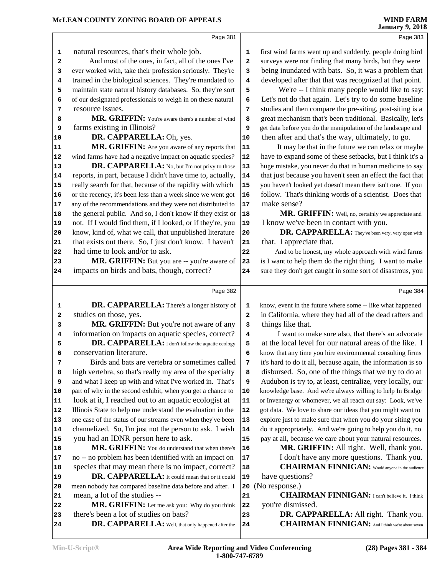|    | Page 381                                                     |            | Page 383                                                     |
|----|--------------------------------------------------------------|------------|--------------------------------------------------------------|
| 1  | natural resources, that's their whole job.                   | 1          | first wind farms went up and suddenly, people doing bird     |
| 2  | And most of the ones, in fact, all of the ones I've          | 2          | surveys were not finding that many birds, but they were      |
| 3  | ever worked with, take their profession seriously. They're   | 3          | being inundated with bats. So, it was a problem that         |
| 4  | trained in the biological sciences. They're mandated to      | 4          | developed after that that was recognized at that point.      |
| 5  | maintain state natural history databases. So, they're sort   | 5          | We're -- I think many people would like to say:              |
| 6  | of our designated professionals to weigh in on these natural | 6          | Let's not do that again. Let's try to do some baseline       |
| 7  | resource issues.                                             | 7          | studies and then compare the pre-siting, post-siting is a    |
| 8  | MR. GRIFFIN: You're aware there's a number of wind           | 8          | great mechanism that's been traditional. Basically, let's    |
| 9  | farms existing in Illinois?                                  | 9          | get data before you do the manipulation of the landscape and |
| 10 | DR. CAPPARELLA: Oh, yes.                                     | 10         | then after and that's the way, ultimately, to go.            |
| 11 | MR. GRIFFIN: Are you aware of any reports that               | 11         | It may be that in the future we can relax or maybe           |
| 12 | wind farms have had a negative impact on aquatic species?    | 12         | have to expand some of these setbacks, but I think it's a    |
|    | DR. CAPPARELLA: No, but I'm not privy to those               |            | huge mistake, you never do that in human medicine to say     |
| 13 |                                                              | 13         |                                                              |
| 14 | reports, in part, because I didn't have time to, actually,   | 14         | that just because you haven't seen an effect the fact that   |
| 15 | really search for that, because of the rapidity with which   | 15         | you haven't looked yet doesn't mean there isn't one. If you  |
| 16 | or the recency, it's been less than a week since we went got | 16         | follow. That's thinking words of a scientist. Does that      |
| 17 | any of the recommendations and they were not distributed to  | 17         | make sense?                                                  |
| 18 | the general public. And so, I don't know if they exist or    | 18         | MR. GRIFFIN: Well, no, certainly we appreciate and           |
| 19 | not. If I would find them, if I looked, or if they're, you   | 19         | I know we've been in contact with you.                       |
| 20 | know, kind of, what we call, that unpublished literature     | 20         | DR. CAPPARELLA: They've been very, very open with            |
| 21 | that exists out there. So, I just don't know. I haven't      | 21         | that. I appreciate that.                                     |
| 22 | had time to look and/or to ask.                              | 22         | And to be honest, my whole approach with wind farms          |
| 23 | MR. GRIFFIN: But you are -- you're aware of                  | 23         | is I want to help them do the right thing. I want to make    |
| 24 | impacts on birds and bats, though, correct?                  | 24         | sure they don't get caught in some sort of disastrous, you   |
|    | Page 382                                                     |            |                                                              |
|    |                                                              |            | Page 384                                                     |
| 1  | <b>DR. CAPPARELLA:</b> There's a longer history of           | 1          | know, event in the future where some -- like what happened   |
| 2  | studies on those, yes.                                       | 2          | in California, where they had all of the dead rafters and    |
| 3  | MR. GRIFFIN: But you're not aware of any                     | 3          | things like that.                                            |
| 4  | information on impacts on aquatic species, correct?          | 4          | I want to make sure also, that there's an advocate           |
| 5  | DR. CAPPARELLA: I don't follow the aquatic ecology           | 5          | at the local level for our natural areas of the like. I      |
| 6  | conservation literature.                                     | 6          | know that any time you hire environmental consulting firms   |
| 7  | Birds and bats are vertebra or sometimes called              | 7          | it's hard to do it all, because again, the information is so |
| 8  | high vertebra, so that's really my area of the specialty     | 8          | disbursed. So, one of the things that we try to do at        |
| 9  | and what I keep up with and what I've worked in. That's      | 9          | Audubon is try to, at least, centralize, very locally, our   |
| 10 | part of why in the second exhibit, when you get a chance to  | ${\bf 10}$ | knowledge base. And we're always willing to help In Bridge   |
| 11 | look at it, I reached out to an aquatic ecologist at         | ${\bf 11}$ | or Invenergy or whomever, we all reach out say: Look, we've  |
| 12 | Illinois State to help me understand the evaluation in the   | ${\bf 12}$ | got data. We love to share our ideas that you might want to  |
| 13 | one case of the status of our streams even when they've been | 13         | explore just to make sure that when you do your siting you   |
| 14 | channelized. So, I'm just not the person to ask. I wish      | 14         | do it appropriately. And we're going to help you do it, no   |
| 15 | you had an IDNR person here to ask.                          | 15         | pay at all, because we care about your natural resources.    |
| 16 | MR. GRIFFIN: You do understand that when there's             | 16         | MR. GRIFFIN: All right. Well, thank you.                     |
| 17 | no -- no problem has been identified with an impact on       | 17         | I don't have any more questions. Thank you.                  |
| 18 | species that may mean there is no impact, correct?           | 18         | <b>CHAIRMAN FINNIGAN:</b> Would anyone in the audience       |
| 19 | DR. CAPPARELLA: It could mean that or it could               | 19         | have questions?                                              |
| 20 | mean nobody has compared baseline data before and after. I   | 20         | (No response.)                                               |
| 21 | mean, a lot of the studies --                                | 21         | <b>CHAIRMAN FINNIGAN:</b> I can't believe it. I think        |
| 22 | MR. GRIFFIN: Let me ask you: Why do you think                | 22         | you're dismissed.                                            |
| 23 | there's been a lot of studies on bats?                       | 23         | DR. CAPPARELLA: All right. Thank you.                        |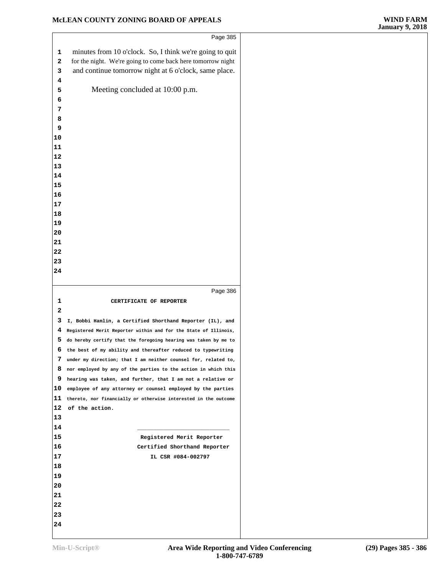| Page 385                                                                          |          |
|-----------------------------------------------------------------------------------|----------|
| minutes from 10 o'clock. So, I think we're going to quit                          | 1        |
| for the night. We're going to come back here tomorrow night                       | 2        |
| and continue tomorrow night at 6 o'clock, same place.                             | з        |
|                                                                                   | 4        |
| Meeting concluded at 10:00 p.m.                                                   | 5        |
|                                                                                   | 6        |
|                                                                                   | 7        |
|                                                                                   | 8        |
|                                                                                   | 9        |
|                                                                                   | 10       |
|                                                                                   | 11       |
|                                                                                   | 12       |
|                                                                                   | 13       |
|                                                                                   | 14       |
|                                                                                   | 15       |
|                                                                                   | 16       |
|                                                                                   | 17       |
|                                                                                   | 18       |
|                                                                                   | 19       |
|                                                                                   | 20       |
|                                                                                   | 21       |
|                                                                                   | 22       |
|                                                                                   | 23       |
|                                                                                   | 24       |
|                                                                                   |          |
|                                                                                   |          |
| Page 386                                                                          |          |
| CERTIFICATE OF REPORTER                                                           | 1        |
|                                                                                   | 2        |
| I, Bobbi Hamlin, a Certified Shorthand Reporter (IL), and                         | 3        |
| Registered Merit Reporter within and for the State of Illinois,                   | 4        |
| do hereby certify that the foregoing hearing was taken by me to                   | 5        |
| the best of my ability and thereafter reduced to typewriting                      | 6        |
| under my direction; that I am neither counsel for, related to,                    | 7        |
| nor employed by any of the parties to the action in which this                    | 8        |
| hearing was taken, and further, that I am not a relative or                       | 9        |
| employee of any attorney or counsel employed by the parties                       | 10       |
| thereto, nor financially or otherwise interested in the outcome<br>of the action. | 11<br>12 |
|                                                                                   | 13       |
|                                                                                   | 14       |
|                                                                                   | 15       |
| Registered Merit Reporter                                                         | 16       |
| Certified Shorthand Reporter<br>IL CSR #084-002797                                | 17       |
|                                                                                   | 18       |
|                                                                                   |          |
|                                                                                   | 19<br>20 |
|                                                                                   | 21       |
|                                                                                   | 22       |
|                                                                                   | 23       |
|                                                                                   | 24       |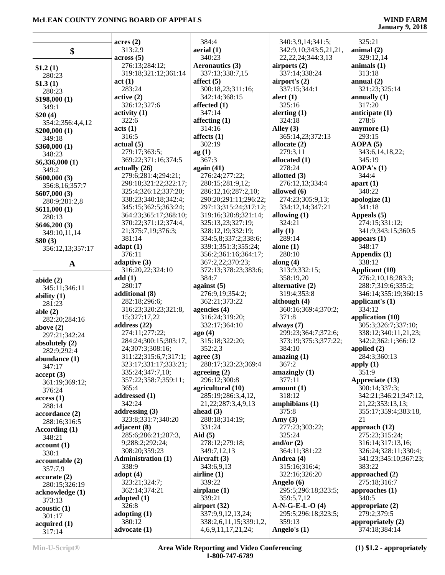|                  | acres(2)                  | 384:4                                        | 340:3,9,14;341:5;      | 325:21                             |
|------------------|---------------------------|----------------------------------------------|------------------------|------------------------------------|
| \$               | 313:2,9                   | aerial (1)                                   | 342:9,10;343:5,21,21,  | animal $(2)$                       |
|                  | across(5)                 | 340:23                                       | 22, 22, 24; 344: 3, 13 | 329:12,14                          |
|                  | 276:13;284:12;            |                                              |                        |                                    |
| \$1.2(1)         |                           | <b>Aeronautics (3)</b>                       | airports $(2)$         | animals $(1)$                      |
| 280:23           | 319:18;321:12;361:14      | 337:13;338:7,15                              | 337:14;338:24          | 313:18                             |
| \$1.3(1)         | act(1)                    | affect $(5)$                                 | airport's (2)          | annual $(2)$                       |
| 280:23           | 283:24                    | 300:18,23;311:16;                            | 337:15;344:1           | 321:23;325:14                      |
| \$198,000(1)     | active(2)                 | 342:14;368:15                                | alert $(1)$            | annually $(1)$                     |
| 349:1            | 326:12;327:6              | affected $(1)$                               | 325:16                 | 317:20                             |
| \$20(4)          | $\text{activity} (1)$     | 347:14                                       | alerting $(1)$         | anticipate (1)                     |
|                  | 322:6                     | affecting $(1)$                              | 324:18                 | 278:6                              |
| 354:2;356:4,4,12 | acts (1)                  | 314:16                                       | Alley $(3)$            | anymore $(1)$                      |
| \$200,000(1)     | 316:5                     | affects $(1)$                                | 365:14,23;372:13       | 293:15                             |
| 349:18           | actual(5)                 | 302:19                                       |                        |                                    |
| \$360,000 (1)    |                           |                                              | allocate $(2)$         | AOPA(5)                            |
| 348:23           | 279:17;363:5;             | ag(1)                                        | 279:3,11               | 343:6,14,18,22;                    |
| \$6,336,000(1)   | 369:22;371:16;374:5       | 367:3                                        | allocated (1)          | 345:19                             |
| 349:2            | actually $(26)$           | again $(41)$                                 | 278:24                 | AOPA's (1)                         |
| \$600,000(3)     | 279:6;281:4;294:21;       | 276:24;277:22;                               | allotted $(3)$         | 344:4                              |
| 356:8,16;357:7   | 298:18;321:22;322:17;     | 280:15;281:9,12;                             | 276:12,13;334:4        | apart $(1)$                        |
| \$607,000(3)     | 325:4;326:12;337:20;      | 286:12,16;287:2,10;                          | allowed (6)            | 340:22                             |
|                  | 338:23;340:18;342:4;      | 290:20;291:11;296:22;                        | 274:23;305:9,13;       | apologize $(1)$                    |
| 280:9;281:2,8    | 345:15;362:5;363:24;      | 297:13;315:24;317:12;                        | 334:12,14;347:21       | 341:18                             |
| \$611,000(1)     | 364:23;365:17;368:10;     | 319:16;320:8;321:14;                         | allowing $(1)$         | Appeals (5)                        |
| 280:13           | 370:22;371:12;374:4,      |                                              | 324:21                 |                                    |
| \$646,200(3)     |                           | 325:13,23;327:19;                            |                        | 274:15;331:12;                     |
| 349:10,11,14     | 21;375:7,19;376:3;        | 328:12,19;332:19;                            | ally $(1)$             | 341:9;343:15;360:5                 |
| \$80(3)          | 381:14                    | 334:5,8;337:2;338:6;                         | 289:14                 | appears $(1)$                      |
| 356:12,13;357:17 | adapt(1)                  | 339:1;351:3;355:24;                          | alone $(1)$            | 348:17                             |
|                  | 376:11                    | 356:2;361:16;364:17;                         | 280:10                 | Appendix (1)                       |
| $\mathbf{A}$     | adaptive $(3)$            | 367:2,22;370:23;                             | along $(4)$            | 338:12                             |
|                  | 316:20,22;324:10          | 372:13;378:23;383:6;                         | 313:9;332:15;          | Applicant (10)                     |
| abide $(2)$      | add(1)                    | 384:7                                        | 358:19,20              | 276:2,10,18;283:3;                 |
| 345:11;346:11    | 280:17                    | against $(5)$                                | alternative (2)        | 288:7;319:6;335:2;                 |
|                  | additional (8)            | 276:9,19;354:2;                              | 319:4;353:8            | 346:14;355:19;360:15               |
| ability $(1)$    | 282:18;296:6;             | 362:21;373:22                                | although (4)           | applicant's $(1)$                  |
| 281:23           | 316:23;320:23;321:8,      | agencies $(4)$                               | 360:16;369:4;370:2;    | 334:12                             |
| able $(2)$       |                           |                                              |                        |                                    |
| 282:20;284:16    | 15;327:17,22              | 316:24;319:20;                               | 371:8                  | application (10)                   |
| above $(2)$      | address $(22)$            | 332:17;364:10                                | always $(7)$           | 305:3;326:7;337:10;                |
| 297:21;342:24    | 274:11;277:22;            | ago(4)                                       | 299:23;364:7;372:6;    | 338:12;340:11,21,23;               |
| absolutely (2)   | 284:24;300:15;303:17,     | 315:18;322:20;                               | 373:19;375:3;377:22;   | 342:2;362:1;366:12                 |
| 282:9;292:4      | 24;307:3;308:16;          | 352:2,3                                      | 384:10                 | applied $(2)$                      |
| abundance $(1)$  | 311:22;315:6,7;317:1;     | agree $(3)$                                  | amazing(1)             | 284:3;360:13                       |
| 347:17           | 323:17;331:17;333:21;     | 288:17;323:23;369:4                          | 367:2                  | apply $(1)$                        |
| accept(3)        | 335:24;347:7,10;          | agreeing $(2)$                               | amazingly $(1)$        | 351:9                              |
|                  | 357:22;358:7;359:11;      | 296:12;300:8                                 | 377:11                 | Appreciate (13)                    |
| 361:19;369:12;   | 365:4                     | agricultural (10)                            | amount $(1)$           | 300:14;337:3;                      |
| 376:24           | addressed (1)             | 285:19;286:3,4,12,                           | 318:12                 | 342:21;346:21;347:12,              |
| access(1)        | 342:24                    |                                              |                        | 21, 22; 353: 13, 13;               |
| 288:14           |                           | 21, 22, 287: 3, 4, 9, 13                     | amphibians(1)          |                                    |
| accordance (2)   | addressing $(3)$          | ahead $(3)$                                  | 375:8                  | 355:17;359:4;383:18,               |
| 288:16;316:5     | 323:8;331:7;340:20        | 288:18;314:19;                               | Amy $(3)$              | 21                                 |
| According (1)    | adjacent (8)              | 331:24                                       | 277:23;303:22;         | approach $(12)$                    |
| 348:21           | 285:6;286:21;287:3,       | Aid $(5)$                                    | 325:24                 | 275:23;315:24;                     |
| account(1)       | 9;288:2;292:24;           | 278:12;279:18;                               | and/or $(2)$           | 316:14;317:13,16;                  |
| 330:1            |                           |                                              | 364:11;381:22          | 326:24;328:11;330:4;               |
|                  | 308:20;359:23             | 349:7,12,13                                  |                        |                                    |
|                  | <b>Administration (1)</b> | Aircraft (3)                                 | Andrea (4)             | 341:23;345:10;367:23;              |
| accountable (2)  |                           |                                              |                        |                                    |
| 357:7,9          | 338:9                     | 343:6,9,13                                   | 315:16;316:4;          | 383:22                             |
| accurate(2)      | adopt $(4)$               | airline $(1)$                                | 322:16;326:20          | approached (2)                     |
| 280:15;326:19    | 323:21;324:7;             | 339:22                                       | Angelo (6)             | 275:18;316:7                       |
| acknowledge (1)  | 362:14;374:21             | airplane $(1)$                               | 295:5;296:18;323:5;    | approaches (1)                     |
| 373:13           | adopted $(1)$             | 339:21                                       | 359:5,7,12             | 340:5                              |
| acoustic(1)      | 326:8                     | airport $(32)$                               | $A-N-G-E-L-O(4)$       | appropriate $(2)$                  |
| 301:17           | adopting $(1)$            | 337:9,9,12,13,24;                            | 295:5;296:18;323:5;    | 279:2;379:5                        |
| acquired(1)      | 380:12<br>advocate (1)    | 338:2,6,11,15;339:1,2,<br>4,6,9,11,17,21,24; | 359:13<br>Angelo's (1) | appropriately (2)<br>374:18;384:14 |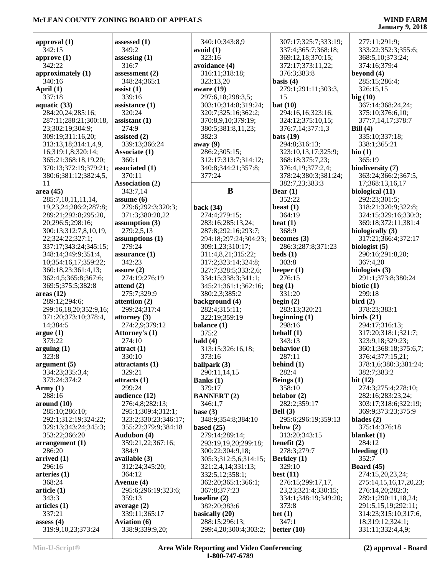## **January 9, 2018**

277:11;291:9;

| approval $(1)$          | assessed (1)           |              |
|-------------------------|------------------------|--------------|
| 342:15                  | 349:2                  | E            |
| approve $(1)$           | assessing $(1)$        |              |
| 342:22                  | 316:7                  | E            |
| approximately (1)       | assessment $(2)$       |              |
| 340:16                  | 348:24;365:1           |              |
| April (1)               | $\text{ assist}(1)$    | É            |
| 337:18                  | 339:16                 |              |
| aquatic (33)            | assistance (1)         |              |
| 284:20,24;285:16;       | 320:24                 |              |
| 287:11;288:21;300:18,   | assistant (1)          |              |
| 23;302:19;304:9;        | 274:9                  |              |
| 309:19;311:16,20;       | assisted (2)           |              |
| 313:13,18;314:1,4,9,    | 339:13;366:24          | ε            |
| 16;319:1,8;320:14;      | <b>Associate (1)</b>   |              |
| 365:21;368:18,19,20;    | 360:1                  |              |
| 370:13;372:19;379:21;   |                        |              |
|                         | associated (1)         |              |
| 380:6;381:12;382:4,5,   | 370:11                 |              |
| 11                      | <b>Association (2)</b> |              |
| area(45)                | 343:7,14               |              |
| 285:7,10,11,11,14,      | assume(6)              |              |
| 19,23,24;286:2;287:8;   | 279:6;292:3;320:3;     | $\mathbf{I}$ |
| 289:21;292:8;295:20,    | 371:3;380:20,22        |              |
| 20;296:5;298:16;        | assumption (3)         |              |
| 300:13;312:7,8,10,19,   | 279:2,5,13             |              |
| 22;324:22;327:1;        | assumptions (1)        |              |
| 337:17;343:24;345:15;   | 279:24                 |              |
| 348:14;349:9;351:4,     | assurance (1)          |              |
| 10;354:16,17;359:22;    | 342:23                 |              |
| 360:18,23;361:4,13;     | assure $(2)$           |              |
| 362:4,5;365:8;367:6;    | 274:19;276:19          |              |
| 369:5;375:5;382:8       | attend (2)             |              |
| areas(12)               | 275:7;329:9            |              |
| 289:12;294:6;           | attention (2)          | $\mathbf{I}$ |
| 299:16,18,20;352:9,16;  | 299:24;317:4           |              |
| 371:20;373:10;378:4,    | attorney (3)           |              |
| 14;384:5                | 274:2,9;379:12         | $\mathbf{I}$ |
| argue(1)                | Attorney's (1)         |              |
| 373:22                  | 274:10                 | $\mathbf{I}$ |
| arguing(1)              |                        |              |
|                         | $\text{attract}(1)$    |              |
| 323:8                   | 330:10                 |              |
| argument <sub>(5)</sub> | attractants (1)        | ł            |
| 334:23;335:3,4;         | 329:21                 |              |
| 373:24;374:2            | attracts (1)           | I            |
| Army $(1)$              | 299:24                 |              |
| 288:16                  | audience (12)          | I            |
| around (10)             | 276:4,8;282:13;        |              |
| 285:10;286:10;          | 295:1;309:4;312:1;     | $\mathbf{I}$ |
| 292:1;312:19;324:22;    | 323:2;330:23;346:17;   |              |
| 329:13;343:24;345:3;    | 355:22;379:9;384:18    | $\mathbf{I}$ |
| 353:22;366:20           | <b>Audubon (4)</b>     |              |
| arrangement(1)          | 359:21,22;367:16;      |              |
| 286:20                  | 384:9                  |              |
| arrived(1)              | available (3)          |              |
| 296:16                  | 312:24;345:20;         |              |
| arteries (1)            | 364:12                 |              |
| 368:24                  | Avenue (4)             |              |
| article <sub>(1)</sub>  | 295:6;296:19;323:6;    |              |
| 343:3                   | 359:13                 | ł            |
| articles (1)            | average (2)            |              |
| 337:21                  | 339:11;365:17          | ł            |
| assess $(4)$            | <b>Aviation (6)</b>    |              |
| 319:9,10,23;373:24      | 338:9;339:9,20;        |              |
|                         |                        |              |

| 340:10;343:8,9               | 31                             |
|------------------------------|--------------------------------|
| avoid (1)                    | $\overline{3}$                 |
| 323:16                       | $\overline{3}$                 |
| avoidance (4)                | 3'                             |
| 316:11;318:18;               | 3'                             |
| 323:13,20                    | basi                           |
| aware (19)                   | 2′                             |
| 297:6,18;298:3,5;            | 1:                             |
| 303:10;314:8;319:24;         | bat                            |
| 320:7;325:16;362:2;          | 2 <sup>0</sup>                 |
| 370:8,9,10;379:19;           | 3 <sup>′</sup>                 |
| 380:5;381:8,11,23;           | 3'                             |
| 382:3                        | bats                           |
| away(9)                      | $\overline{2}$                 |
| 286:2;305:15;                | $\overline{3}$                 |
| 312:17;313:7;314:12;         | $\overline{3}$<br>3'           |
| 340:8;344:21;357:8;          | 3'                             |
| 377:24                       | 3                              |
| В                            |                                |
|                              | Bea<br>3:                      |
| back (34)                    | bea:                           |
| 274:4;279:15;                | 31                             |
| 283:16;285:13,24;            | beat                           |
| 287:8;292:16;293:7;          | 31                             |
| 294:18;297:24;304:23;        | beco                           |
| 309:1,23;310:17;             | 21                             |
| 311:4,8,21;315:22;           | bed;                           |
| 317:2;323:14;324:8;          | 31                             |
| 327:7;328:5;333:2,6;         | bee                            |
| 334:15;338:3;341:1;          | $2^{i}$                        |
| 345:21;361:1;362:16;         | beg                            |
| 380:2,3;385:2                | 3.                             |
| background (4)               | begi                           |
| 282:4;315:11;                | 21                             |
| 322:19;359:19                | begi                           |
| balance (1)                  | $2^{\prime}$                   |
| 375:2                        | beh                            |
| bald $(4)$                   | 3,                             |
| 313:15;326:16,18;<br>373:16  | <b>beh</b>                     |
| ballpark (3)                 | 21<br>beh                      |
| 290:11,14,15                 | 21                             |
| Banks (1)                    | Beil                           |
| 379:17                       | 3:                             |
| <b>BANNERT (2)</b>           | bela                           |
| 346:1,7                      | 21                             |
| base $(3)$                   | Bell                           |
| 348:9;354:8;384:10           | $\overline{2}$                 |
| based $(25)$                 | belo                           |
| 279:14;289:14;               | 3                              |
| 293:19,19,20;299:18;         | ben                            |
| 300:22;304:9,18;             | 2′                             |
| 305:3;312:5,6;314:15;        | <b>Ber</b>                     |
| 321:2,4,14;331:13;           | $\overline{3}$                 |
| 332:5,12;358:1;              | best                           |
| 362:20;365:1;366:1;          | $2^{\prime}$<br>$\overline{2}$ |
| 367:8;377:23<br>baseline (2) | $\overline{3}$                 |
| 382:20;383:6                 | 3'                             |
| basically (20)               | bet                            |
| 288:15;296:13;               | 3,                             |
| 299:4,20;300:4;303:2;        | bett                           |
|                              |                                |

 307:17;325:7;333:19; 337:4;365:7;368:18; 369:12,18;370:15; 372:17;373:11,22; 376:3;383:8 **basis (4)** 279:1;291:11;303:3, 15 **bat (10)** 294:16,16;323:16; 324:12;375:10,15; 376:7,14;377:1,3 **bats (19)** 294:8;316:13; 323:10,13,17;325:9; 368:18;375:7,23; 376:4,19;377:2,4; 378:24;380:3;381:24; 382:7,23;383:3 **Bear (1)** 352:22 **beast (1)** 364:19 **beat (1)** 368:9 **becomes (3)** 286:3;287:8;371:23 **beds (1)** 303:8 **beeper (1)** 276:15 **beg (1)** 331:20 **begin (2)** 283:13;320:21 **beginning (1)** 298:16 **behalf (1)** 343:13 **behavior (1)** 287:11 **behind (1)** 282:4 **Beings (1)** 358:10 **belabor (2)** 282:2;359:17 **Bell (3)** 295:6;296:19;359:13 **below (2)** 313:20;343:15 **benefit (2)** 278:3;279:7 **Berkley (1)** 329:10 **best (11)** 276:15;299:17,17, 23,23;321:4;330:15; 334:1;348:19;349:20; 373:8 **bet (1)** 347:1 **better (10)**

 333:22;352:3;355:6; 368:5,10;373:24; 374:16;379:4 **beyond (4)** 285:15;286:4; 326:15,15 **big (10)** 367:14;368:24,24; 375:10;376:6,10; 377:7,14,17;378:7 **Bill (4)** 335:10;337:18; 338:1;365:21 **bio (1)** 365:19 **biodiversity (7)** 363:24;366:2;367:5, 17;368:13,16,17 **biological (11)** 292:23;301:5; 318:21;320:9;322:8; 324:15;329:16;330:3; 369:18;372:11;381:4 **biologically (3)** 317:21;366:4;372:17 **biologist (5)** 290:16;291:8,20; 367:4,20 **biologists (3)** 291:1;373:8;380:24 **biotic (1)** 299:18 **bird (2)** 378:23;383:1 **birds (21)** 294:17;316:13; 317:20;318:1;321:7; 323:9,18;329:23; 360:1;368:18;375:6,7; 376:4;377:15,21; 378:1,6;380:3;381:24; 382:7;383:2 **bit (12)** 274:3;275:4;278:10; 282:16;283:23,24; 303:17;318:6;322:19; 369:9;373:23;375:9 **blades (2)** 375:14;376:18 **blanket (1)** 284:12 **bleeding (1)** 352:7 **Board (45)** 274:15,20,23,24; 275:14,15,16,17,20,23; 276:14,20;282:3; 289:1;290:11,18,24; 291:5,15,19;292:11; 314:23;315:10;317:6, 18;319:12;324:1;

331:11;332:4,4,9;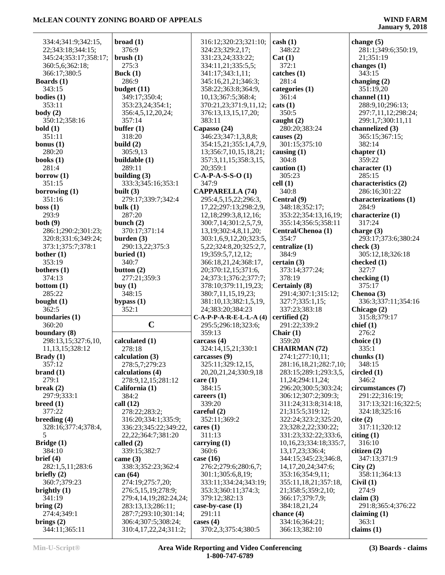|                               | broad(1)                                     | 316:12;320:23;321:10;              | $\cosh(1)$                      |                       |
|-------------------------------|----------------------------------------------|------------------------------------|---------------------------------|-----------------------|
| 334:4;341:9;342:15,           |                                              |                                    |                                 | change $(5)$          |
| 22;343:18;344:15;             | 376:9                                        | 324:23;329:2,17;                   | 348:22                          | 281:1;349:6;350:19,   |
| 345:24;353:17;358:17;         | brush(1)                                     | 331:23,24;333:22;                  | Cat(1)                          | 21;351:19             |
| 360:5,6;362:18;               | 275:3                                        | 334:11,21;335:5,5;                 | 372:1                           | changes $(1)$         |
| 366:17;380:5                  | Buck $(1)$                                   | 341:17;343:1,11;                   | catches (1)                     | 343:15                |
| Boards $(1)$                  | 286:9                                        | 345:16,21,21;346:3;                | 281:4                           | changing $(2)$        |
| 343:15                        | budget $(11)$                                | 358:22;363:8;364:9,                | categories (1)                  | 351:19,20             |
| bodies $(1)$                  | 349:17;350:4;                                | 10,13;367:5;368:4;                 | 361:4                           | channel (11)          |
| 353:11                        | 353:23,24;354:1;                             | 370:21,23;371:9,11,12;             | $\text{cats}(1)$                | 288:9,10;296:13;      |
| body $(2)$                    | 356:4,5,12,20,24;                            | 376:13,13,15,17,20;                | 350:5                           | 297:7,11,12;298:24;   |
| 350:12;358:16                 | 357:14                                       | 383:11                             | caught $(2)$                    | 299:1,7;300:11,11     |
| bold(1)                       | buffer $(1)$                                 | Capasso (24)                       | 280:20;383:24                   | channelized (3)       |
| 351:11                        | 318:20                                       | 346:23;347:1,3,8,8;                | causes $(2)$                    | 365:15;367:15;        |
| bonus $(1)$                   | build $(2)$                                  | 354:15,21;355:1,4,7,9,             | 301:15;375:10                   | 382:14                |
| 280:20                        | 305:9,13                                     | 13;356:7,10,15,18,21;              | causing (1)                     | chapter $(1)$         |
| books $(1)$                   | buildable (1)                                |                                    | 304:8                           | 359:22                |
|                               |                                              | 357:3,11,15;358:3,15,              |                                 |                       |
| 281:4                         | 289:11                                       | 20;359:1                           | caution $(1)$                   | character $(1)$       |
| borrow $(1)$                  | building $(3)$                               | $C-A-P-A-S-S-O(1)$                 | 305:23                          | 285:15                |
| 351:15                        | 333:3;345:16;353:1                           | 347:9                              | cell(1)                         | characteristics (2)   |
| borrowing $(1)$               | built $(3)$                                  | <b>CAPPARELLA (74)</b>             | 340:8                           | 286:16;301:22         |
| 351:16                        | 279:17;339:7;342:4                           | 295:4,5,15,22;296:3,               | Central (9)                     | characterizations (1) |
| boss(1)                       | bulk $(1)$                                   | 17,22;297:13;298:2,9,              | 348:18;352:17;                  | 284:9                 |
| 293:9                         | 287:20                                       | 12, 18; 299: 3, 8, 12, 16;         | 353:22;354:13,16,19;            | characterize (1)      |
| both(9)                       | bunch $(2)$                                  | 300:7,14;301:2,5,7,9,              | 355:14;356:5;358:11             | 317:24                |
| 286:1;290:2;301:23;           | 370:17;371:14                                | 13, 19; 302: 4, 8, 11, 20;         | Central/Chenoa (1)              | charge $(3)$          |
| 320:8;331:6;349:24;           | burden $(3)$                                 | 303:1,6,9,12,20;323:5,             | 354:7                           | 293:17;373:6;380:24   |
| 373:1;375:7;378:1             | 290:13,22;375:3                              | 5, 22; 324: 8, 20; 325: 2, 7,      | centralize (1)                  | check $(3)$           |
| bother $(1)$                  | buried $(1)$                                 | 19;359:5,7,12,12;                  | 384:9                           | 305:12,18;326:18      |
| 353:19                        | 340:7                                        | 366:18,21,24;368:17,               | certain(3)                      | checked (1)           |
| bothers $(1)$                 | button $(2)$                                 | 20;370:12,15;371:6,                | 373:14;377:24;                  | 327:7                 |
| 374:13                        | 277:21;359:3                                 | 24;373:1;376:2;377:7;              | 378:19                          | checking (1)          |
| bottom $(1)$                  | buy $(1)$                                    | 378:10;379:11,19,23;               | <b>Certainly (8)</b>            | 375:17                |
|                               |                                              |                                    |                                 |                       |
|                               |                                              |                                    |                                 |                       |
| 285:22                        | 348:15                                       | 380:7,11,15,19,23;                 | 291:4;307:1;315:12;             | Chenoa (3)            |
| bought $(1)$                  | bypass $(1)$                                 | 381:10,13;382:1,5,19,              | 327:7;335:1,15;                 | 336:3;337:11;354:16   |
| 362:5                         | 352:1                                        | 24;383:20;384:23                   | 337:23;383:18                   | Chicago (2)           |
| boundaries (1)                |                                              | $C-A-P-P-A-R-E-L-L-A$ (4)          | certified (2)                   | 315:8;379:17          |
| 360:20                        | $\mathbf C$                                  | 295:5;296:18;323:6;                | 291:22;339:2                    | chief $(1)$           |
| boundary (8)                  |                                              | 359:13                             | Chair $(1)$                     | 276:2                 |
| 298:13,15;327:6,10,           | calculated (1)                               | carcass $(4)$                      | 359:20                          | choice $(1)$          |
| 11, 13, 15; 328: 12           | 278:18                                       | 324:14,15,21;330:1                 | <b>CHAIRMAN (72)</b>            | 335:1                 |
| Brady(1)                      | calculation $(3)$                            | carcasses (9)                      | 274:1;277:10,11;                | chunks $(1)$          |
| 357:12                        | 278:5,7;279:23                               | 325:11;329:12,15,                  | 281:16,18,21;282:7,10;          | 348:15                |
| brand(1)                      | calculations (4)                             | 20, 20, 21, 24; 330: 9, 18         | 283:15;289:1;293:3,5,           | circled(1)            |
| 279:1                         | 278:9,12,15;281:12                           | care $(1)$                         | 11,24;294:11,24;                | 346:2                 |
| break $(2)$                   | California (1)                               | 384:15                             | 296:20;300:5;303:24;            | circumstances (7)     |
| 297:9;333:1                   | 384:2                                        | careers $(1)$                      | 306:12;307:2;309:3;             | 291:22;316:19;        |
| breed(1)                      | call $(12)$                                  | 339:20                             | 311:24;313:8;314:18,            | 317:13;321:16;322:5;  |
| 377:22                        | 278:22;283:2;                                | careful $(2)$                      | 21;315:5;319:12;                | 324:18;325:16         |
|                               |                                              |                                    |                                 |                       |
| breeding $(4)$                | 316:20;334:1;335:9;                          | 352:11;369:2                       | 322:24;323:2;325:20,            | cite (2)              |
| 328:16;377:4;378:4,<br>5      | 336:23;345:22;349:22,                        | cares $(1)$                        | 23;328:2,22;330:22;             | 317:11;320:12         |
|                               | 22, 22; 364: 7; 381: 20                      | 311:13                             | 331:23;332:22;333:6,            | citing $(1)$          |
| Bridge (1)                    | called $(2)$                                 | carrying $(1)$                     | 10,16,23;334:18;335:7,          | 316:10                |
| 384:10                        | 339:15;382:7                                 | 360:6                              | 13, 17, 23; 336: 4;             | citizen $(2)$         |
| brief (4)                     | came $(3)$                                   | case $(16)$                        | 344:15;345:23;346:8,            | 347:13;371:9          |
| 282:1,5,11;283:6              | 338:3;352:23;362:4                           | 276:2;279:6;280:6,7;               | 14, 17, 20, 24; 347: 6;         | City(2)               |
| briefly $(2)$                 | can $(64)$                                   | 301:1;305:6,8,19;                  | 353:16;354:9,11;                | 358:11;364:13         |
| 360:7:379:23                  | 274:19;275:7,20;                             | 333:11:334:24:343:19:              | 355:11,18,21;357:18,            | Civil(1)              |
| brightly $(1)$                | 276:5,15,19;278:9;                           | 353:3;360:11;374:3;                | 21;358:5;359:2,10;              | 274:9                 |
| 341:19                        | 279:4,14,19;282:24,24;                       | 379:12;382:13                      | 366:17;379:7,9;                 | claim $(3)$           |
| bring $(2)$                   | 283:13,13;286:11;                            | case-by-case (1)                   | 384:18,21,24                    | 291:8;365:4;376:22    |
| 274:4;349:1                   | 287:7;293:10;301:14;                         | 291:11                             | chance $(4)$                    | claiming $(1)$        |
| brings $(2)$<br>344:11;365:11 | 306:4;307:5;308:24;<br>310:4,17,22,24;311:2; | cases $(4)$<br>370:2,3;375:4;380:5 | 334:16;364:21;<br>366:13;382:10 | 363:1<br>claims $(1)$ |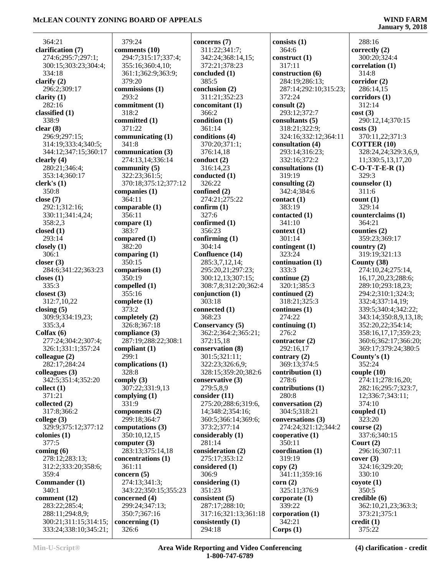$\overline{a}$ 

| 364:21                         | 379:24                          | concerns (7)         | consists $(1)$               | 288:16                           |
|--------------------------------|---------------------------------|----------------------|------------------------------|----------------------------------|
| clarification (7)              | comments (10)                   | 311:22;341:7;        | 364:6                        | correctly $(2)$                  |
| 274:6;295:7;297:1;             | 294:7;315:17;337:4;             | 342:24;368:14,15;    | construct $(1)$              | 300:20;324:4                     |
| 300:15;303:23;304:4;           | 355:16;360:4,10;                | 372:21;378:23        | 317:11                       | correlation(1)                   |
| 334:18                         | 361:1;362:9;363:9;              | concluded (1)        | construction (6)             | 314:8                            |
| clarify $(2)$                  | 379:20                          | 385:5                | 284:19;286:13;               | corridor (2)                     |
| 296:2;309:17                   | commissions (1)                 | conclusion (2)       | 287:14;292:10;315:23;        | 286:14,15                        |
|                                | 293:2                           |                      | 372:24                       |                                  |
| clarity $(1)$                  |                                 | 311:21;352:23        |                              | corridors(1)                     |
| 282:16                         | commitment (1)                  | concomitant (1)      | consult (2)                  | 312:14                           |
| classified (1)                 | 318:2                           | 366:2                | 293:12;372:7                 | cost(3)                          |
| 338:9                          | committed (1)                   | condition (1)        | consultants (5)              | 290:12,14;370:15                 |
| clear(8)                       | 371:22                          | 361:14               | 318:21;322:9;                | costs(3)                         |
| 296:9;297:15;                  | communicating (1)               | conditions (4)       | 324:16;332:12;364:11         | 370:11,22;371:3                  |
| 314:19;333:4;340:5;            | 341:8                           | 370:20;371:1;        | consultation (4)             | <b>COTTER (10)</b>               |
| 344:12;347:15;360:17           | communication (3)               | 376:14,18            | 293:14;316:23;               | 328:24,24;329:3,6,9,             |
| clearly (4)                    | 274:13,14;336:14                | conduct $(2)$        | 332:16;372:2                 | 11;330:5,13,17,20                |
| 280:21;346:4;                  | community $(5)$                 | 316:14,23            | consultations (1)            | $C-O-T-T-E-R(1)$                 |
| 353:14;360:17                  | 322:23;361:5;                   | conducted (1)        | 319:19                       | 329:3                            |
| clerk's(1)                     | 370:18;375:12;377:12            | 326:22               | consulting (2)               | counselor (1)                    |
| 350:8                          | companies $(1)$                 | confined (2)         | 342:4:384:6                  | 311:6                            |
| close $(7)$                    | 364:11                          | 274:21;275:22        | contact(1)                   | count(1)                         |
| 292:1;312:16;                  | comparable (1)                  | confirm $(1)$        | 383:19                       | 329:14                           |
| 330:11;341:4,24;               | 356:11                          | 327:6                | contacted (1)                | counterclaims (1)                |
| 358:2,3                        | compare $(1)$                   | confirmed (1)        | 341:10                       | 364:21                           |
|                                | 383:7                           | 356:23               |                              |                                  |
| closed (1)                     |                                 |                      | context(1)                   | counties (2)                     |
| 293:14                         | compared (1)                    | confirming $(1)$     | 301:14                       | 359:23;369:17                    |
| closely (1)                    | 382:20                          | 304:14               | contingent (1)               | country $(2)$                    |
| 306:1                          | comparing $(1)$                 | Confluence (14)      | 323:24                       | 319:19;321:13                    |
| closer $(3)$                   | 350:15                          | 285:3,7,12,14;       | continuation (1)             | County (38)                      |
| 284:6;341:22;363:23            | comparison (1)                  | 295:20,21;297:23;    | 333:3                        | 274:10,24;275:14,                |
| closes $(1)$                   | 350:19                          | 300:12,13;307:15;    | continue (2)                 | 16, 17, 20, 23; 288: 6;          |
| 335:3                          | compelled (1)                   | 308:7,8;312:20;362:4 | 320:1;385:3                  | 289:10;293:18,23;                |
| closest $(3)$                  | 355:16                          | conjunction $(1)$    | continued $(2)$              | 294:2;310:1;324:3;               |
| 312:7,10,22                    | complete $(1)$                  | 303:18               | 318:21;325:3                 | 332:4;337:14,19;                 |
| closing $(5)$                  | 373:2                           | connected (1)        | continues (1)                | 339:5;340:4;342:22;              |
| 309:9;334:19,23;               | completely (2)                  | 368:23               | 274:22                       | 343:14;350:8,9,13,18;            |
| 335:3,4                        | 326:8;367:18                    | Conservancy (5)      | continuing $(1)$             | 352:20,22;354:14;                |
| Colfax $(6)$                   | compliance (3)                  | 362:2;364:2;365:21;  | 276:2                        | 358:16,17,17;359:23;             |
| 277:24;304:2;307:4;            | 287:19;288:22;308:1             | 372:15,18            | contractor $(2)$             | 360:6;362:17;366:20;             |
| 326:1;331:1;357:24             | compliant (1)                   | conservation (8)     | 292:16,17                    | 369:17;379:24;380:5              |
|                                | 299:1                           | 301:5;321:11;        |                              |                                  |
| colleague (2)<br>282:17;284:24 | complications (1)               | 322:23;326:6,9;      | contrary (2)<br>369:13;374:5 | County's $(1)$                   |
|                                |                                 |                      |                              | 352:24                           |
| colleagues (3)                 | 328:8                           | 328:15;359:20;382:6  | contribution $(1)$           | couple(10)                       |
| 342:5;351:4;352:20             | comply $(3)$                    | conservative (3)     | 278:6                        | 274:11;278:16,20;                |
| collect(1)                     | 307:22;331:9,13                 | 279:5,8,9            | contributions (1)            | 282:16;295:7;323:7,              |
| 371:21                         | complying $(1)$                 | consider $(11)$      | 280:8                        | 12;336:7;343:11;                 |
| collected (2)                  | 331:9                           | 275:20;288:6;319:6,  | conversation (2)             | 374:10                           |
| 317:8;366:2                    | components (2)                  | 14;348:2;354:16;     | 304:5;318:21                 | coupled $(1)$                    |
| college $(3)$                  | 299:18;364:7                    | 360:5;366:14;369:6;  | conversations (3)            | 323:20                           |
| 329:9;375:12;377:12            | computations (3)                | 373:2;377:14         | 274:24;321:12;344:2          | course $(2)$                     |
| colonies (1)                   | 350:10,12,15                    | considerably (1)     | cooperative $(1)$            | 337:6;340:15                     |
| 377:5                          | computer $(3)$                  | 281:14               | 350:11                       | Court $(2)$                      |
| coming $(6)$                   | 283:13;375:14,18                | consideration (2)    | coordination (1)             | 296:16;307:11                    |
| 278:12;283:13;                 | concentrations (1)              | 275:17;353:12        | 319:19                       | cover(3)                         |
| 312:2;333:20;358:6;            | 361:11                          | considered (1)       | copy(2)                      | 324:16;329:20;                   |
| 359:4                          | concern $(5)$                   | 306:9                | 341:11;359:16                | 330:10                           |
| Commander (1)                  | 274:13;341:3;                   | considering $(1)$    | corr(2)                      | coyote(1)                        |
| 340:1                          | 343:22;350:15;355:23            | 351:23               | 325:11;376:9                 | 350:5                            |
| comment (12)                   |                                 | consistent (5)       |                              | credible (6)                     |
|                                | concerned (4)<br>299:24;347:13; |                      | corporate $(1)$<br>339:22    |                                  |
| 283:22;285:4;                  |                                 | 287:17;288:10;       |                              | 362:10,21,23;363:3;              |
| 288:11;294:8,9;                | 350:7;367:16                    | 317:16;321:13;361:18 | corporation $(1)$            | 373:21;375:1                     |
| 300:21;311:15;314:15;          | concerning $(1)$                | consistently (1)     | 342:21                       | $\text{credit} \left( 1 \right)$ |
| 333:24;338:10;345:21;          | 326:6                           | 294:18               | Corps(1)                     | 375:22                           |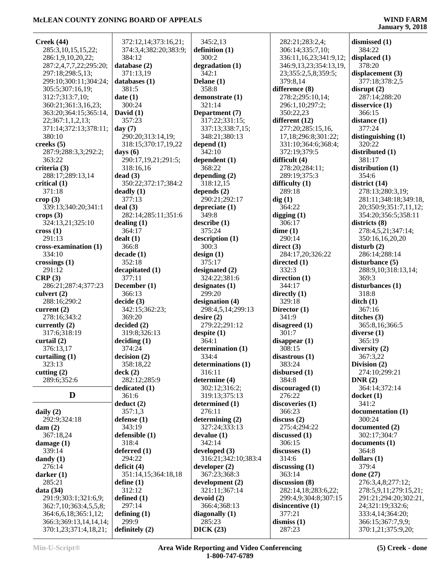| Creek(44)                     | 372:12,14;373:16,21;   | 345:2,13                   | 282:21;283:2,4;           | dismissed (1)                 |
|-------------------------------|------------------------|----------------------------|---------------------------|-------------------------------|
| 285:3,10,15,15,22;            | 374:3,4;382:20;383:9;  | definition $(1)$           | 306:14;335:7,10;          | 384:22                        |
| 286:1,9,10,20,22;             | 384:12                 | 300:2                      | 336:11,16,23;341:9,12;    | displaced (1)                 |
| 287:2,4,7,7,22;295:20;        | database (2)           | degradation (1)            | 346:9,13,23;354:13,19,    | 378:20                        |
| 297:18;298:5,13;              | 371:13,19              | 342:1                      | 23;355:2,5,8;359:5;       | displacement (3)              |
| 299:10;300:11;304:24;         | databases $(1)$        | Delane (1)                 | 379:8,14                  | 377:18;378:2,5                |
| 305:5;307:16,19;              | 381:5                  | 358:8                      | difference (8)            | disrupt(2)                    |
| 312:7;313:7,10;               | date(1)                | demonstrate (1)            | 278:2;295:10,14;          | 287:14;288:20                 |
| 360:21;361:3,16,23;           | 300:24                 | 321:14                     | 296:1,10;297:2;           | disservice (1)                |
| 363:20;364:15;365:14,         | David $(1)$            | Department (7)             | 350:22,23                 | 366:15                        |
| 22;367:1,1,2,13;              | 357:23                 | 317:22;331:15;             | different (12)            | distance (1)                  |
| 371:14;372:13;378:11;         | day $(7)$              | 337:13;338:7,15;           | 277:20;285:15,16,         | 377:24                        |
| 380:10                        | 290:20;313:14,19;      | 348:21;380:13              | 17,18;296:8;301:22;       | distinguishing $(1)$          |
| creeks $(5)$                  | 318:15;370:17,19,22    | depend $(1)$               | 331:10;364:6;368:4;       | 320:22                        |
| 287:9;288:3,3;292:2;          | days $(6)$             | 342:10                     | 372:19;379:5              | distributed (1)               |
| 363:22                        | 290:17,19,21;291:5;    | dependent $(1)$            | difficult (4)             | 381:17                        |
| criteria (3)                  | 318:16,16              | 368:22                     | 278:20;284:11;            | distribution (1)              |
| 288:17;289:13,14              | dead(3)                | depending $(2)$            | 289:19;375:3              | 354:6                         |
| critical $(1)$                | 350:22;372:17;384:2    | 318:12,15                  | difficulty $(1)$          | district $(14)$               |
| 371:18                        | deady(1)               | depends $(2)$              | 289:18                    | 278:13;280:3,19;              |
|                               | 377:13                 | 290:21;292:17              |                           |                               |
| $\text{crop} (3)$             |                        |                            | dig(1)                    | 281:11;348:18;349:18,         |
| 339:13;340:20;341:1           | deal(3)                | depreciate $(1)$<br>349:8  | 364:22                    | 20;350:9;351:7,11,12;         |
| crops $(3)$                   | 282:14;285:11;351:6    |                            | digging $(1)$             | 354:20;356:5;358:11           |
| 324:13,21;325:10              | dealing $(1)$          | describe(1)                | 306:17                    | districts (8)                 |
| $\csc(1)$                     | 364:17                 | 375:24                     | dime(1)                   | 278:4,5,21;347:14;            |
| 291:13                        | dealt(1)               | description (1)            | 290:14                    | 350:16,16,20,20               |
| cross-examination (1)         | 366:8                  | 300:3                      | direct $(3)$              | disturb(2)                    |
| 334:10                        | decade(1)              | design(1)                  | 284:17,20;326:22          | 286:14;288:14                 |
| crossings $(1)$               | 352:18                 | 375:17                     | directed $(1)$            | disturbance $(5)$             |
| 291:12                        | decapitated (1)        | designated (2)             | 332:3                     | 288:9,10;318:13,14;           |
| CRP(3)                        | 377:11                 | 324:22;381:6               | direction $(1)$           | 369:3                         |
| 286:21;287:4;377:23           | December (1)<br>366:13 | designates $(1)$<br>299:20 | 344:17                    | disturbances $(1)$            |
| culvert $(2)$                 |                        |                            | directly $(1)$            | 318:8                         |
| 288:16;290:2                  | decide(3)              | designation (4)            | 329:18                    | $\text{ditch}(1)$             |
| current $(2)$                 | 342:15;362:23;         | 298:4,5,14;299:13          | Director $(1)$            | 367:16                        |
| 278:16;343:2                  | 369:20                 | desire(2)                  | 341:9                     | ditches $(3)$                 |
| currently (2)                 | decided(2)             | 279:22;291:12              | disagreed $(1)$           | 365:8,16;366:5                |
| 317:6;318:19                  | 319:8:326:13           | despite $(1)$              | 301:7                     | diverse $(1)$                 |
| curtail $(2)$                 | deciding (1)<br>374:24 | 364:1<br>determination (1) | disappear $(1)$<br>308:15 | 365:19                        |
| 376:13,17<br>curtailing $(1)$ |                        | 334:4                      | disastrous(1)             | diversity $(2)$<br>367:3,22   |
| 323:13                        | decision(2)            | determinations (1)         |                           |                               |
|                               | 358:18,22              | 316:11                     | 383:24                    | Division (2)<br>274:10;299:21 |
| cutting $(2)$                 | deck(2)                |                            | disbursed (1)             |                               |
| 289:6;352:6                   | 282:12;285:9           | determine (4)              | 384:8                     | DNR(2)                        |
| D                             | dedicated $(1)$        | 302:12;316:2;              | discouraged (1)           | 364:14;372:14                 |
|                               | 361:6                  | 319:13;375:13              | 276:22                    | $d$ ocket $(1)$               |
|                               | deduct(2)              | determined (1)<br>276:11   | discoveries (1)           | 341:2                         |
| daily $(2)$                   | 357:1,3                |                            | 366:23                    | documentation (1)<br>300:24   |
| 292:9;324:18                  | defense $(1)$          | determining (2)            | discuss(2)                |                               |
| $\text{dam}(2)$               | 343:19                 | 327:24:333:13              | 275:4:294:22              | documented (2)                |
| 367:18,24                     | defensible (1)         | devalue(1)                 | discussed $(1)$           | 302:17;304:7                  |
| damage $(1)$                  | 318:4                  | 342:14                     | 306:15                    | documents(1)                  |
| 339:14                        | deferred $(1)$         | developed $(3)$            | discusses (1)             | 364:8                         |
| dandy $(1)$                   | 294:22                 | 316:21;342:10;383:4        | 314:6                     | dollars $(1)$                 |
| 276:14                        | deficit $(4)$          | developer $(2)$            | discussing $(1)$          | 379:4                         |
| darker $(1)$                  | 351:14,15;364:18,18    | 367:23;368:3               | 363:14                    | done $(27)$                   |
| 285:21                        | define $(1)$           | development(2)             | discussion (8)            | 276:3,4,8;277:12;             |
| data $(34)$                   | 312:12                 | 321:11;367:14              | 282:14,18;283:6,22;       | 278:5,9,11;279:15,21;         |
| 291:9;303:1;321:6,9;          | defined $(1)$          | devoid (2)                 | 299:4,9;304:8;307:15      | 291:21;294:20;302:21,         |
| 362:7,10;363:4,5,5,8;         | 297:14                 | 366:4;368:13               | disincentive (1)          | 24;321:19;332:6;              |
| 364:6, 6, 18; 365: 1, 12;     | defining $(1)$         | diagonally $(1)$           | 377:21                    | 333:4,14;364:20;              |
| 366:3;369:13,14,14,14;        | 299:9                  | 285:23                     | dismiss $(1)$             | 366:15;367:7,9,9;             |
| 370:1,23;371:4,18,21;         | definitely (2)         | DICK(23)                   | 287:23                    | 370:1,21;375:9,20;            |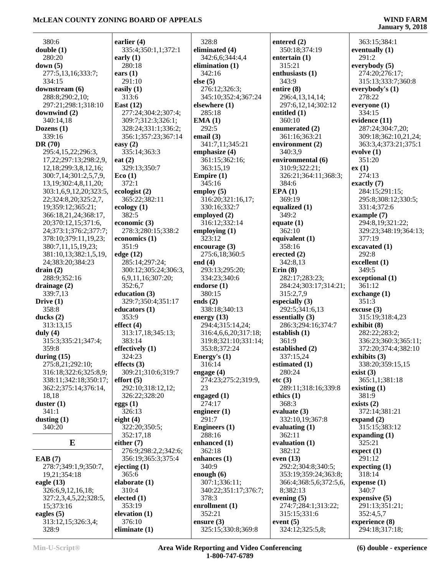| 380:6                      | earlier $(4)$        | 328:8                  | entered (2)            | 363:15;384:1          |
|----------------------------|----------------------|------------------------|------------------------|-----------------------|
| double(1)                  | 335:4;350:1,1;372:1  | eliminated (4)         | 350:18;374:19          | eventually $(1)$      |
| 280:20                     | early $(1)$          | 342:6,6;344:4,4        | entertain $(1)$        | 291:2                 |
| down(5)                    | 280:18               | elimination $(1)$      | 315:21                 | everybody (5)         |
| 277:5,13,16;333:7;         | ears $(1)$           | 342:16                 | enthusiasts (1)        | 274:20;276:17;        |
| 334:15                     | 291:10               | else $(5)$             | 343:9                  | 315:13;333:7;360:8    |
|                            |                      |                        |                        |                       |
| downstream (6)             | easily $(1)$         | 276:12;326:3;          | entire (8)             | everybody's $(1)$     |
| 288:8;290:2,10;            | 313:6                | 345:10;352:4;367:24    | 296:4,13,14,14;        | 278:22                |
| 297:21;298:1;318:10        | East $(12)$          | elsewhere (1)          | 297:6,12,14;302:12     | everyone (1)          |
| downwind $(2)$             | 277:24;304:2;307:4;  | 285:18                 | entitled (1)           | 334:15                |
| 340:14,18                  | 309:7;312:3;326:1;   | EMA(1)                 | 360:10                 | evidence (11)         |
| Dozens $(1)$               | 328:24;331:1;336:2;  | 292:5                  | enumerated (2)         | 287:24;304:7,20;      |
| 339:16                     | 356:1;357:23;367:14  | email $(3)$            | 361:16;363:21          | 309:18;362:10,21,24;  |
| DR $(70)$                  | easy $(2)$           | 341:7,11;345:21        | environment (2)        | 363:3,4;373:21;375:1  |
| 295:4,15,22;296:3,         | 335:14;363:3         | emphasize (4)          | 340:3,9                | evolve $(1)$          |
| 17,22;297:13;298:2,9,      | eat $(2)$            | 361:15;362:16;         | environmental (6)      | 351:20                |
| 12, 18; 299: 3, 8, 12, 16; | 329:13;350:7         | 363:15,19              | 310:9;322:21;          | ex(1)                 |
| 300:7,14;301:2,5,7,9,      | Eco(1)               | Empire $(1)$           | 326:21;364:11;368:3;   | 274:13                |
|                            | 372:1                | 345:16                 | 384:6                  | exactly $(7)$         |
| 13, 19; 302: 4, 8, 11, 20; |                      |                        |                        |                       |
| 303:1,6,9,12,20;323:5,     | ecologist (2)        | employ $(5)$           | EPA(1)                 | 284:15;291:15;        |
| 22;324:8,20;325:2,7,       | 365:22;382:11        | 316:20;321:16,17;      | 369:19                 | 295:8;308:12;330:5;   |
| 19;359:12;365:21;          | ecology $(1)$        | 330:16;332:7           | equalized $(1)$        | 331:4;372:6           |
| 366:18,21,24;368:17,       | 382:5                | employed (2)           | 349:2                  | example $(7)$         |
| 20;370:12,15;371:6,        | economic (3)         | 316:12;332:14          | equate $(1)$           | 294:8,19;321:22;      |
| 24;373:1;376:2;377:7;      | 278:3;280:15;338:2   | employing $(1)$        | 362:10                 | 329:23;348:19;364:13; |
| 378:10;379:11,19,23;       | economics $(1)$      | 323:12                 | equivalent (1)         | 377:19                |
| 380:7,11,15,19,23;         | 351:9                | encourage $(3)$        | 358:16                 | excavated (1)         |
| 381:10,13;382:1,5,19,      | edge (12)            | 275:6,18;360:5         | erected $(2)$          | 292:8                 |
| 24;383:20;384:23           | 285:14;297:24;       | end $(4)$              | 342:8,13               | excellent (1)         |
| drain(2)                   | 300:12;305:24;306:3, | 293:13;295:20;         | Erin(8)                | 349:5                 |
| 288:9;352:16               | 6,9,11,16;307:20;    | 334:23;340:6           | 282:17;283:23;         | exceptional (1)       |
| drainage $(2)$             | 352:6,7              | endorse $(1)$          | 284:24;303:17;314:21;  | 361:12                |
| 339:7,13                   | education (3)        | 380:15                 | 315:2,7,9              | exchange (1)          |
| Drive $(1)$                | 329:7;350:4;351:17   | ends $(2)$             | especially $(3)$       | 351:3                 |
| 358:8                      | educators (1)        | 338:18;340:13          | 292:5;341:6,13         | $\csc{use}$ (3)       |
| ducks $(2)$                | 353:9                | energy $(13)$          | essentially $(3)$      | 315:19;318:4,23       |
| 313:13,15                  | effect $(4)$         | 294:4;315:14,24;       | 286:3;294:16;374:7     | exhibit $(8)$         |
| duly $(4)$                 | 313:17,18;345:13;    | 316:4,6,6,20;317:18;   | establish $(1)$        | 282:22;283:2;         |
| 315:3;335:21;347:4;        | 383:14               | 319:8;321:10;331:14;   | 361:9                  | 336:23;360:3;365:11;  |
| 359:8                      | effectively (1)      | 353:8;372:24           | established (2)        | 372:20;374:4;382:10   |
| during $(15)$              | 324:23               |                        | 337:15,24              | exhibits $(3)$        |
| 275:8,21;292:10;           | effects $(3)$        | Energy's (1)<br>316:14 | estimated $(1)$        | 338:20;359:15,15      |
|                            | 309:21;310:6;319:7   | engage $(4)$           | 280:24                 |                       |
| 316:18;322:6;325:8,9;      |                      |                        |                        | exist $(3)$           |
| 338:11;342:18;350:17;      | effort(5)            | 274:23;275:2;319:9,    | etc(3)                 | 365:1,1;381:18        |
| 362:2;375:14;376:14,       | 292:10;318:12,12;    | 23                     | 289:11;318:16;339:8    | existing $(1)$        |
| 18,18                      | 326:22;328:20        | engaged $(1)$          | ethics $(1)$           | 381:9                 |
| duster $(1)$               | eggs(1)              | 274:17                 | 368:3                  | exists $(2)$          |
| 341:1                      | 326:13               | engineer $(1)$         | evaluate $(3)$         | 372:14;381:21         |
| dusting $(1)$              | eight $(4)$          | 291:7                  | 332:10,19;367:8        | expand $(2)$          |
| 340:20                     | 322:20;350:5;        | <b>Engineers</b> (1)   | evaluating $(1)$       | 315:15;383:12         |
|                            | 352:17,18            | 288:16                 | 362:11                 | expanding (1)         |
| $\bf{E}$                   | either $(7)$         | enhanced $(1)$         | evaluation $(1)$       | 325:21                |
|                            | 276:9;298:2,2;342:6; | 362:18                 | 382:12                 | expect (1)            |
| EAB(7)                     | 356:19;365:3;375:4   | enhances (1)           | even $(13)$            | 291:12                |
| 278:7;349:1,9;350:7,       | ejecting $(1)$       | 340:9                  | 292:2;304:8;340:5;     | expecting $(1)$       |
| 19,21;354:18               | 365:6                | enough $(6)$           | 353:19;359:24;363:8;   | 318:14                |
| eagle $(13)$               | elaborate (1)        | 307:1;336:11;          | 366:4;368:5,6;372:5,6, | expense $(1)$         |
| 326:6,9,12,16,18;          | 310:4                | 340:22;351:17;376:7;   | 8;382:13               | 340:7                 |
| 327:2,3,4,5,22;328:5,      | elected $(1)$        | 378:3                  | evening $(5)$          | expensive $(5)$       |
| 15;373:16                  | 353:19               | enrollment (1)         | 274:7;284:1;313:22;    | 291:13;351:21;        |
| eagles $(5)$               | elevation $(1)$      | 352:21                 | 315:15:331:6           | 352:4,5,7             |
| 313:12,15;326:3,4;         | 376:10               | ensure $(3)$           | event $(5)$            | experience (8)        |
|                            | eliminate $(1)$      | 325:15;330:8;369:8     | 324:12;325:5,8;        | 294:18;317:18;        |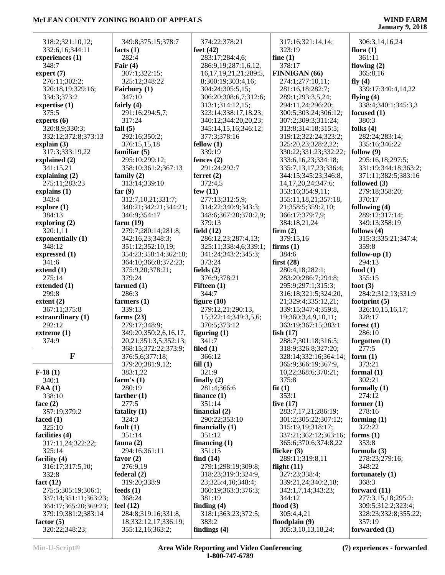| 318:2;321:10,12;                             | 349:8;375:15;378:7                       | 374:22;378:21                             | 317:16;321:14,14;                           | 306:3,14,16,24                       |
|----------------------------------------------|------------------------------------------|-------------------------------------------|---------------------------------------------|--------------------------------------|
| 332:6,16;344:11                              | facts $(1)$                              | feet $(42)$                               | 323:19                                      | flora $(1)$                          |
| experiences (1)                              | 282:4                                    | 283:17;284:4,6;                           | fine $(1)$                                  | 361:11                               |
| 348:7                                        | Fair $(4)$                               | 286:9,19;287:1,6,12,                      | 378:17                                      | flowing $(2)$                        |
| expert $(7)$                                 | 307:1;322:15;                            | 16, 17, 19, 21, 21, 289: 5,               | FINNIGAN (66)                               | 365:8,16                             |
| 276:11;302:2;                                | 325:12;348:22                            | 8;300:19;303:4,16;                        | 274:1;277:10,11;                            | fly $(4)$                            |
| 320:18,19;329:16;                            | Fairbury (1)                             | 304:24;305:5,15;                          | 281:16,18;282:7;                            | 339:17;340:4,14,22                   |
| 334:3;373:2                                  | 347:10                                   | 306:20;308:6,7;312:6;                     | 289:1;293:3,5,24;                           | flying $(4)$                         |
| expertise (1)                                | fairly $(4)$                             | 313:1;314:12,15;                          | 294:11,24;296:20;                           | 338:4;340:1;345:3,3                  |
| 375:5                                        | 291:16;294:5,7;                          | 323:14;338:17,18,23;                      | 300:5;303:24;306:12;                        | focused $(1)$                        |
| experts $(6)$                                | 317:24                                   | 340:12;344:20,20,23;                      | 307:2;309:3;311:24;                         | 380:3                                |
| 320:8,9;330:3;                               | fall $(5)$<br>292:16;350:2;              | 345:14,15,16;346:12;<br>377:3;378:16      | 313:8;314:18;315:5;<br>319:12;322:24;323:2; | folks $(4)$<br>282:24;283:14;        |
| 332:12;372:8;373:13<br>explain $(3)$         | 376:15,15,18                             | fellow(1)                                 | 325:20,23;328:2,22;                         | 335:16;346:22                        |
| 317:3;333:19,22                              | familiar $(5)$                           | 339:19                                    | 330:22;331:23;332:22;                       | follow $(9)$                         |
| explained (2)                                | 295:10;299:12;                           | fences $(2)$                              | 333:6, 16, 23; 334: 18;                     | 295:16,18;297:5;                     |
| 341:15,21                                    | 358:10;361:2;367:13                      | 291:24;292:7                              | 335:7,13,17,23;336:4;                       | 331:19;344:18;363:2;                 |
| explaining $(2)$                             | family $(2)$                             | ferret $(2)$                              | 344:15;345:23;346:8,                        | 371:11;382:5;383:16                  |
| 275:11;283:23                                | 313:14;339:10                            | 372:4,5                                   | 14, 17, 20, 24; 347: 6;                     | followed (3)                         |
| explains (1)                                 | far $(9)$                                | few $(11)$                                | 353:16;354:9,11;                            | 279:18;358:20;                       |
| 343:4                                        | 312:7,10,21;331:7;                       | 277:13;312:5,9;                           | 355:11,18,21;357:18,                        | 370:17                               |
| explore(1)                                   | 340:21;342:21;344:21;                    | 314:22;340:9;343:3;                       | 21;358:5;359:2,10;                          | following (4)                        |
| 384:13                                       | 346:9;354:17                             | 348:6;367:20;370:2,9;                     | 366:17;379:7,9;                             | 289:12;317:14;                       |
| exploring $(2)$                              | farm $(19)$                              | 379:13                                    | 384:18,21,24                                | 349:13;358:19                        |
| 320:1,11<br>exponentially (1)                | 279:7;280:14;281:8;<br>342:16,23;348:3;  | field $(12)$<br>286:12,23;287:4,13;       | firm $(2)$<br>379:15,16                     | follows $(4)$<br>315:3;335:21;347:4; |
| 348:12                                       | 351:12;352:10,19;                        | 325:11;338:4,6;339:1;                     | firms $(1)$                                 | 359:8                                |
| expressed (1)                                | 354:23;358:14;362:18;                    | 341:24;343:2;345:3;                       | 384:6                                       | follow-up $(1)$                      |
| 341:6                                        | 364:10;366:8;372:23;                     | 373:24                                    | first $(28)$                                | 294:13                               |
| extend $(1)$                                 | 375:9,20;378:21;                         | fields $(2)$                              | 280:4,18;282:1;                             | food $(1)$                           |
| 275:14                                       | 379:24                                   | 376:9;378:21                              | 283:20;286:7;294:8;                         | 355:15                               |
| extended (1)                                 | farmed $(1)$                             | Fifteen $(1)$                             | 295:9;297:1;315:3;                          | foot $(3)$                           |
|                                              |                                          |                                           |                                             |                                      |
| 299:8                                        | 286:3                                    | 344:7                                     | 316:18;321:5;324:20,                        | 284:2;312:13;331:9                   |
| extent $(2)$                                 | farmers $(1)$                            | figure $(10)$                             | 21;329:4;335:12,21;                         | footprint $(5)$                      |
| 367:11;375:8                                 | 339:13                                   | 279:12,21;290:13,                         | 339:15;347:4;359:8,                         | 326:10,15,16,17;                     |
| extraordinary (1)                            | farms $(23)$                             | 15;322:14;349:3,5,6;                      | 19;360:3,4,9,10,11;                         | 328:17                               |
| 292:12                                       | 279:17;348:9;                            | 370:5;373:12                              | 363:19;367:15;383:1                         | forest $(1)$                         |
| extreme (1)                                  | 349:20;350:2,6,16,17,                    | figuring $(1)$                            | fish $(17)$                                 | 286:10                               |
| 374:9                                        | 20,21;351:3,5;352:13;                    | 341:7                                     | 288:7;301:18;316:5;                         | forgotten $(1)$                      |
|                                              | 368:15;372:22;373:9;                     | filed $(1)$                               | 318:9;326:8;327:20;                         | 277:5                                |
| F                                            | 376:5,6;377:18;                          | 366:12                                    | 328:14;332:16;364:14;                       | form $(1)$                           |
|                                              | 379:20;381:9,12;                         | fill(1)                                   | 365:9;366:19;367:9,                         | 373:21                               |
| $F-18(1)$                                    | 383:1,22                                 | 321:9                                     | 10,22;368:6;370:21;                         | formal $(1)$                         |
| 340:1<br>FAA(1)                              | farm's $(1)$<br>280:19                   | finally $(2)$<br>281:4;366:6              | 375:8<br>fit(1)                             | 302:21<br>formally $(1)$             |
| 338:10                                       | farther $(1)$                            | finance $(1)$                             | 353:1                                       | 274:12                               |
| face $(2)$                                   | 277:5                                    | 351:14                                    | five $(17)$                                 | former $(1)$                         |
| 357:19;379:2                                 | fatality $(1)$                           | financial $(2)$                           | 283:7,17,21;286:19;                         | 278:16                               |
| faced $(1)$                                  | 324:3                                    | 290:22;353:10                             | 301:2;305:22;307:12;                        | forming $(1)$                        |
| 325:10                                       | fault $(1)$                              | financially $(1)$                         | 315:19,19;318:17;                           | 322:22                               |
| facilities (4)                               | 351:14                                   | 351:12                                    | 337:21;362:12;363:16;                       | forms $(1)$                          |
| 317:11,24;322:22;                            | fauna $(2)$                              | financing $(1)$                           | 365:6;370:6;374:8,22                        | 353:8                                |
| 325:14                                       | 294:16;361:11                            | 351:15                                    | flicker $(3)$                               | formula $(3)$                        |
| facility $(4)$                               | favor $(2)$                              | find $(14)$                               | 289:11;319:8,11                             | 278:23;279:16;                       |
| 316:17;317:5,10;                             | 276:9,19                                 | 279:1;298:19;309:8;                       | flight $(11)$                               | 348:22                               |
| 332:8                                        | federal(2)                               | 318:23;319:3;324:9,                       | 327:23;338:4;                               | fortunately $(1)$                    |
| fact $(12)$                                  | 319:20;338:9<br>feeds $(1)$              | 23;325:4,10;348:4;<br>360:19;363:3;376:3; | 339:21,24;340:2,18;<br>342:1,7,14;343:23;   | 368:3<br>forward $(11)$              |
| 275:5;305:19;306:1;<br>337:14;351:11;363:23; | 368:24                                   | 381:19                                    | 344:12                                      | 277:3,15,18;295:2;                   |
| 364:17;365:20;369:23;                        | feel $(12)$                              | finding $(4)$                             | flood $(3)$                                 | 309:5;312:2;323:4;                   |
| 379:19;381:2;383:14                          | 284:8;319:16;331:8,                      | 318:1;363:23;372:5;                       | 305:4,4,21                                  | 328:23;332:8;355:22;                 |
| factor $(5)$<br>320:22;348:23;               | 18;332:12,17;336:19;<br>355:12,16;363:2; | 383:2<br>findings $(4)$                   | floodplain (9)<br>305:3,10,13,18,24;        | 357:19<br>forwarded (1)              |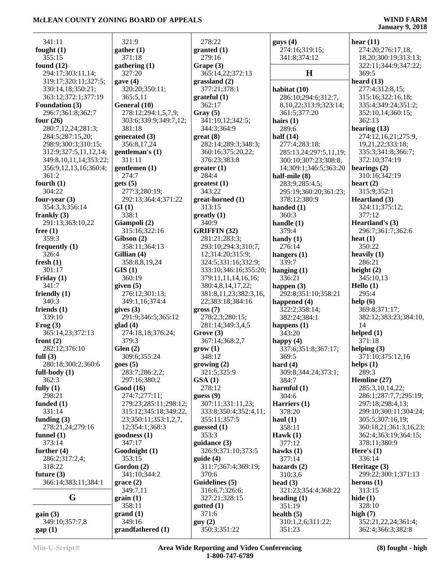# **January 9, 2018**

| 341:11                 | 321:9                            |
|------------------------|----------------------------------|
| fought $(1)$           |                                  |
|                        | gather(1)                        |
| 355:15                 | 371:18                           |
| found $(12)$           | gathering (1)                    |
| 294:17;303:11,14;      | 327:20                           |
| 319:17;320:11;327:5;   | gave (4)                         |
| 330:14,18;350:21;      | 320:20;350:1                     |
| 363:12;372:1;377:19    | 365:5,11                         |
| <b>Foundation (3)</b>  | General (10)                     |
| 296:7;361:8;362:7      | 278:12;294:1                     |
| four $(26)$            | 303:6;339:9;                     |
|                        |                                  |
| 280:7,12,24;281:3;     | 381:18                           |
| 284:5;287:15,20;       | generated $(3)$                  |
| 298:9;300:3;310:15;    | 356:8,17,24                      |
| 312:9;327:5,11,12,14;  | gentleman's (1                   |
| 349:8,10,11,14;353:22; | 311:11                           |
| 356:9,12,13,16;360:4;  | gentlemen (1)                    |
| 361:2                  | 274:7                            |
| fourth $(1)$           | gets(5)                          |
| 304:22                 | 277:3;280:19                     |
| four-year $(3)$        | 292:13;364:4                     |
| 354:3,3;356:14         | GI(1)                            |
| frankly $(3)$          | 338:1                            |
|                        |                                  |
| 291:13;363:10,22       | Giampoli (2)                     |
| free $(1)$             | 315:16;322:1                     |
| 359:3                  | $\mathbf{Gibson}\left( 2\right)$ |
| frequently $(1)$       | 358:11;364:1                     |
| 326:4                  | Gillian (4)                      |
| fresh $(1)$            | 358:8,8,19,2                     |
| 301:17                 | GIS(1)                           |
| Friday (1)             | 360:19                           |
| 341:7                  | given (5)                        |
| friendly (1)           | 276:12;301:1                     |
| 340:3                  | 349:1,16;374                     |
| friends $(1)$          | gives (3)                        |
| 339:10                 | 291:9;346:5;                     |
| Frog(3)                | glad(4)                          |
| 365:14,23;372:13       | 274:18,18;37                     |
| front $(2)$            | 379:3                            |
|                        |                                  |
| 282:12;376:10          | Glen $(2)$                       |
| full $(3)$             | 309:6;355:24                     |
| 280:18;300:2;360:6     | goes(5)                          |
| full-body (1)          | 283:7;286:2,                     |
| 362:3                  | 297:16;380:2                     |
| fully $(1)$            | Good (16)                        |
| 298:21                 | 274:7;277:11                     |
| funded $(1)$           | 279:23;285:1                     |
| 331:14                 | 315:12;345:1                     |
| funding $(3)$          | 23;350:11;35                     |
| 278:21,24;279:16       | 12;354:1;368                     |
| funnel $(1)$           | goodness (1)                     |
| 373:14                 | 347:17                           |
| further $(4)$          | Goodnight (1)                    |
| 286:2;317:2,4;         | 353:15                           |
| 318:22                 | Gordon (2)                       |
|                        | 341:10;344:2                     |
| future $(3)$           |                                  |
| 366:14;383:11;384:1    | grace(2)                         |
|                        | 349:7,11                         |
| G                      | grain(1)                         |
|                        | 358:11                           |
| gain(3)                | grand(1)                         |
| 349:10;357:7,8         | 349:16                           |
| gap(1)                 | grandfathered                    |

| 321:9                  | 278:22                | guy              |
|------------------------|-----------------------|------------------|
| ather $(1)$            | granted (1)           | 2′               |
| 371:18                 | 279:16                | 3 <sup>4</sup>   |
| athering (1)           | Grape (3)             |                  |
| 327:20                 | 365:14,22;372:13      |                  |
| we(4)                  | grassland(2)          |                  |
| 320:20;350:11;         | 377:21;378:1          | hab              |
| 365:5,11               | grateful (1)          | $\overline{2}$   |
| eneral (10)            | 362:17                | 8.               |
| 278:12;294:1,5,7,9;    | Gray (5)              | $\overline{3}$   |
| 303:6;339:9;349:7,12;  | 341:10,12;342:5;      | hair             |
| 381:18                 | 344:3;364:9           | $2^{\circ}$      |
| enerated (3)           |                       | half             |
|                        | $gr(8)$               |                  |
| 356:8,17,24            | 282:14;289:3;348:3;   | 2′               |
| e <b>ntleman's</b> (1) | 360:16;375:20,22;     | $2^{\circ}$      |
| 311:11                 | 376:23;383:8          | $\mathfrak{z}$   |
| entlemen (1)           | greater(1)            | 14               |
| 274:7                  | 284:4                 | half             |
| ets(5)                 | greatest (1)          | $2^{\circ}$      |
| 277:3;280:19;          | 343:22                | 2 <sup>0</sup>   |
| 292:13;364:4;371:22    | great-horned (1)      | 3'               |
| I(1)                   | 313:15                | han              |
| 338:1                  | $g realty (1)$        | $\overline{3}$   |
| iampoli (2)            | 340:9                 | han              |
| 315:16;322:16          | <b>GRIFFIN</b> (32)   | 3'               |
| ibson (2)              | 281:21;283:3;         | han              |
| 358:11;364:13          | 293:10;294:3;310:7,   | $2^{\prime}$     |
| illian (4)             | 12;314:20;315:9;      |                  |
|                        |                       | han              |
| 358:8,8,19,24          | 324:5;331:16;332:9;   | 3.               |
| IS(1)                  | 333:10;346:16;355:20; | han              |
| 360:19                 | 379:11,11,14,16,16;   | 3 <sup>′</sup>   |
| ven(5)                 | 380:4,8,14,17,22;     | hap              |
| 276:12;301:13;         | 381:8,11,23;382:3,16, | $2^{\prime}$     |
| 349:1,16;374:4         | 22;383:18;384:16      | hap              |
| ves(3)                 | gross (7)             | 3.               |
| 291:9;346:5;365:12     | 278:2,3;280:15;       | 3                |
| ad(4)                  | 281:14;349:3,4,5      | hap              |
| 274:18,18;376:24;      | Grove (3)             | 3,               |
| 379:3                  | 367:14;368:2,7        | hap              |
| len(2)                 | $\text{grow}$ (1)     | 3.               |
| 309:6;355:24           | 348:12                | $\mathfrak{z}_0$ |
| res(5)                 | growing(2)            | har              |
| 283:7;286:2,2;         | 321:5;325:9           | 31               |
| 297:16;380:2           | GSA(1)                | 3                |
| ood (16)               | 278:12                | har              |
| 274:7;277:11;          | guess(9)              | 31               |
| 279:23;285:11;298:12;  | 307:11;331:11,23;     | Har              |
| 315:12;345:18;349:22,  | 333:8;350:4;352:4,11; | 3'               |
|                        |                       |                  |
| 23;350:11;353:1,2,7,   | 355:11;357:5          | hau              |
| 12;354:1;368:3         | guessed $(1)$         | 3:               |
| oodness (1)            | 353:3                 | Hav              |
| 347:17                 | guidance (3)          | 3′               |
| oodnight (1)           | 326:9;371:10;373:5    | haw              |
| 353:15                 | guide(4)              | 3′               |
| ordon (2)              | 311:7;367:4;369:19;   | <b>haz</b>       |
| 341:10;344:2           | 370:6                 | 3.               |
| race $(2)$             | Guidelines (5)        | hea              |
| 349:7,11               | 316:6,7;326:6;        | 3.               |
| $\cdot$ ain $(1)$      | 327:21;328:15         | hea              |
| 358:11                 | $g$ utted $(1)$       | 3:               |
| rand $(1)$             | 371:6                 | heal             |
| 349:16                 | guy(2)                | 3                |
| andfathered (1)        | 350:3;351:22          | 3                |
|                        |                       |                  |

| $g$ uys $(4)$          | hear $(11)$           |
|------------------------|-----------------------|
|                        |                       |
| 274:16;319:15;         | 274:20;276:17,18,     |
| 341:8;374:12           | 18,20;300:19;313:13;  |
|                        | 322:11;344:9;347:22;  |
| Н                      | 369:5                 |
|                        |                       |
|                        | heard $(13)$          |
| habitat (10)           | 277:4;312:8,15;       |
| 286:10;294:6;312:7,    | 315:16;322:16,18;     |
|                        |                       |
| 8,10,22;313:9;323:14;  | 335:4;349:24;351:2;   |
| 361:5;377:20           | 352:10,14;360:15;     |
| hairs $(1)$            | 362:13                |
|                        | hearing $(13)$        |
| 289:6                  |                       |
| half $(14)$            | 274:12,16,21;275:9,   |
| 277:4;283:18;          | 19,21,22;333:18;      |
| 285:13,24;297:5,11,19; | 335:3;341:8;366:7;    |
|                        |                       |
| 300:10;307:23;308:8,   | 372:10;374:19         |
| 14;309:1;346:5;363:20  | hearings $(2)$        |
| half-mile (8)          | 310:16;342:19         |
|                        | heart $(2)$           |
| 283:9;285:4,5;         |                       |
| 295:19;360:20;361:23;  | 315:9;352:1           |
| 378:12;380:9           | Heartland (3)         |
| handed (1)             | 324:11;375:12;        |
|                        |                       |
| 360:3                  | 377:12                |
| handle $(1)$           | Heartland's (3)       |
| 379:4                  | 296:7;361:7;362:6     |
|                        |                       |
| handy $(1)$            | heat $(1)$            |
| 276:14                 | 350:22                |
| hangers (1)            | heavily $(1)$         |
| 339:7                  | 286:21                |
|                        |                       |
| hanging (1)            | height $(2)$          |
| 336:21                 | 345:10,13             |
| happen (3)             | Hello (1)             |
| 292:8;351:10;358:21    | 295:4                 |
|                        |                       |
| happened (4)           | help(6)               |
| 322:2;358:14;          | 369:8;371:17;         |
| 382:24;384:1           | 382:12;383:23;384:10  |
| happens (1)            | 14                    |
|                        |                       |
| 343:20                 | helped $(1)$          |
| happy $(4)$            | 371:18                |
| 337:6;351:8;367:17;    | helping $(3)$         |
| 369:5                  | 371:10;375:12,16      |
|                        |                       |
| hard $(4)$             | helps $(1)$           |
| 309:8;344:24;373:1;    | 289:3                 |
| 384:7                  | Hemline (27)          |
| harmful (1)            | 285:3,10,14,22;       |
|                        |                       |
| 304:6                  | 286:1;287:7,7;295:19  |
| Harriers (1)           | 297:18;298:4,13;      |
| 378:20                 | 299:10;300:11;304:24  |
| haul $(1)$             | 305:5;307:16,19;      |
|                        |                       |
| 358:11                 | 360:18,21;361:3,16,23 |
| Hawk(1)                | 362:4;363:19;364:15;  |
| 377:12                 | 378:11;380:9          |
|                        |                       |
| hawks $(1)$            | Here's $(1)$          |
| 377:14                 | 336:14                |
| hazards $(2)$          | Heritage (3)          |
| 310:3,6                | 299:22;300:1;371:13   |
|                        |                       |
| head $(3)$             | herons $(1)$          |
| 321:23;354:4;368:22    | 313:15                |
| heading $(1)$          | hide $(1)$            |
| 351:19                 | 328:10                |
|                        |                       |
| health $(5)$           | high $(7)$            |
| 310:1,2,6;311:22;      | 352:21,22,24;361:4;   |
| 351:23                 | 362:4;366:3;382:8     |
|                        |                       |

 362:13 **hearing (13)** 274:12,16,21;275:9, 19,21,22;333:18; 335:3;341:8;366:7; 372:10;374:19 **hearing** (2) 310:16;342:19 **heart (2)**  $352:1$  $$  324:11;375:12; 377:12  $\text{ind's (3)}$  296:7;361:7;362:6 **heat (1)** 350:22 **heavily (1)** 286:21 **height (2)** 345:10,13 **Hello (1)** 295:4 **help (6)**  $371:17;$  382:12;383:23;384:10, 14 **helped** (**1**) 371:18 **helping (3)** 0;375:12,16 **helps (1)** 289:3 **Hemline (27)** 285:3,10,14,22; 286:1;287:7,7;295:19; 8;298:4,13; 299:10;300:11;304:24;  $(307:16,19)$ ; 360:18,21;361:3,16,23; 362:4;363:19;364:15; 1;380:9 **(1)**<br>4 336:14 **(3)** 2;300:1;371:13 **herons (1)** 313:15 **hide (1)** 328:10 **high (7)** 352:21,22,24;361:4;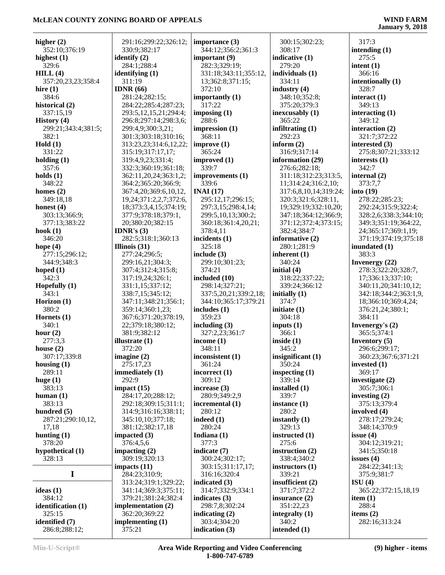| higher $(2)$        | 291:16;299:22;326:12;      | importance (3)        | 300:15;302:23;        | 317:3                 |
|---------------------|----------------------------|-----------------------|-----------------------|-----------------------|
| 352:10;376:19       | 330:9;382:17               | 344:12;356:2;361:3    | 308:17                | intending $(1)$       |
| highest $(1)$       | identify (2)               | important $(9)$       | indicative (1)        | 275:5                 |
| 329:6               | 284:1;288:4                | 282:3;329:19;         | 279:20                | intent $(1)$          |
| HILL(4)             | identifying $(1)$          | 331:18;343:11;355:12, | individuals (1)       | 366:16                |
| 357:20,23,23;358:4  | 311:19                     | 13;362:8;371:15;      | 334:11                | intentionally (1)     |
| hire $(1)$          | IDNR $(66)$                | 372:10                | industry $(4)$        | 328:7                 |
| 384:6               | 281:24;282:15;             | importantly (1)       | 348:10;352:8;         | interact $(1)$        |
| historical (2)      | 284:22;285:4;287:23;       | 317:22                | 375:20;379:3          | 349:13                |
| 337:15,19           | 293:5, 12, 15, 21; 294: 4; | imposing $(1)$        | inexcusably $(1)$     | interacting $(1)$     |
| History (4)         | 296:8;297:14;298:3,6;      | 288:6                 | 365:22                | 349:12                |
| 299:21;343:4;381:5; | 299:4,9;300:3,21;          | impression $(1)$      | infiltrating $(1)$    | interaction (2)       |
| 382:1               | 301:3;303:18;310:16;       | 368:11                | 292:23                | 321:7;372:22          |
| Hold(1)             | 313:23,23;314:6,12,22;     | improve $(1)$         | inform $(2)$          | interested (3)        |
| 331:22              | 315:19;317:17,17;          | 365:24                | 316:9;317:14          | 275:8;307:21;333:12   |
| holding $(1)$       | 319:4,9,23;331:4;          | improved (1)          | information (29)      | interests $(1)$       |
| 357:6               | 332:3;360:19;361:18;       | 339:7                 | 276:6;282:18;         | 342:7                 |
| holds $(1)$         | 362:11,20,24;363:1,2;      | improvements (1)      | 311:18;312:23;313:5,  | internal $(2)$        |
| 348:22              | 364:2;365:20;366:9;        | 339:6                 | 11;314:24;316:2,10;   | 373:7,7               |
| homes $(2)$         | 367:4,20;369:6,10,12,      | INAI $(17)$           | 317:6,8,10,14;319:24; | into $(19)$           |
| 349:18,18           | 19,24;371:2,2,7;372:6,     | 295:12,17;296:15;     | 320:3;321:6;328:11,   | 278:22;285:23;        |
| honest $(4)$        | 18;373:3,4,15;374:19;      | 297:3,15;298:4,14;    | 19;329:19;332:10,20;  | 292:24;315:9;322:4;   |
| 303:13;366:9;       | 377:9;378:18;379:1,        |                       | 347:18;364:12;366:9;  | 328:2,6;338:3;344:10; |
|                     |                            | 299:5,10,13;300:2;    |                       | 349:3;351:19;364:22,  |
| 377:13;383:22       | 20;380:20;382:15           | 360:18;361:4,20,21;   | 371:12;372:4;373:15;  |                       |
| hook $(1)$          | IDNR's $(3)$               | 378:4,11              | 382:4;384:7           | 24;365:17;369:1,19;   |
| 346:20              | 282:5;318:1;360:13         | incidents (1)         | informative $(2)$     | 371:19;374:19;375:18  |
| hope $(4)$          | Illinois $(31)$            | 325:18                | 280:1;281:9           | inundated $(1)$       |
| 277:15;296:12;      | 277:24;296:5;              | include $(3)$         | inherent $(1)$        | 383:3                 |
| 344:9;348:3         | 299:16,21;304:3;           | 299:10;301:23;        | 340:24                | Invenergy (22)        |
| hoped $(1)$         | 307:4;312:4;315:8;         | 374:21                | initial (4)           | 278:3;322:20;328:7,   |
| 342:3               | 317:19,24;326:1;           | included (10)         | 318:22;337:22;        | 17;336:13;337:10;     |
| Hopefully (1)       | 331:1,15;337:12;           | 298:14;327:21;        | 339:24;366:12         | 340:11,20;341:10,12;  |
| 343:1               | 338:7,15;345:12;           | 337:5,20,21;339:2,18; | initially $(1)$       | 342:18;344:2;363:1,9, |
| Horizon $(1)$       | 347:11;348:21;356:1;       | 344:10;365:17;379:21  | 374:7                 | 18;366:10;369:4,24;   |
| 380:2               | 359:14;360:1,23;           | includes $(1)$        | initiate $(1)$        | 376:21,24;380:1;      |
| Hornets $(1)$       | 367:6;371:20;378:19,       | 359:23                | 304:18                | 384:11                |
| 340:1               | 22;379:18;380:12;          | including $(3)$       | inputs $(1)$          | Invenergy's $(2)$     |
| hour $(2)$          | 381:9;382:12               | 327:2,23;361:7        | 366:1                 | 365:5:374:1           |
| 277:3,3             | illustrate (1)             | income $(1)$          | inside $(1)$          | Inventory $(5)$       |
| house $(2)$         | 372:20                     | 348:11                | 345:2                 | 296:6;299:17;         |
| 307:17;339:8        | imagine $(2)$              | inconsistent (1)      | insignificant (1)     | 360:23;367:6;371:21   |
| housing $(1)$       | 275:17,23                  | 361:24                | 350:24                | invested $(1)$        |
| 289:11              | immediately (1)            | incorrect $(1)$       | inspecting $(1)$      | 369:17                |
| huge $(1)$          | 292:9                      | 309:12                | 339:14                | investigate $(2)$     |
| 383:13              | impact (15)                | increase $(3)$        | installed $(1)$       | 305:7;306:1           |
| human $(1)$         | 284:17,20;288:12;          | 280:9;349:2,9         | 339:7                 | investing $(2)$       |
| 383:13              | 292:18;309:15;311:1;       | incremental (1)       | instance $(1)$        | 375:13;379:4          |
| hundred $(5)$       | 314:9;316:16;338:11;       | 280:12                | 280:2                 | involved $(4)$        |
| 287:21;290:10,12,   | 345:10,10;377:18;          | indeed $(1)$          | instantly $(1)$       | 278:17;279:24;        |
| 17,18               | 381:12;382:17,18           | 280:24                | 329:13                | 348:14;370:9          |
| hunting $(1)$       | impacted $(3)$             | Indiana (1)           | instructed (1)        | issue $(4)$           |
| 378:20              | 376:4,5,6                  | 377:3                 | 275:6                 | 304:12;319:21;        |
| hypothetical (1)    | impacting $(2)$            | indicate (7)          | instruction (2)       | 341:5;350:18          |
| 328:13              | 309:19;320:13              | 300:24;302:17;        | 338:4;340:2           | issues $(4)$          |
|                     | impacts (11)               | 303:15;311:17,17;     | instructors $(1)$     | 284:22;341:13;        |
| I                   | 284:23;310:9;              | 316:16;320:4          | 339:21                | 375:9;381:7           |
|                     | 313:24;319:1;329:22;       | indicated (3)         | insufficient (2)      | ISU(4)                |
| ideas $(1)$         | 341:14;369:3;375:11;       | 314:7;332:9;334:1     | 371:7;372:2           | 365:22;372:15,18,19   |
| 384:12              | 379:21;381:24;382:4        | indicates $(3)$       | insurance $(2)$       | item $(1)$            |
| identification (1)  | implementation (2)         | 298:7,8;302:24        | 351:22,23             | 288:4                 |
| 325:15              | 362:20;369:22              | indicating $(2)$      | integralty $(1)$      | items $(2)$           |
| identified (7)      | implementing (1)           | 303:4;304:20          | 340:2                 | 282:16;313:24         |
|                     | 375:21                     |                       |                       |                       |
| 286:8;288:12;       |                            | indication $(3)$      | intended (1)          |                       |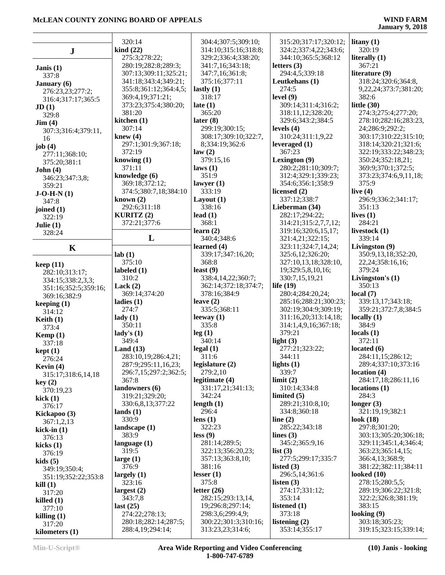|                                      | 320:14                                   | 304:4;307:5;309:10;                      | 315:20;317:17;320:12;            | litany $(1)$                            |
|--------------------------------------|------------------------------------------|------------------------------------------|----------------------------------|-----------------------------------------|
|                                      | $\operatorname{kind}(22)$                | 314:10;315:16;318:8;                     | 324:2;337:4,22;343:6;            | 320:19                                  |
| $\bf J$                              | 275:3;278:22;                            | 329:2;336:4;338:20;                      | 344:10;365:5;368:12              | literally (1)                           |
|                                      | 280:19;282:8;289:3;                      | 341:7,16;343:18;                         | letters $(3)$                    | 367:21                                  |
| Janis $(1)$                          | 307:13;309:11;325:21;                    | 347:7,16;361:8;                          | 294:4,5;339:18                   | literature (9)                          |
| 337:8                                |                                          |                                          |                                  |                                         |
| <b>January</b> (6)                   | 341:18;343:4;349:21;                     | 375:16;377:11                            | Leutkehans (1)<br>274:5          | 318:24;320:6;364:8,                     |
| 276:23,23;277:2;                     | 355:8;361:12;364:4,5;                    | lastly $(1)$<br>318:17                   |                                  | 9, 22, 24; 373: 7; 381: 20;<br>382:6    |
| 316:4;317:17;365:5                   | 369:4,19;371:21;                         | late $(1)$                               | level $(9)$                      | little $(30)$                           |
| JD(1)                                | 373:23;375:4;380:20;                     |                                          | 309:14;311:4;316:2;              |                                         |
| 329:8                                | 381:20                                   | 365:20                                   | 318:11,12;328:20;                | 274:3;275:4;277:20;                     |
| $\text{Jim} (4)$                     | kitchen $(1)$                            | later $(8)$                              | 329:6;343:2;384:5                | 278:10;282:16;283:23,                   |
| 307:3;316:4;379:11,                  | 307:14                                   | 299:19;300:15;                           | levels $(4)$                     | 24;286:9;292:2;                         |
| 16                                   | knew $(4)$                               | 308:17;309:10;322:7,                     | 310:24;311:1,9,22                | 303:17;310:22;315:10;                   |
| job $(4)$                            | 297:1;301:9;367:18;                      | 8;334:19;362:6                           | leveraged (1)                    | 318:14;320:21;321:6;                    |
| 277:11;368:10;                       | 372:19                                   | law(2)                                   | 367:23                           | 322:19;333:22;348:23;                   |
| 375:20;381:1                         | knowing $(1)$                            | 379:15,16                                | Lexington (9)                    | 350:24;352:18,21;                       |
| John(4)                              | 371:11                                   | laws(1)                                  | 280:2;281:10;309:7;              | 369:9;370:1;372:5;                      |
| 346:23;347:3,8;                      | knowledge (6)                            | 351:9                                    | 312:4;329:1;339:23;              | 373:23;374:6,9,11,18;                   |
| 359:21                               | 369:18;372:12;                           | lawyer $(1)$                             | 354:6;356:1;358:9                | 375:9                                   |
| $J-O-H-N(1)$                         | 374:5;380:7,18;384:10                    | 333:19                                   | licensed (2)                     | live $(4)$                              |
| 347:8                                | known $(2)$                              | Layout $(1)$                             | 337:12;338:7                     | 296:9;336:2;341:17;                     |
| joined (1)                           | 292:6:311:18                             | 338:16                                   | Lieberman (34)                   | 351:13                                  |
| 322:19                               | <b>KURITZ</b> $(2)$                      | lead $(1)$                               | 282:17;294:22;                   | lives $(1)$                             |
| Julie $(1)$                          | 372:21;377:6                             | 368:1                                    | 314:21;315:2,7,7,12;             | 284:21                                  |
| 328:24                               |                                          | learn $(2)$                              | 319:16;320:6,15,17;              | livestock (1)                           |
|                                      | L                                        | 340:4;348:6                              | 321:4,21;322:15;                 | 339:14                                  |
| $\mathbf K$                          |                                          | learned $(4)$                            | 323:11;324:7,14,24;              | Livingston (9)                          |
|                                      | lab(1)                                   | 339:17;347:16,20;                        | 325:6,12;326:20;                 | 350:9,13,18;352:20,                     |
| keep(11)                             | 375:10                                   | 368:8                                    | 327:10,13,18;328:10,             | 22, 24; 358: 16, 16;                    |
| 282:10;313:17;                       | labeled $(1)$                            | least $(9)$                              | 19;329:5,8,10,16;                | 379:24                                  |
| 334:15;338:2,3,3;                    | 310:2                                    | 338:4,14,22;360:7;                       | 330:7,15,19,21                   | Livingston's (1)                        |
|                                      | Lack $(2)$                               | 362:14;372:18;374:7;                     | life $(19)$                      | 350:13                                  |
|                                      |                                          |                                          |                                  |                                         |
| 351:16;352:5;359:16;<br>369:16;382:9 | 369:14;374:20                            | 378:16;384:9                             | 280:4;284:20,24;                 | local $(7)$                             |
|                                      | ladies $(1)$                             | leave $(2)$                              | 285:16;288:21;300:23;            | 339:13,17;343:18;                       |
| keeping $(1)$<br>314:12              | 274:7                                    | 335:5;368:11                             | 302:19;304:9;309:19;             | 359:21;372:7,8;384:5                    |
|                                      | $\text{lady}(1)$                         | leeway $(1)$                             | 311:16,20;313:14,18;             | locally $(1)$                           |
| Keith $(1)$<br>373:4                 | 350:11                                   | 335:8                                    | 314:1,4,9,16;367:18;             | 384:9                                   |
|                                      | lady's $(1)$                             | leg(1)                                   | 379:21                           | locals(1)                               |
| Kemp $(1)$<br>337:18                 | 349:4                                    | 340:14                                   | light $(3)$                      | 372:11                                  |
|                                      | Land $(13)$                              | legal(1)                                 | 277:21;323:22;                   | located $(6)$                           |
| kept(1)<br>276:24                    | 283:10,19;286:4,21;                      | 311:6                                    | 344:11                           | 284:11,15;286:12;                       |
| Kevin $(4)$                          | 287:9;295:11,16,23;                      | legislature $(2)$                        | lights $(1)$                     | 289:4;337:10;373:16                     |
| 315:17;318:6,14,18                   | 296:7,15;297:2;362:5;                    | 279:2,10                                 | 339:7                            | location(4)                             |
| key(2)                               | 367:8                                    | legitimate (4)                           | limit(2)                         | 284:17,18;286:11,16                     |
| 370:19,23                            | landowners (6)                           | 331:17,21;341:13;                        | 310:14;334:8                     | locations (1)                           |
| kick $(1)$                           | 319:21;329:20;                           | 342:24                                   | limited $(5)$                    | 284:3                                   |
| 376:17                               | 330:6,8,13;377:22                        | length $(1)$                             | 289:21;310:8,10;                 | longer $(3)$                            |
| Kickapoo (3)                         | lands $(1)$                              | 296:4                                    | 334:8;360:18                     | 321:19,19;382:1                         |
| 367:1,2,13                           | 330:9                                    | lens $(1)$                               | line $(2)$                       | look $(18)$                             |
| kick-in $(1)$                        | landscape $(1)$                          | 322:23                                   | 285:22;343:18                    | 297:8;301:20;                           |
| 376:13                               | 383:9                                    | less (9)                                 | lines $(3)$                      | 303:13;305:20;306:18;                   |
| kicks $(1)$                          | language $(1)$                           | 281:14;289:5;                            | 345:2;365:9,16                   | 329:11;345:1,4;346:4;                   |
| 376:19                               | 319:5                                    | 322:13;356:20,23;                        | list(3)                          | 363:23;365:14,15;                       |
| kids(5)                              | large $(1)$                              | 357:13;363:8,10;                         | 277:5;299:17;335:7               | 366:4,13;368:9;                         |
| 349:19;350:4;                        | 376:9                                    | 381:16                                   | listed $(3)$                     | 381:22;382:11;384:11                    |
| 351:19;352:22;353:8                  | largely $(1)$                            | lesser $(1)$                             | 296:5,14;361:6                   | looked $(10)$                           |
| kill(1)                              | 323:16                                   | 375:8                                    | listen $(3)$                     | 278:15;280:5,5;                         |
| 317:20                               | largest $(2)$                            | letter $(26)$                            | 274:17;331:12;                   | 289:19;306:22;321:8;                    |
| killed $(1)$                         | 343:7,8                                  | 282:15;293:13,14,                        | 353:14                           | 322:2;326:8;381:19;                     |
| 377:10                               | last $(25)$                              | 19;296:8;297:14;                         | listened $(1)$                   | 383:15                                  |
| killing $(1)$                        | 274:22;278:13;                           | 298:3,6;299:4,9;                         | 373:18                           | looking $(9)$                           |
| 317:20                               | 280:18;282:14;287:5;<br>288:4,19;294:14; | 300:22;301:3;310:16;<br>313:23,23;314:6; | listening $(2)$<br>353:14;355:17 | 303:18;305:23;<br>319:15;323:15;339:14; |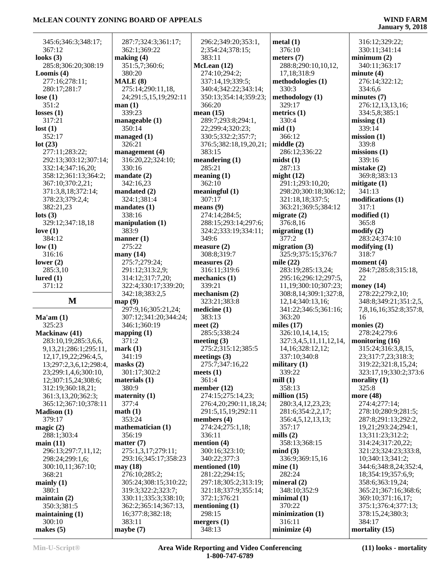| 345:6;346:3;348:17;        | 287:7;324:3;361:17;   | 296:2;349:20;353:1,     | metal(1)               | 316:12;329:22;           |
|----------------------------|-----------------------|-------------------------|------------------------|--------------------------|
| 367:12                     | 362:1;369:22          | 2;354:24;378:15;        | 376:10                 | 330:11;341:14            |
| looks $(3)$                | making (4)            | 383:11                  | meters $(7)$           | minimum(2)               |
| 285:8;306:20;308:19        | 351:5,7;360:6;        | McLean (12)             | 288:8;290:10,10,12,    | 340:11;363:17            |
| Loomis $(4)$               | 380:20                | 274:10;294:2;           | 17,18;318:9            | minute $(4)$             |
| 277:16;278:11;             | MALE(8)               | 337:14,19;339:5;        | methodologies (1)      | 276:14;322:12;           |
| 280:17;281:7               | 275:14;290:11,18,     | 340:4;342:22;343:14;    | 330:3                  | 334:6,6                  |
| lose $(1)$                 | 24;291:5,15,19;292:11 | 350:13;354:14;359:23;   | methodology (1)        | minutes $(7)$            |
| 351:2                      | man(1)                | 366:20                  | 329:17                 | 276:12,13,13,16;         |
| losses $(1)$               | 339:23                | mean $(15)$             | metrics $(1)$          | 334:5,8;385:1            |
| 317:21                     | manageable $(1)$      | 289:7;293:8;294:1,      | 330:4                  | missing $(1)$            |
| lost(1)                    | 350:14                | 22;299:4;320:23;        | mid(1)                 | 339:14                   |
| 352:17                     | managed (1)           | 330:5;332:2;357:7;      | 366:12                 | mission(1)               |
| lot(23)                    | 326:21                | 376:5;382:18,19,20,21;  | middle(2)              | 339:8                    |
| 277:11;283:22;             | management (4)        | 383:15                  | 286:12;336:22          | missing(1)               |
| 292:13;303:12;307:14;      | 316:20,22;324:10;     | meandering $(1)$        | mids(1)                | 339:16                   |
| 332:14;347:16,20;          | 330:16                | 285:21                  | 287:13                 | mistake(2)               |
| 358:12;361:13;364:2;       | mandate (2)           | meaning(1)              | might $(12)$           | 369:8;383:13             |
| 367:10;370:2,21;           | 342:16,23             | 362:10                  | 291:1;293:10,20;       | mitigate $(1)$           |
| 371:3,8,18;372:14;         | mandated (2)          | meaningful(1)           | 298:20;300:18;306:12;  | 341:13                   |
| 378:23;379:2,4;            | 324:1;381:4           | 307:17                  | 321:18,18;337:5;       | modifications (1)        |
| 382:21,23                  | mandates (1)          | means $(9)$             | 363:21;369:5;384:12    | 317:1                    |
| $\text{lots}$ (3)          | 338:16                | 274:14;284:5;           | migrate $(2)$          | modified(1)              |
| 329:12;347:18,18           | manipulation (1)      | 288:15;293:14;297:6;    | 376:8,16               | 365:8                    |
| love $(1)$                 | 383:9                 | 324:2;333:19;334:11;    | migrating $(1)$        | $\text{modify}(2)$       |
| 384:12                     | manner $(1)$          | 349:6                   | 377:2                  | 283:24;374:10            |
| low(1)                     | 275:22                | measure $(2)$           | migration $(3)$        | modifying (1)            |
| 316:16                     | many $(14)$           | 308:8;319:7             | 325:9;375:15;376:7     | 318:7                    |
| lower $(2)$                | 275:7;279:24;         | measures $(2)$          | mile $(22)$            | moment $(4)$             |
| 285:3,10                   | 291:12;313:2,9;       | 316:11;319:6            | 283:19;285:13,24;      | 284:7;285:8;315:18,      |
| lured $(1)$                | 314:12;317:7,20;      | mechanics $(1)$         | 295:16;296:12;297:5,   | 22                       |
|                            |                       |                         |                        |                          |
| 371:12                     | 322:4;330:17;339:20;  | 339:21                  | 11,19;300:10;307:23;   | money $(14)$             |
|                            | 342:18;383:2,5        | mechanism $(2)$         | 308:8,14;309:1;327:8,  | 278:22;279:2,10;         |
| $\mathbf M$                | map(9)                | 323:21;383:8            | 12, 14; 340: 13, 16;   | 348:8;349:21;351:2,5,    |
|                            | 297:9,16;305:21,24;   | medicine (1)            | 341:22;346:5;361:16;   | 7,8,16,16;352:8;357:8,   |
| Ma'am(1)                   | 307:12;341:20;344:24; | 383:13                  | 363:20                 | 16                       |
| 325:23                     | 346:1;360:19          | meet $(2)$              | miles $(17)$           | monies (2)               |
| Mackinaw (41)              | mapping $(1)$         | 285:5;338:24            | 326:10,14,14,15;       | 278:24;279:6             |
| 283:10,19;285:3,6,6,       | 371:2                 | meeting $(3)$           | 327:3,4,5,11,11,12,14, | monitoring (16)          |
| 9,13,21;286:1;295:11,      | mark(1)               | 275:2;315:12;385:5      | 14, 16; 328: 12, 12;   | 315:24;316:3,8,15,       |
| 12, 17, 19, 22; 296: 4, 5, | 341:19                | meetings $(3)$          | 337:10;340:8           | 23;317:7,23;318:3;       |
| 13;297:2,3,6,12;298:4,     | $\text{masks}$ (2)    | 275:7;347:16,22         | military $(1)$         | 319:22;321:8,15,24;      |
| 23;299:1,4,6;300:10,       | 301:17;302:2          | meets $(1)$             | 339:22                 | 323:17,19;330:2;373:6    |
| 12;307:15,24;308:6;        | materials (1)         | 361:4                   | mill $(1)$             | morality $(1)$           |
| 312:19;360:18,21;          | 380:9                 | member $(12)$           | 358:13                 | 325:8                    |
| 361:3,13,20;362:3;         | maternity (1)         | 274:15;275:14,23;       | million $(15)$         | more (48)                |
| 365:12;367:10;378:11       | 377:4                 | 276:4,20;290:11,18,24;  | 280:3,4,12,23,23;      | 274:4;277:14;            |
| <b>Madison (1)</b>         | math(1)               | 291:5,15,19;292:11      | 281:6;354:2,2,17;      | 278:10;280:9;281:5;      |
| 379:17                     | 353:24                | members (4)             | 356:4,5,12,13,13;      | 287:8;291:13;292:2,      |
| magic $(2)$                | mathematician (1)     | 274:24;275:1,18;        | 357:17                 | 19,21;293:24;294:1,      |
| 288:1;303:4                | 356:19                | 336:11                  | mills $(2)$            | 13:311:23:312:2;         |
| main(11)                   | matter $(7)$          | mention $(4)$           | 358:13;368:15          | 314:24;317:20,22;        |
| 296:13;297:7,11,12;        | 275:1,3,17;279:11;    | 300:16;323:10;          | mind(3)                | 321:23;324:23;333:8,     |
| 298:24;299:1,6;            | 293:16;345:17;358:23  | 340:22;377:3            | 336:9;369:15,16        | 10;340:13;341:2;         |
| 300:10,11;367:10;          | may (18)              | mentioned (10)          | mine(1)                | 344:6;348:8,24;352:4,    |
| 368:21                     | 276:10;285:2;         | 281:22;294:15;          | 282:24                 | 18;354:19;357:6,9;       |
| mainly $(1)$               | 305:24;308:15;310:22; | 297:18;305:2;313:19;    | mineral $(2)$          | 358:6;363:19,24;         |
| 380:1                      | 319:3;322:2;323:7;    | 321:18;337:9;355:14;    | 348:10;352:9           | 365:21;367:16;368:6;     |
| maintain $(2)$             | 330:11;335:3;338:10;  | 372:1;376:21            | minimal(1)             | 369:10;371:16,17;        |
| 350:3;381:5                | 362:2;365:14;367:13,  | mentioning $(1)$        | 370:22                 | 375:1;376:4;377:13;      |
| maintaining $(1)$          | 16;377:8;382:18;      | 298:15                  | minimization $(1)$     | 378:15,24;380:3;         |
| 300:10<br>makes $(5)$      | 383:11<br>maybe $(7)$ | mergers $(1)$<br>348:13 | 316:11<br>minimize (4) | 384:17<br>mortality (15) |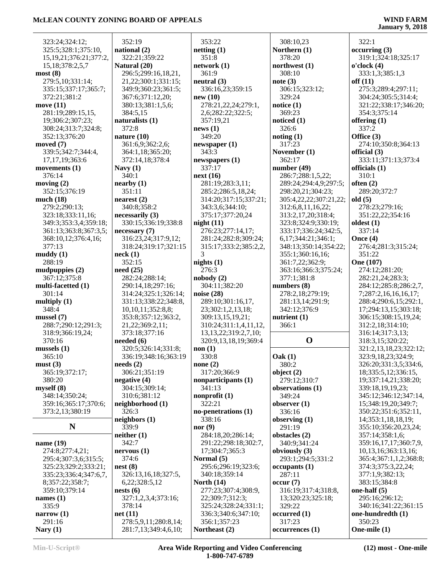# **January 9, 2018**

| 323:24;324:12;                      | 352                      |
|-------------------------------------|--------------------------|
| 325:5;328:1;375:10,                 | natio                    |
| 15, 19, 21; 376: 21; 377: 2,        | 322                      |
| 15,18;378:2,5,7                     | Natur                    |
| most(8)                             | 296                      |
| 279:5,10;331:14;                    | 21,                      |
| 335:15;337:17;365:7;                | 349                      |
| 372:21;381:2                        | 367                      |
| move $(11)$                         | 380                      |
| 281:19;289:15,15,                   | 384                      |
| 19;306:2;307:23;                    | natur                    |
| 308:24;313:7;324:8;                 | 372                      |
| 352:13;376:20                       | natur                    |
| moved (7)                           | 361                      |
| 339:5;342:7;344:4,                  | 364                      |
| 17, 17, 19; 363: 6<br>movements (1) | 372                      |
| 376:14                              | <b>Navy</b><br>340       |
| moving $(2)$                        | neart                    |
| 352:15;376:19                       | 351                      |
| much $(18)$                         | neare                    |
| 279:2;290:13;                       | 340                      |
| 323:18;333:11,16;                   | neces                    |
| 349:3;353:3,4;359:18;               | 330                      |
| 361:13;363:8;367:3,5;               | neces                    |
| 368:10,12;376:4,16;                 | 316                      |
| 377:13                              | 318                      |
| muddy(1)                            | neck                     |
| 288:19                              | 352                      |
| mudpuppies (2)                      | need                     |
| 367:12;375:8<br>multi-facetted (1)  | 282<br>290               |
| 301:14                              | 314                      |
| multiply $(1)$                      | 331                      |
| 348:4                               | 10,                      |
| mussel(7)                           | 353                      |
| 288:7;290:12;291:3;                 | 21,                      |
| 318:9;366:19,24;                    | 373                      |
| 370:16                              | neede                    |
| mussels(1)                          | 320                      |
| 365:10                              | 336                      |
| must(3)<br>365:19;372:17;           | needs<br>30 <sub>6</sub> |
| 380:20                              | negat                    |
| myself(8)                           | 304                      |
| 348:14;350:24;                      | 310                      |
| 359:16;365:17;370:6;                | neigh                    |
| 373:2,13;380:19                     | 326                      |
|                                     | neigh                    |
| N                                   | 339                      |
|                                     | neith                    |
| name (19)<br>274:8;277:4,21;        | 342<br>nervo             |
| 295:4;307:3,6;315:5;                | 374                      |
| 325:23;329:2;333:21;                | nest (                   |
| 335:23;336:4;347:6,7,               | 326                      |
| 8;357:22;358:7;                     | 6,2                      |
| 359:10;379:14                       | nests                    |
| names $(1)$                         | 327                      |
| 335:9                               | 378                      |
| narrow $(1)$                        | net (1                   |
| 291:16                              | 278<br>281               |
| Nary $(1)$                          |                          |

| 352:19                                              | 353:22               |
|-----------------------------------------------------|----------------------|
| national (2)<br>322:21;359:22                       | netting (1<br>351:8  |
| Natural (20)                                        | network              |
| 296:5;299:16,18,21,                                 | 361:9                |
| 21,22;300:1;331:15;                                 | neutral (3           |
| 349:9;360:23;361:5;                                 | 336:16,              |
| 367:6;371:12,20;                                    | new(10)              |
| 380:13;381:1,5,6;                                   | 278:21,              |
| 384:5,15                                            | 2,6;282              |
| naturalists (1)                                     | 357:19.              |
| 372:8                                               | news(1)              |
| nature (10)                                         | 349:20               |
| 361:6,9;362:2,6;                                    | newspape             |
| 364:1,18;365:20;<br>372:14,18;378:4                 | 343:3<br>newspape    |
| Navy $(1)$                                          | 337:17               |
| 340:1                                               | next (16)            |
| nearby (1)                                          | 281:19:              |
| 351:11                                              | 285:2;2              |
| nearest (2)                                         | 314:20;              |
| 340:8;358:2                                         | 343:3,6              |
| necessarily (3)                                     | 375:17               |
| 330:15;336:19;338:8                                 | night(11)            |
| necessary (7)                                       | 276:23:              |
| 316:23,24;317:9,12;                                 | 281:24:              |
| 318:24;319:17;321:15                                | 315:17:              |
| neck (1)                                            | 3                    |
| 352:15                                              | nights(1)            |
| need (25)<br>282:24;288:14;                         | 276:3<br>nobody (2   |
| 290:14,18;297:16;                                   | 304:11:              |
| 314:24;325:1;326:14;                                | noise $(28)$         |
| 331:13;338:22;348:8,                                | 289:10:              |
| 10,10,11;352:8,8;                                   | 23;302:              |
| 353:8;357:12;363:2,                                 | 309:13,              |
| 21, 22; 369: 2, 11;                                 | 310:24:              |
| 373:18;377:16                                       | 13,13,2              |
| needed (6)                                          | 320:9,1              |
| 320:5;326:14;331:8;                                 | non(1)               |
| 336:19;348:16;363:19                                | 330:8                |
| $\boldsymbol{\mathrm{needs}\,}(2)$<br>306:21;351:19 | none $(2)$<br>317:20 |
| negative (4)                                        | nonpartio            |
| 304:15;309:14;                                      | 341:13               |
| 310:6;381:12                                        | nonprofit            |
| neighborhood (1)                                    | 322:21               |
| 326:3                                               | no-peneti            |
| neighbors (1)                                       | 338:16               |
| 339:9                                               | nor $(9)$            |
| neither (1)                                         | 284:18,              |
| 342:7                                               | 291:22;              |
| nervous (1)                                         | 17;304:              |
| 374:6<br>nest (8)                                   | Normal (<br>295:6;2  |
| 326:13,16,18;327:5,                                 | 340:18:              |
| 6,22;328:5,12                                       | North (14            |
| nests (6)                                           | 277:23:              |
| 327:1,2,3,4;373:16;                                 | 22;309:              |
| 378:14                                              | 325:24               |
| net (11)                                            | 336:3;3              |
| 278:5,9,11;280:8,14;                                | 356:1;3              |
| 281:7,13;349:4,6,10;                                | <b>Northeas</b>      |

| 353:22                     | 308          |
|----------------------------|--------------|
| netting(1)                 | <b>North</b> |
|                            |              |
| 351:8                      | 378          |
| network (1)                | north        |
| 361:9                      | 308          |
| neutral (3)                | note (       |
| 336:16,23;359:15           | 306          |
|                            |              |
| new (10)                   | 329          |
| 278:21,22,24;279:1,        | notice       |
| 2,6;282:22;322:5;          | 369          |
| 357:19,21                  | notice       |
| news(1)                    | 326          |
| 349:20                     | notin        |
|                            |              |
| newspaper (1)              | 317          |
| 343:3                      | Nover        |
| newspapers (1)             | 362          |
| 337:17                     | numb         |
| next (16)                  | 286          |
|                            |              |
| 281:19;283:3,11;           | 289          |
| 285:2;286:5,18,24;         | 298          |
| 314:20;317:15;337:21;      | 305          |
| 343:3,6;344:10;            | 312          |
| 375:17;377:20,24           | 313          |
| night(11)                  | 323          |
| 276:23;277:14,17;          | 333          |
|                            |              |
| 281:24;282:8;309:24;       | 6,1          |
| 315:17;333:2;385:2,2,      | 348          |
| 3                          | 355          |
| nights(1)                  | 361          |
| 276:3                      | 363          |
| nobody (2)                 | 377          |
| 304:11;382:20              | numb         |
|                            |              |
| noise (28)                 | 278          |
| 289:10;301:16,17,          | 281          |
| 23;302:1,2,13,18;          | 342          |
| 309:13,15,19,21;           | nutri        |
| 310:24;311:1,4,11,12,      | 366          |
| 13, 13, 22; 319: 2, 7, 10; |              |
| 320:9,13,18,19;369:4       |              |
| non(1)                     |              |
|                            |              |
| 330:8                      | Oak (        |
| none $(2)$                 | 380          |
| 317:20;366:9               | objec        |
| nonparticipants (1)        | 279          |
| 341:13                     | obser        |
| nonprofit $(1)$            | 349          |
| 322:21                     |              |
|                            | obser        |
| no-penetrations (1)        | 336          |
| 338:16                     | obser        |
| nor (9)                    | 291          |
| 284:18,20;286:14;          | obsta        |
| 291:22;298:18;302:7,       | 340          |
| 17:304:7:365:3             | obvio        |
|                            | 293          |
| Normal (5)                 |              |
| 295:6;296:19;323:6;        | occup        |
| 340:18;359:14              | 287          |
| <b>North (14)</b>          | occur        |
| 277:23;307:4;308:9,        | 316          |
| 22;309:7;312:3;            | 13;          |
| 325:24;328:24;331:1;       | 329          |
| 336:3;340:6;347:10;        | occur        |
| 356:1;357:23               | 317          |
|                            |              |
| Northeast (2)              | occur        |

**Northern (1)** 378:20 **northwest (1)** 308:10 **note (3)** 306:15;323:12; 329:24 **notice (1)** 369:23 **noticed (1)** 326:6 **noting (1)** 317:23 **November (1)** 362:17 **number (49)** 286:7;288:1,5,22; 289:24;294:4,9;297:5; 298:20,21;304:23; 305:4,22,22;307:21,22; 312:6,8,11,16,22; 313:2,17,20;318:4; 323:8;324:9;330:19; 333:17;336:24;342:5, 6,17;344:21;346:1; 348:13;350:14;354:22; 355:1;360:16,16; 361:7,22;362:9; 363:16;366:3;375:24; 377:1;381:8 **numbers (8)** 278:2,18;279:19; 281:13,14;291:9; 342:12;376:9 **nutrient (1)** 366:1 **O** 3 **Oak (1)** 380:2 **object (2)** 279:12;310:7 **observations (1)** 349:24 **observer (1)** 336:16 **observing (1)** 291:19 **obstacles (2)** 340:9;341:24 **obviously (3)** 293:1;294:5;331:2 **occupants (1)** 287:11 **occur (7)** 316:19;317:4;318:8, 13;320:23;325:18; 329:22 **occurred (1)** 317:23 **occurrences (1)**

308:10,23

 322:1 **occurring (3)** 319:1;324:18;325:17 **o'clock (4)** 333:1,3;385:1,3 **off (11)** 275:3;289:4;297:11; 304:24;305:5;314:4; 321:22;338:17;346:20; 354:3;375:14 **offering (1)** 337:2 **Office (3)** 274:10;350:8;364:13 **official (3)** 333:11;371:13;373:4 **officials (1)** 310:1 **often (2)** 289:20;372:7 **old (5)** 278:23;279:16; 351:22,22;354:16 **oldest (1)** 337:14 **Once (4)** 276:4;281:3;315:24; 351:22 **One (107)** 274:12;281:20; 282:21,24;283:3; 284:12;285:8;286:2,7, 7;287:2,16,16,16,17; 288:4;290:6,15;292:1, 17;294:13,15;303:18; 306:15;308:15,19,24; 312:2,18;314:10; 316:14;317:3,13; 318:3,15;320:22; 321:2,13,18,23;322:12; 323:9,18,23;324:9; 326:20;331:3,5;334:6, 18;335:5,12;336:15, 19;337:14,21;338:20; 339:18,19,19,23; 345:12;346:12;347:14, 15;348:19,20;349:7; 350:22;351:6;352:11, 14;353:1,18,18,19; 355:10;356:20,23,24; 357:14;358:1,6; 359:16,17,17;360:7,9, 10,13,16;363:13,16; 365:4;367:1,1,2;368:8; 374:3;375:3,22,24; 377:1,9;382:13; 383:15;384:8 **one-half (5)** 295:16;296:12; 340:16;341:22;361:15 **one-hundredth (1)** 350:23 **One-mile (1)**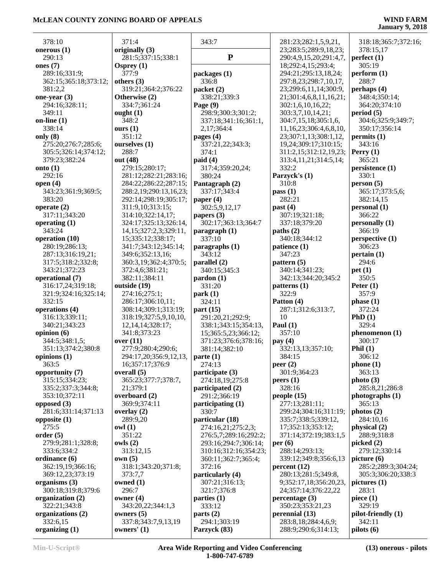| 378:10                         | 371:4                                 | 343:7                                         | 281:23;282:1,5,9,21,         | 318:18;365:7;372:16;          |
|--------------------------------|---------------------------------------|-----------------------------------------------|------------------------------|-------------------------------|
| onerous $(1)$                  | originally (3)                        |                                               | 23;283:5;289:9,18,23;        | 378:15,17                     |
| 290:13                         | 281:5;337:15;338:1                    | ${\bf P}$                                     | 290:4,9,15,20;291:4,7,       | perfect(1)                    |
| ones $(7)$                     | Osprey $(1)$                          |                                               | 18;292:4,15;293:4;           | 305:19                        |
| 289:16;331:9;                  | 377:9                                 | packages (1)                                  | 294:21;295:13,18,24;         | perform (1)                   |
| 362:15;365:18;373:12;          | others $(3)$                          | 336:8                                         | 297:8,23;298:7,10,17,        | 288:7                         |
| 381:2,2                        | 319:21;364:2;376:22                   | packet (2)                                    | 23;299:6,11,14;300:9,        | perhaps $(4)$                 |
| one-year $(3)$                 | Otherwise (2)                         | 338:21;339:3                                  | 21;301:4,6,8,11,16,21;       | 348:4;350:14;                 |
| 294:16;328:11;                 | 334:7;361:24                          | Page (9)                                      | 302:1,6,10,16,22;            | 364:20;374:10                 |
| 349:11                         | ought $(1)$                           | 298:9;300:3;301:2;                            | 303:3,7,10,14,21;            | period(5)                     |
| on-line $(1)$                  | 348:2                                 | 337:18;341:16;361:1,                          | 304:7,15,18;305:1,6,         | 304:6;325:9;349:7;            |
| 338:14                         | ours(1)                               | 2,17;364:4                                    | 11,16,23;306:4,6,8,10,       | 350:17;356:14                 |
| only $(8)$                     | 351:12                                | pages $(4)$                                   | 23;307:1,13;308:1,12,        | permits(1)                    |
| 275:20;276:7;285:6;            | ourselves (1)                         | 337:21,22;343:3;                              | 19,24;309:17;310:15;         | 343:16                        |
| 305:5;326:14;374:12;           | 288:7                                 | 374:1                                         | 311:2,15;312:12,19,23;       | Perry $(1)$                   |
| 379:23;382:24                  | out (48)                              | paid(4)                                       | 313:4,11,21;314:5,14;        | 365:21                        |
| onto $(1)$                     | 279:15;280:17;                        | 317:4;359:20,24;                              | 332:2                        | persistence (1)               |
| 292:16                         | 281:12;282:21;283:16;                 | 380:24                                        | Parzyck's (1)                | 330:1                         |
| open $(4)$                     | 284:22;286:22;287:15;                 | Pantagraph (2)                                | 310:8                        | person(5)                     |
| 343:23;361:9;369:5;<br>383:20  | 288:2,19;290:13,16,23;                | 337:17;343:4                                  | pass(1)<br>282:21            | 365:17;373:5,6;               |
|                                | 292:14;298:19;305:17;                 | paper $(4)$                                   |                              | 382:14,15                     |
| operate $(2)$<br>317:11;343:20 | 311:9,10;313:15;<br>314:10;322:14,17; | 302:5,9,12,17<br>papers (3)                   | past $(4)$<br>307:19;321:18; | personal(1)<br>366:22         |
| operating (1)                  | 324:17;325:13;326:14,                 | 302:17;363:13;364:7                           | 337:18;379:20                | personally (1)                |
| 343:24                         | 14, 15; 327: 2, 3; 329: 11,           | $\frac{1}{2}$ paragraph (1)                   | paths (2)                    | 366:19                        |
| operation (10)                 | 15;335:12;338:17;                     | 337:10                                        | 340:18;344:12                | perspective (1)               |
| 280:19;286:13;                 | 341:7;343:12;345:14;                  | paragnhs(1)                                   | patience (1)                 | 306:23                        |
| 287:13;316:19,21;              | 349:6;352:13,16;                      | 343:12                                        | 347:23                       | pertain(1)                    |
| 317:5;318:2;332:8;             | 360:3,19;362:4;370:5;                 | parallel $(2)$                                | pattern $(5)$                | 294:6                         |
| 343:21;372:23                  | 372:4,6;381:21;                       | 340:15;345:3                                  | 340:14;341:23;               | pet(1)                        |
| operational (7)                | 382:11;384:11                         | $\mathbf{p}$ ardon $(1)$                      | 342:13;344:20;345:2          | 350:5                         |
| 316:17,24;319:18;              | outside (19)                          | 331:20                                        | patterns (1)                 | Peter $(1)$                   |
| 321:9;324:16;325:14;           | 274:16;275:1;                         | park(1)                                       | 322:9                        | 357:9                         |
| 332:15                         | 286:17;306:10,11;                     | 324:11                                        | Patton (4)                   | phase(1)                      |
| operations (4)                 | 308:14;309:1;313:19;                  | part $(15)$                                   | 287:1;312:6;313:7,           | 372:24                        |
| 316:13;339:11;                 | 318:19;327:5,9,10,10,                 | 291:20,21;292:9;                              | 10                           | PhD(1)                        |
| 340:21;343:23                  | 12, 14, 14; 328: 17;                  | 338:1;343:15;354:13,                          | Paul $(1)$                   | 329:4                         |
| opinion (6)                    | 341:8;373:23                          | 15;365:5,23;366:12;                           | 357:10                       | phenomenon(1)                 |
| 344:5;348:1,5;                 | over $(11)$                           | 371:23;376:6;378:16;                          | pay $(4)$                    | 300:17                        |
| 351:13;374:2;380:8             | 277:9;280:4;290:6;                    | 381:14;382:10                                 | 332:13,13;357:10;            | Phil $(1)$                    |
| opinions (1)                   | 294:17,20;356:9,12,13,                | parte (1)                                     | 384:15                       | 306:12                        |
| 363:5                          | 16;357:17;376:9                       | 274:13                                        | peer(2)                      | phone(1)                      |
| opportunity (7)                | overall $(5)$                         | participate (3)                               | 301:9;364:23                 | 363:13                        |
| 315:15;334:23;                 | 365:23;377:7;378:7,                   | 274:18,19;275:8                               | peers(1)                     | photo(3)                      |
| 335:2;337:3;344:8;             | 21;379:1                              | participated (2)                              | 328:16                       | 285:8,21;286:8                |
| 353:10;372:11                  | overboard (2)                         | 291:2;366:19                                  | people $(15)$                | photographs (1)               |
| opposed $(3)$                  | 369:9;374:11                          | participating (1)                             | 277:13;281:11;               | 365:13                        |
| 281:6;331:14;371:13            | overlay $(2)$                         | 330:7                                         | 299:24;304:16;311:19;        | photos(2)                     |
| opposite $(1)$                 | 289:9,20                              | particular (18)                               | 335:7;338:5;339:12,          | 284:10,16                     |
| 275:5                          | $\text{owl}$ $(1)$                    | 274:16,21;275:2,3;                            | 17;352:13;353:12;            | physical (2)                  |
| order(5)<br>279:9;281:1;328:8; | 351:22<br>owls (2)                    | 276:5,7;289:16;292:2;                         | 371:14;372:19;383:1,5        | 288:9;318:8                   |
| 333:6;334:2                    | 313:12,15                             | 293:16;294:7;306:14;<br>310:16;312:16;354:23; | per(6)<br>288:14;293:13;     | picked $(2)$<br>279:12;330:14 |
| ordinance (6)                  | own(5)                                | 360:11;362:7;365:4;                           | 339:12;349:8;356:6,13        | picture $(6)$                 |
| 362:19,19;366:16;              | 318:1;343:20;371:8;                   | 372:16                                        | percent (12)                 | 285:2;289:3;304:24;           |
| 369:12,23;373:19               | 373:7,7                               | particularly (4)                              | 280:13;281:5;349:8,          | 305:3;306:20;338:3            |
| organisms $(3)$                | owned (1)                             | 307:21;316:13;                                | 9;352:17,18;356:20,23,       | picture (1)                   |
| 300:18;319:8;379:6             | 296:7                                 | 321:7;376:8                                   | 24;357:14;376:22,22          | 283:1                         |
| organization (2)               | owner $(4)$                           | parties $(1)$                                 | percentage(3)                | piece $(1)$                   |
| 322:21;343:8                   | 343:20,22;344:1,3                     | 333:12                                        | 350:23;353:21,23             | 329:19                        |
| organizations (2)              | owners $(5)$                          | parts $(2)$                                   | perennial (13)               | pilot-friendly (1)            |
| 332:6,15                       | 337:8;343:7,9,13,19                   | 294:1;303:19                                  | 283:8,18;284:4,6,9;          | 342:11                        |
| organizing $(1)$               | owners' (1)                           | Parzyck (83)                                  | 288:9;290:6;314:13;          | pilots(6)                     |
|                                |                                       |                                               |                              |                               |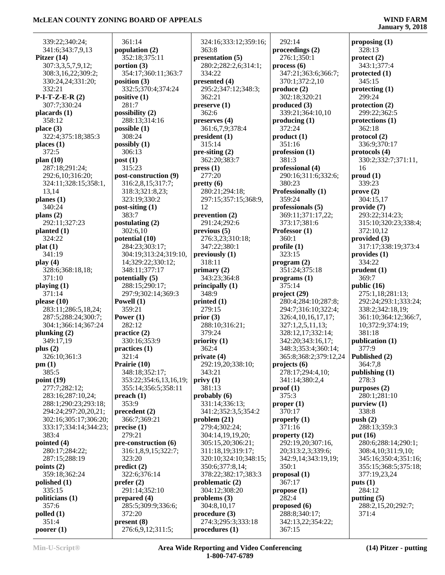| 339:22;340:24;              | 361:14                          | 324:16;333:12;359:16;                |  |
|-----------------------------|---------------------------------|--------------------------------------|--|
| 341:6;343:7,9,13            | population (2)                  | 363:8                                |  |
| Pitzer $(14)$               | 352:18;375:11                   | presentation (5)                     |  |
| 307:3,3,5,7,9,12;           | portion $(3)$                   | 280:2;282:2,6;314:1;                 |  |
| 308:3,16,22;309:2;          | 354:17;360:11;363:7             | 334:22                               |  |
|                             | position (3)                    |                                      |  |
| 330:24,24;331:20;<br>332:21 |                                 | presented $(4)$                      |  |
|                             | 332:5;370:4;374:24              | 295:2;347:12;348:3;                  |  |
| $P-I-T-Z-E-R(2)$            | positive $(1)$                  | 362:21                               |  |
| 307:7;330:24                | 281:7                           | preserve(1)                          |  |
| placards (1)                | possibility (2)                 | 362:6                                |  |
| 358:12                      | 288:13;314:16                   | preserves $(4)$                      |  |
| place $(3)$                 | possible $(1)$                  | 361:6,7,9;378:4                      |  |
| 322:4;375:18;385:3          | 308:24                          | president(1)                         |  |
| places(1)                   | possibly $(1)$                  | 315:14                               |  |
| 372:5                       | 306:13                          | pre-siting (2)                       |  |
| plan $(10)$                 | post(1)                         | 362:20;383:7                         |  |
| 287:18;291:24;              | 315:23                          | pres(1)                              |  |
| 292:6,10;316:20;            | post-construction (9)           | 277:20                               |  |
| 324:11;328:15;358:1,        | 316:2,8,15;317:7;               | pretty(6)                            |  |
| 13,14                       | 318:3;321:8,23;                 | 280:21;294:18;                       |  |
| planes (1)                  | 323:19;330:2                    | 297:15;357:15;368:9,                 |  |
| 340:24                      |                                 |                                      |  |
|                             | post-siting (1)                 | 12                                   |  |
| plans $(2)$                 | 383:7                           | prevention $(2)$                     |  |
| 292:11;327:23               | postulating $(2)$               | 291:24;292:6                         |  |
| planted $(1)$               | 302:6,10                        | previous(5)                          |  |
| 324:22                      | potential (10)                  | 276:3,23;310:18;                     |  |
| plat(1)                     | 284:23;303:17;                  | 347:22;380:1                         |  |
| 341:19                      | 304:19;313:24;319:10,           | previously (1)                       |  |
| play $(4)$                  | 14;329:22;330:12;               | 318:11                               |  |
| 328:6;368:18,18;            | 348:11;377:17                   | primary $(2)$                        |  |
| 371:10                      | potentially (5)                 | 343:23;364:8                         |  |
| playing $(1)$               | 288:15;290:17;                  | principally $(1)$                    |  |
| 371:14                      | 297:9;302:14;369:3              | 348:9                                |  |
| please $(10)$               | Powell (1)                      | printed $(1)$                        |  |
| 283:11;286:5,18,24;         | 359:21                          | 279:15                               |  |
| 287:5;288:24;300:7;         | Power $(1)$                     | prior(3)                             |  |
| 304:1;366:14;367:24         | 282:12                          | 288:10;316:21;                       |  |
| plunking $(2)$              | practice (2)                    | 379:24                               |  |
| 349:17,19                   | 330:16;353:9                    | priority (1)                         |  |
| plus $(2)$                  | practices (1)                   | 362:4                                |  |
| 326:10;361:3                |                                 |                                      |  |
|                             | 321:4                           | private (4)                          |  |
| pm(1)                       | Prairie (10)                    | 292:19,20;338:10;                    |  |
| 385:5                       | 348:18;352:17;                  | 343:21                               |  |
| point (19)                  | 353:22;354:6,13,16,19;          | privy(1)                             |  |
| 277:7;282:12;               | 355:14;356:5;358:11             | 381:13                               |  |
| 283:16;287:10,24;           | preach(1)                       | probably $(6)$                       |  |
| 288:1;290:23;293:18;        | 353:9                           | 331:14;336:13;                       |  |
| 294:24;297:20,20,21;        | precedent(2)                    | 341:2;352:3,5;354:2                  |  |
| 302:16;305:17;306:20;       | 366:7;369:21                    | problem $(21)$                       |  |
| 333:17;334:14;344:23;       | precise(1)                      | 279:4;302:24;                        |  |
| 383:4                       | 279:21                          | 304:14,19,19,20;                     |  |
| pointed (4)                 | pre-construction (6)            | 305:15,20;306:21;                    |  |
| 280:17;284:22;              | 316:1,8,9,15;322:7;             | 311:18,19;319:17;                    |  |
| 287:15;288:19               | 323:20                          | 320:10;324:10;348:15;                |  |
|                             | predict(2)                      | 350:6;377:8,14;                      |  |
|                             | 322:6;376:14                    | 378:22;382:17;383:3                  |  |
| points $(2)$                |                                 |                                      |  |
| 359:18;362:24               |                                 |                                      |  |
| polished $(1)$              | $\text{prefer} (2)$             | problematic (2)                      |  |
| 335:15                      | 291:14;352:10                   | 304:12;308:20                        |  |
| politicians (1)             | prepared (4)                    | problems $(3)$                       |  |
| 357:6                       | 285:5;309:9;336:6;              | 304:8,10,17                          |  |
| $p$ olled $(1)$             | 372:20                          | procedure(3)                         |  |
| 351:4<br>poorer $(1)$       | present(8)<br>276:6,9,12;311:5; | 274:3;295:3;333:18<br>procedures (1) |  |

 292:14 **proceedings (2)** 276:1;350:1 **process (6)** 347:21;363:6;366:7; 370:1;372:2,10 **produce (2)** 302:18;320:21 **produced (3)** 339:21;364:10,10 **producing (1)** 372:24 **product (1)** 351:16 **profession (1)** 381:3 **professional (4)** 290:16;311:6;332:6; 380:23 **Professionally (1)** 359:24 **professionals (5)** 369:11;371:17,22; 373:17;381:6 **Professor (1)** 360:1 **profile (1)** 323:15 **program (2)** 351:24;375:18 **programs (1)** 375:14 **project (29)** 280:4;284:10;287:8; 294:7;316:10;322:4; 326:4,10,16,17,17; 327:1,2,5,11,13; 328:12,17;332:14; 342:20;343:16,17; 348:3;353:4;360:14; 365:8;368:2;379:12,24 **projects (6)** 278:17;294:4,10; 341:14;380:2,4 **proof (1)** 375:3 **proper (1)** 370:17 **properly (1)** 371:16 **property (12)** 292:19,20;307:16, 20;313:2,3;339:6; 342:9,14;343:19,19; 350:1 **proposal (1)** 367:17 **propose (1)** 282:4 **proposed (6)** 288:8;340:17; 342:13,22;354:22;

**proposing (1)** 328:13 **protect (2)** 343:1;377:4 **protected (1)** 345:15 **protecting (1)** 299:24 **protection (2)** 299:22;362:5 **protections (1)** 362:18 **protocol (2)** 336:9;370:17 **protocols (4)** 330:2;332:7;371:11, 16 **proud (1)** 339:23 **prove (2)** 304:15,17 **provide (7)** 293:22;314:23; 315:10;320:23;338:4; 372:10,12 **provided (3)** 317:17;338:19;373:4 **provides (1)** 334:22 **prudent (1)** 369:7 **public (16)** 275:1,18;281:13; 292:24;293:1;333:24; 338:2;342:18,19; 361:10;364:12;366:7, 10;372:9;374:19; 381:18 **publication (1)** 377:9 **Published (2)** 364:7,8 **publishing (1)** 278:3 **purposes (2)** 280:1;281:10 **purview (1)** 338:8 **push (2)** 288:13;359:3 **put (16)** 280:6;288:14;290:1; 308:4,10;311:9,10; 345:16;350:4;351:16; 355:15;368:5;375:18; 377:19,23,24 **puts (1)** 284:12 **putting (5)** 288:2,15,20;292:7; 371:4

367:15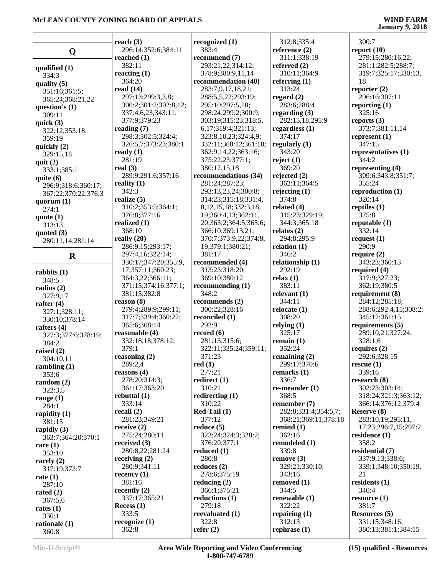|                     | reach $(3)$           | recognized $(1)$           | 312:8;335:4               | 300:7                 |
|---------------------|-----------------------|----------------------------|---------------------------|-----------------------|
|                     | 296:14;352:6;384:11   | 383:4                      | reference $(2)$           | report $(10)$         |
| Q                   | reached $(1)$         | recommend (7)              | 311:1;338:19              | 279:15;280:16,22;     |
|                     | 382:11                | 293:21,22;314:12;          | referred $(2)$            | 281:1;282:5;288:7;    |
| qualified $(1)$     | reacting $(1)$        | 378:9;380:9,11,14          | 310:11;364:9              | 319:7;325:17;330:13,  |
| 334:3               | 364:20                | recommendation (40)        | referring $(1)$           | 18                    |
| quality $(5)$       | read $(14)$           | 283:7,9,17,18,21;          | 313:24                    | reporter $(2)$        |
| 351:16;361:5;       | 297:13;299:3,3,8;     | 288:5,5,22;293:19;         | regard $(2)$              | 296:16;307:11         |
| 365:24;368:21,22    | 300:2;301:2;302:8,12; | 295:10;297:5,10;           | 283:6;288:4               | reporting $(1)$       |
| question's $(1)$    | 337:4,6,23;343:11;    | 298:24;299:2;300:9;        | regarding $(3)$           | 325:16                |
| 309:11              | 377:9:379:23          | 303:19;315:23;318:5,       | 282:15,18;295:9           | reports $(3)$         |
| quick $(3)$         |                       | 6,17;319:4;321:13;         | regardless $(1)$          | 373:7;381:11,14       |
| 322:12;353:18;      | reading $(7)$         |                            | 374:17                    |                       |
| 359:19              | 298:3;302:5;324:4;    | 323:8,10,23;324:4,9;       |                           | represent $(1)$       |
| quickly $(2)$       | 326:5,7;373:23;380:1  | 332:11;360:12;361:18;      | regularly $(1)$<br>343:20 | 347:15                |
| 329:15,18           | ready $(1)$           | 362:9,14,22;363:16;        |                           | representatives $(1)$ |
| quit $(2)$          | 281:19                | 375:22,23;377:1;           | reject $(1)$              | 344:2                 |
| 333:1;385:1         | real $(3)$            | 380:12,15,18               | 369:20                    | representing (4)      |
| quite $(6)$         | 289:9;291:6;357:16    | recommendations (34)       | rejected $(2)$            | 309:6;343:8;351:7;    |
| 296:9;318:6;360:17; | reality $(1)$         | 281:24;287:23;             | 362:11;364:5              | 355:24                |
| 367:22;370:22;376:3 | 342:3                 | 293:13,23,24;300:8;        | rejecting $(1)$           | reproduction $(1)$    |
| quorum $(1)$        | realize $(5)$         | 314:23;315:18;331:4,       | 374:8                     | 320:14                |
| 274:1               | 310:2;353:5;364:1;    | 8, 12, 15, 18; 332: 3, 18, | related $(4)$             | reptiles $(1)$        |
| quote $(1)$         | 376:8;377:16          | 19;360:4,13;362:11,        | 315:23;329:19;            | 375:8                 |
| 313:13              | realized (1)          | 20;363:2;364:5;365:6;      | 344:3;365:18              | reputable $(1)$       |
| quoted $(3)$        | 368:10                | 366:10;369:13,21;          | relates $(2)$             | 332:14                |
| 280:11,14;281:14    | really $(20)$         | 370:7;373:9,22;374:8,      | 294:8;295:9               | request $(1)$         |
|                     | 286:9,15;293:17;      | 19;379:1;380:21;           | relation $(1)$            | 290:9                 |
| $\mathbf R$         | 297:4,16;322:14;      | 381:17                     | 346:2                     | require $(2)$         |
|                     | 330:17;347:20;355:9,  | recommended (4)            | relationship (1)          | 343:23;360:13         |
| rabbits $(1)$       | 17;357:11;360:23;     | 313:23;318:20;             | 292:19                    | required $(4)$        |
| 348:5               | 364:3,22;366:11;      | 369:10;380:12              | relax(1)                  | 317:9;327:23;         |
| radius $(2)$        | 371:15;374:16;377:1;  | recommending $(1)$         | 383:11                    | 362:19;380:5          |
| 327:9,17            | 381:15;382:8          | 348:2                      | relevant $(1)$            | requirement (8)       |
| rafter $(4)$        | reason (8)            | recommends $(2)$           | 344:11                    | 284:12;285:18;        |
| 327:1;328:11;       | 279:4;289:9;299:11;   | 300:22;328:16              | relocate $(1)$            | 288:6;292:4,15;308:2; |
| 330:10;378:14       | 317:7;339:4;360:22;   | reconciled (1)             | 308:20                    | 345:12;361:15         |
| rafters $(4)$       | 365:6;368:14          | 292:9                      | relying $(1)$             | requirements (5)      |
| 327:3;377:6;378:19; | reasonable (4)        | record $(6)$               | 325:17                    | 289:10,21;327:24;     |
| 384:2               | 332:18,18;378:12;     | 281:13;315:6;              | remain $(1)$              | 328:1,6               |
| raised $(2)$        | 379:1                 | 322:11;335:24;359:11;      | 352:24                    | requires $(2)$        |
| 304:10,11           | reasoning (2)         | 371:23                     | remaining (2)             | 292:6;328:15          |
| rambling $(1)$      | 289:2,4               | red(1)                     | 299:17;370:6              | rescue(1)             |
| 353:6               | reasons $(4)$         | 277:21                     | remarks $(1)$             | 339:16                |
| random $(2)$        | 278:20;314:3;         | redirect $(1)$             | 336:7                     | research $(8)$        |
| 322:3,5             | 361:17;363:20         | 310:21                     | re-meander $(1)$          | 302:23;303:14;        |
| range $(1)$         | rebuttal $(1)$        | redirecting $(1)$          | 368:5                     | 318:24;321:3;363:12;  |
| 284:1               | 333:14                | 310:22                     | remember (7)              | 366:14;376:12;379:4   |
| rapidity $(1)$      | recall $(2)$          | $Red-Tail(1)$              | 282:8;331:4;354:5,7;      | Reserve (8)           |
| 381:15              | 281:23;349:21         | 377:12                     | 368:21;369:11;378:18      | 283:10,19;295:11,     |
| rapidly $(3)$       | receive $(2)$         | reduce $(5)$               | remind $(1)$              | 17,23;296:7,15;297:2  |
| 363:7:364:20:370:1  | 275:24;280:11         | 323:24;324:3;328:7;        | 362:16                    | residence $(1)$       |
| rare $(1)$          | received (3)          | 376:20;377:1               | remodeled (1)             | 358:2                 |
| 353:10              | 280:8,22;281:24       | reduced $(1)$              | 339:8                     | residential (7)       |
| rarely $(2)$        | receiving $(2)$       | 280:8                      | remove(3)                 | 337:9,13;338:6;       |
| 317:19;372:7        | 280:9;341:11          | reduces $(2)$              | 329:21;330:10;            | 339:1;348:10;350:19,  |
| rate $(1)$          | recency $(1)$         | 278:6;375:19               | 343:16                    | 21                    |
| 287:10              | 381:16                | reducing $(2)$             | removed $(1)$             | residents (1)         |
| rated $(2)$         | recently $(2)$        | 366:1;375:21               | 344:5                     | 340:4                 |
| 367:5,6             | 337:17;365:21         | reductions $(1)$           | renewable (1)             | resource(1)           |
| rates $(1)$         | Recess $(1)$          | 279:18                     | 322:22                    | 381:7                 |
| 330:1               | 333:5                 | reevaluated (1)            | repairing $(1)$           | <b>Resources</b> (5)  |
| rationale (1)       | recognize $(1)$       | 322:8                      | 312:13                    | 331:15;348:16;        |
| 360:8               | 362:8                 | refer $(2)$                | rephrase $(1)$            | 380:13;381:1;384:15   |
|                     |                       |                            |                           |                       |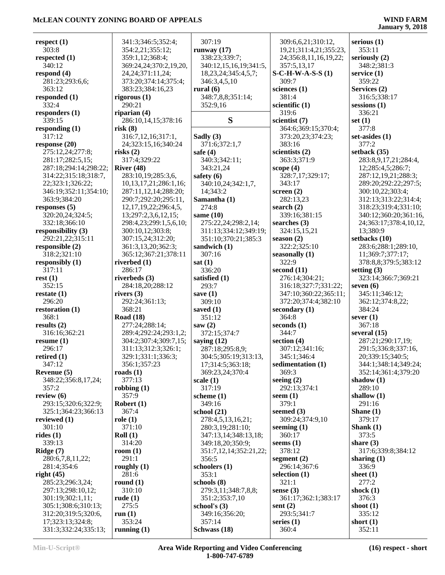| respect $(1)$         | 341:3;346:5;352:4;          | 307:19                    | 309:6,6,21;310:12,     | serious $(1)$          |
|-----------------------|-----------------------------|---------------------------|------------------------|------------------------|
| 303:8                 | 354:2,21;355:12;            | runway $(17)$             | 19,21;311:4,21;355:23, | 353:11                 |
| respected $(1)$       | 359:1,12;368:4;             | 338:23;339:7;             | 24;356:8,11,16,19,22;  | seriously (2)          |
| 340:12                | 369:24,24;370:2,19,20,      | 340:12,15,16,19;341:5,    | 357:5,13,17            | 348:2;381:3            |
| respond $(4)$         | 24, 24; 371: 11, 24;        | 18, 23, 24; 345: 4, 5, 7; | $S-C-H-W-A-S-S(1)$     | service $(1)$          |
| 281:23;293:6,6;       | 373:20;374:14;375:4;        | 346:3,4,5,10              | 309:7                  | 359:22                 |
| 363:12                | 383:23;384:16,23            | rural $(6)$               | sciences $(1)$         | Services (2)           |
| responded (1)         | rigorous $(1)$              | 348:7,8,8;351:14;         | 381:4                  | 316:5;338:17           |
| 332:4                 | 290:21                      | 352:9,16                  | scientific $(1)$       | $s$ essions $(1)$      |
| responders (1)        | riparian $(4)$              |                           | 319:6                  | 336:21                 |
| 339:15                | 286:10,14,15;378:16         | S                         | scientist (7)          | set $(1)$              |
| responding $(1)$      | risk(8)                     |                           | 364:6;369:15;370:4;    | 377:8                  |
| 317:12                | 316:7,12,16;317:1,          | Sadly (3)                 | 373:20,23;374:23;      | set-asides $(1)$       |
| response $(20)$       | 24;323:15,16;340:24         | 371:6;372:1,7             | 383:16                 | 377:2                  |
| 275:12,24;277:8;      | risks(2)                    | safe $(4)$                | scientists $(2)$       | setback $(35)$         |
| 281:17;282:5,15;      | 317:4;329:22                | 340:3;342:11;             | 363:3;371:9            | 283:8,9,17,21;284:4,   |
| 287:18;294:14;298:22; | River $(48)$                | 343:21,24                 | scope $(4)$            | 12;285:4,5;286:7;      |
|                       | 283:10,19;285:3,6,          |                           |                        |                        |
| 314:22;315:18;318:7,  |                             | safety $(6)$              | 328:7,17;329:17;       | 287:12,19,21;288:3;    |
| 22;323:1;326:22;      | 10, 13, 17, 21, 286: 1, 16; | 340:10,24;342:1,7,        | 343:17                 | 289:20;292:22;297:5;   |
| 346:19;352:11;354:10; | 287:11,12,14;288:20;        | 14;343:2                  | screen $(2)$           | 300:10,22;303:4;       |
| 363:9;384:20          | 290:7;292:20;295:11,        | Samantha (1)              | 282:13,23              | 312:13;313:22;314:4;   |
| responses $(5)$       | 12, 17, 19, 22; 296: 4, 5,  | 274:8                     | search $(2)$           | 318:23;319:4;331:10;   |
| 320:20,24;324:5;      | 13;297:2,3,6,12,15;         | same $(10)$               | 339:16;381:15          | 340:12;360:20;361:16,  |
| 332:18;366:10         | 298:4,23;299:1,5,6,10;      | 275:22,24;298:2,14;       | searches (3)           | 24;363:17;378:4,10,12, |
| responsibility (3)    | 300:10,12;303:8;            | 311:13;334:12;349:19;     | 324:15,15,21           | 13;380:9               |
| 292:21,22;315:11      | 307:15,24;312:20;           | 351:10;370:21;385:3       | season $(2)$           | setbacks (10)          |
| responsible (2)       | 361:3,13,20;362:3;          | sandwich (1)              | 322:2;325:10           | 283:6;288:1;289:10,    |
| 318:2;321:10          | 365:12;367:21;378:11        | 307:16                    | seasonally (1)         | 11;369:7;377:17;       |
| responsibly $(1)$     | riverbed $(1)$              | sat(1)                    | 322:9                  | 378:8,8;379:5;383:12   |
| 317:11                | 286:17                      | 336:20                    | second $(11)$          | setting $(3)$          |
| rest(1)               | riverbeds (3)               | satisfied (1)             | 276:14;304:21;         | 323:14;366:7;369:21    |
| 352:15                | 284:18,20;288:12            | 293:7                     | 316:18;327:7;331:22;   | seven $(6)$            |
| restate $(1)$         | rivers $(3)$                | save $(1)$                | 347:10;360:22;365:11;  | 345:11;346:12;         |
| 296:20                | 292:24;361:13;              | 309:10                    | 372:20;374:4;382:10    | 362:12;374:8,22;       |
| restoration (1)       | 368:21                      | saved $(1)$               | secondary $(1)$        | 384:24                 |
| 368:1                 | <b>Road</b> (18)            | 351:12                    | 364:8                  | sever $(1)$            |
| results $(2)$         | 277:24;288:14;              | saw $(2)$                 | seconds $(1)$          | 367:18                 |
| 316:16;362:21         | 289:4;292:24;293:1,2;       | 372:15;374:7              | 344:7                  | several $(15)$         |
| resume $(1)$          | 304:2;307:4;309:7,15;       | saying $(12)$             | section $(4)$          | 287:21;290:17,19;      |
| 296:17                | 311:13;312:3;326:1;         | 287:18;295:8,9;           | 307:12;341:16;         | 291:5;336:8;337:16,    |
| retired $(1)$         | 329:1;331:1;336:3;          | 304:5;305:19;313:13,      | 345:1;346:4            | 20;339:15;340:5;       |
| 347:12                | 356:1;357:23                | 17;314:5;363:18;          | sedimentation (1)      | 344:1;348:14;349:24;   |
| Revenue (5)           | roads $(1)$                 | 369:23,24;370:4           | 369:3                  | 352:14;361:4;379:20    |
| 348:22;356:8,17,24;   | 377:13                      | scale(1)                  | seeing $(2)$           | shadow $(1)$           |
| 357:2                 | robbing $(1)$               | 317:19                    | 292:13:374:1           | 289:10                 |
| review $(6)$          | 357:9                       | scheme $(1)$              | seem $(1)$             | shallow $(1)$          |
| 293:15;320:6;322:9;   | Robert $(1)$                | 349:16                    | 379:1                  | 291:16                 |
| 325:1;364:23;366:13   | 367:4                       | school $(21)$             | seemed $(3)$           | Shane $(1)$            |
| reviewed $(1)$        | role(1)                     | 278:4,5,13,16,21;         | 309:24;374:9,10        | 379:17                 |
| 301:10                | 371:10                      | 280:3,19;281:10;          | seeming $(1)$          | Shank $(1)$            |
| rides $(1)$           | Roll(1)                     | 347:13,14;348:13,18;      | 360:17                 | 373:5                  |
| 339:13                | 314:20                      | 349:18,20;350:9;          | seems $(1)$            | share $(3)$            |
| Ridge $(7)$           | room $(1)$                  | 351:7,12,14;352:21,22;    | 378:12                 | 317:6;339:8;384:12     |
| 280:6,7,8,11,22;      | 291:1                       | 356:5                     | segment $(2)$          | sharing $(1)$          |
| 281:4;354:6           | roughly $(1)$               | schoolers (1)             | 296:14;367:6           | 336:9                  |
| right $(45)$          | 281:6                       | 353:1                     | selection $(1)$        | sheet $(1)$            |
| 285:23;296:3,24;      | round $(1)$                 | schools (8)               | 321:1                  | 277:2                  |
| 297:13;298:10,12;     | 310:10                      | 279:3,11;348:7,8,8;       | sense $(3)$            | shock $(1)$            |
| 301:19;302:1,11;      | rude $(1)$                  | 351:2;353:7,10            | 361:17;362:1;383:17    | 376:3                  |
| 305:1;308:6;310:13;   | 275:5                       | school's $(3)$            | sent $(2)$             | shoot $(1)$            |
| 312:20;319:5;320:6,   | run(1)                      | 349:16;356:20;            | 293:5;341:7            | 335:12                 |
| 17;323:13;324:8;      | 353:24                      | 357:14                    | series $(1)$           | short $(1)$            |
| 331:3;332:24;335:13;  | running $(1)$               | Schwass (18)              | 360:4                  | 352:11                 |
|                       |                             |                           |                        |                        |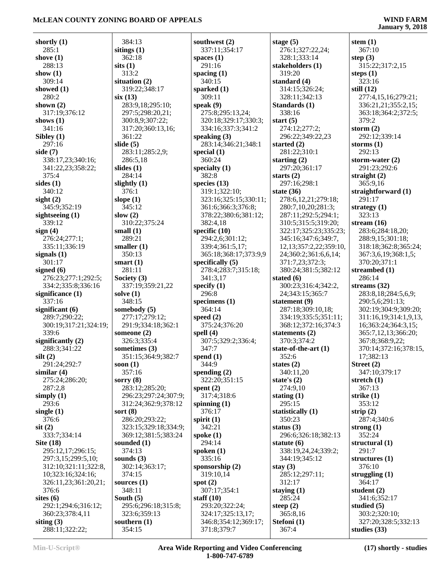# **January 9, 2018**

| shortly $(1)$                     | 384:13                   |
|-----------------------------------|--------------------------|
| 285:1<br>shove $(1)$              | sitings $(1)$<br>362:18  |
| 288:13                            | sits(1)                  |
| show $(1)$                        | 313:2                    |
| 309:14                            | situation (2)            |
| showed (1)                        | 319:22;34                |
| 280:2<br>shown $(2)$              | six(13)<br>283:9,18;2    |
| 317:19;376:12                     | 297:5;298                |
| shows $(1)$                       | 300:8,9;30               |
| 341:16                            | 317:20;36                |
| Sibley $(1)$                      | 361:22                   |
| 297:16<br>side (7)                | slide (5)<br>283:11;28   |
| 338:17,23;340:16;                 | 286:5,18                 |
| 341:22,23;358:22;                 | slides (1)               |
| 375:4                             | 284:14                   |
| sides (1)                         | slightly $(1)$           |
| 340:12                            | 376:1<br>slope $(1)$     |
| sight $(2)$<br>345:9;352:19       | 345:12                   |
| sightseeing (1)                   | slow $(2)$               |
| 339:12                            | 310:22;37                |
| sign(4)                           | small (1)                |
| 276:24;277:1;                     | 289:21                   |
| 335:11;336:19<br>signals $(1)$    | smaller $(1)$<br>350:13  |
| 301:17                            | smart (1)                |
| signed (6)                        | 281:11                   |
| 276:23;277:1;292:5;               | Society (3)              |
| 334:2;335:8;336:16                | 337:19;35                |
| significance (1)<br>337:16        | solve (1)<br>348:15      |
| significant (6)                   | somebody (               |
| 289:7;290:22;                     | 277:17;27                |
| 300:19;317:21;324:19;             | 291:9;334                |
| 339:6                             | someone (2)              |
| significantly (2)<br>288:3;341:22 | 326:3;335<br>sometimes ( |
| silt(2)                           | 351:15;36                |
| 291:24;292:7                      | soon (1)                 |
| similar $(4)$                     | 357:16                   |
| 275:24;286:20;                    | sorry $(8)$              |
| 287:2,8<br>simply $(1)$           | 283:12;28<br>296:23;29   |
| 293:6                             | 312:24;36                |
| single $(1)$                      | sort $(8)$               |
| 376:6                             | 286:20;29                |
| $s$ it $(2)$                      | 323:15;32                |
| 333:7;334:14<br><b>Site (18)</b>  | 369:12;38<br>sounded (1) |
| 295:12,17;296:15;                 | 374:13                   |
| 297:3,15;299:5,10;                | sounds $(3)$             |
| 312:10;321:11;322:8,              | 302:14;36                |
| 10;323:16;324:16;                 | 374:15                   |
| 326:11,23;361:20,21;<br>376:6     | sources $(1)$<br>348:11  |
| sites $(6)$                       | South $(5)$              |
| 292:1;294:6;316:12;               | 295:6;296                |
| 360:23;378:4,11                   | 323:6;359                |
| siting $(3)$                      | southern (1)             |
| 288:11;322:22;                    | 354:15                   |

| 84:13                | southwest (2)         |
|----------------------|-----------------------|
| ngs $(1)$            | 337:11;354:17         |
| 62:18                | spaces $(1)$          |
| (1)                  | 291:16                |
| 13:2                 | spacing $(1)$         |
| ation(2)             | 340:15                |
| 19:22;348:17         | sparked (1)           |
| (13)                 | 309:11                |
| 83:9,18;295:10;      | speak $(9)$           |
| 97:5;298:20,21;      | 275:8;295:13,24;      |
| 00:8,9;307:22;       | 320:18;329:17;330:3;  |
| 17:20;360:13,16;     | 334:16;337:3;341:2    |
| 61:22                | speaking (3)          |
| e(5)                 | 283:14;346:21;348:1   |
| 83:11;285:2,9;       | special $(1)$         |
| 86:5,18              | 360:24                |
|                      | specialty $(1)$       |
| es(1)                |                       |
| 84:14                | 382:8                 |
| htly $(1)$           | species $(13)$        |
| 76:1                 | 319:1;322:10;         |
| <b>(1)</b>           | 323:16;325:15;330:11; |
| 45:12                | 361:6;366:3;376:8;    |
| N(2)                 | 378:22;380:6;381:12;  |
| 10:22;375:24         | 382:4,18              |
| all (1)              | specific $(10)$       |
| 89:21                | 294:2,6;301:12;       |
| aller $(1)$          | 339:4;361:5,17;       |
| 50:13                | 365:18;368:17;373:9,9 |
| art(1)               | specifically (5)      |
| 81:11                | 278:4;283:7;315:18;   |
| iety $(3)$           | 341:3,17              |
| 37:19;359:21,22      | specify $(1)$         |
| ve(1)                | 296:8                 |
| 48:15                | specimens $(1)$       |
| ebody (5)            | 364:14                |
| .77:17;279:12;       | speed $(2)$           |
| 91:9;334:18;362:1    | 375:24;376:20         |
| neone (2)            | spell $(4)$           |
| 26:3;335:4           | 307:5;329:2;336:4;    |
| netimes (3)          | 347:7                 |
| 51:15;364:9;382:7    | spend $(1)$           |
| n (1)                | 344:9                 |
| 57:16                | spending $(2)$        |
| ry (8)               | 322:20;351:15         |
| 83:12;285:20;        | spent $(2)$           |
| .96:23;297:24;307:9; | 317:4;318:6           |
|                      |                       |
| 12:24;362:9;378:12   | spinning $(1)$        |
| t (8)                | 376:17                |
| 86:20;293:22;        | spirit $(1)$          |
| 23:15;329:18;334:9;  | 342:21                |
| 69:12;381:5;383:24   | spoke $(1)$           |
| nded (1)             | 294:14                |
| 74:13                | spoken $(1)$          |
| nds(3)               | 335:16                |
| 02:14;363:17;        | sponsorship $(2)$     |
| 74:15                | 319:10,14             |
| rces(1)              | spot $(2)$            |
| 48:11                | 307:17;354:1          |
| ith $(5)$            | staff $(10)$          |
| .95:6;296:18;315:8;  | 293:20;322:24;        |
| 23:6;359:13          | 324:17;325:13,17;     |
| thern $(1)$          | 346:8;354:12;369:17;  |
| 54:15                |                       |

17;330:3; 3:341:2 21:348:1 323:16;325:15;330:11;  $:376:8;$ 6:381:12; 17:373:9,9  $315:18;$  $336:4$ : 13.17: 2:369:17: **stage (5)** 276:1;327:22,24; 328:1;333:14 **stakeholders (1)** 319:20 **standard (4)** 314:15;326:24; 328:11;342:13 **Standards (1)** 338:16 **start (5)** 274:12;277:2; 296:22;349:22,23 **started (2)** 281:22;310:1 **starting (2)** 297:20;361:17 **starts (2)** 297:16;298:1 **state (36)** 278:6,12,21;279:18; 280:7,10,20;281:3; 287:11;292:5;294:1; 310:5;315:5;319:20; 322:17;325:23;335:23; 345:16;347:6;349:7, 12,13;357:2,22;359:10, 24;360:2;361:6,6,14; 371:7,23;372:3; 380:24;381:5;382:12 **stated (6)** 300:23;316:4;342:2, 24;343:15;365:7 **statement (9)** 287:18;309:10,18; 334:19;335:5;351:11; 368:12;372:16;374:3 **statements (2)** 370:3;374:2 **state-of-the-art (1)** 352:6 **states (2)** 340:11,20 **state's (2)** 274:9,10 **stating (1)** 295:15 **statistically (1)** 350:23 **status (3)** 296:6;326:18;382:13 **statute (6)** 338:19,24,24;339:2; 344:19;345:12 **stay (3)** 285:12;297:11; 312:17 **staying (1)** 285:24 **steep (2)** 365:8,16 **Stefoni (1)** 367:4

**stem (1)** 367:10 **step (3)** 315:22;317:2,15 **steps (1)** 323:16 **still (12)** 277:4,15,16;279:21; 336:21,21;355:2,15; 363:18;364:2;372:5; 379:2 **storm (2)** 292:12;339:14 **storms (1)** 292:13 **storm-water (2)** 291:23;292:6 **straight (2)** 365:9,16 **straightforward (1)** 291:17 **strategy (1)** 323:13 **stream (16)** 283:6;284:18,20; 288:9,15;301:18; 318:18;362:8;365:24; 367:3,6,19;368:1,5; 370:20;371:1 **streambed (1)** 286:14 **streams (32)** 283:8,18;284:5,6,9; 290:5,6;291:13; 302:19;304:9;309:20; 311:16,19;314:1,9,13, 16;363:24;364:3,15; 365:7,12,13;366:20; 367:8;368:9,22; 370:14;372:16;378:15, 17;382:13 **Street (2)** 347:10;379:17 **stretch (1)** 367:13 **strike (1)** 353:12 **strip (2)** 287:4;340:6 **strong (1)** 352:24 **structural (1)** 291:7 **structures (1)** 376:10 **struggling (1)** 364:17 **student (2)** 341:6;352:17 **studied (5)** 303:2;320:10; 327:20;328:5;332:13 **studies (33)**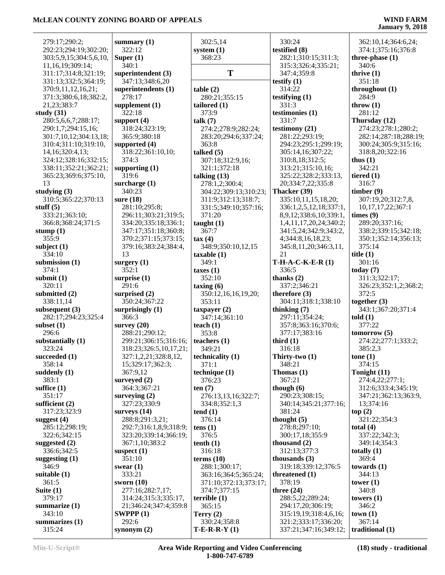÷,

| 279:17;290:2;          | summary $(1)$              | 302:5,14                         | 330:24                 | 362:10,14;364:6,24;    |
|------------------------|----------------------------|----------------------------------|------------------------|------------------------|
| 292:23;294:19;302:20;  | 322:12                     | system $(1)$                     | testified (8)          | 374:1;375:16;376:8     |
| 303:5,9,15;304:5,6,10, | Super $(1)$                | 368:23                           | 282:1;310:15;311:3;    | three-phase $(1)$      |
| 11, 16, 19; 309: 14;   | 340:1                      |                                  | 315:3;326:4;335:21;    | 340:6                  |
| 311:17;314:8;321:19;   | superintendent (3)         | T                                | 347:4;359:8            | thrive $(1)$           |
| 331:13;332:5;364:19;   | 347:13;348:6,20            |                                  | testify $(1)$          | 351:18                 |
| 370:9,11,12,16,21;     | superintendents (1)        | table(2)                         | 314:22                 | throughout $(1)$       |
| 371:3;380:6,18;382:2,  | 278:17                     | 280:21;355:15                    | testifying $(1)$       | 284:9                  |
| 21,23;383:7            |                            |                                  | 331:3                  | throw $(1)$            |
|                        | supplement $(1)$<br>322:18 | tailored $(1)$                   |                        | 281:12                 |
| study $(31)$           |                            | 373:9                            | testimonies (1)        |                        |
| 280:5,6,6,7;288:17;    | support $(4)$              | talk $(7)$                       | 331:7                  | Thursday (12)          |
| 290:1,7;294:15,16;     | 318:24;323:19;             | 274:2;278:9;282:24;              | testimony (21)         | 274:23;278:1;280:2;    |
| 301:7,10,12;304:13,18; | 365:9;380:18               | 283:20;294:6;337:24;             | 281:22;293:19;         | 282:14;287:18;288:19;  |
| 310:4;311:10;319:10,   | supported (4)              | 363:8                            | 294:23;295:1;299:19;   | 300:24;305:9;315:16;   |
| 14, 16; 320: 4, 13;    | 318:22;361:10,10;          | talked $(5)$                     | 305:14,16;307:22;      | 318:8,20;322:16        |
| 324:12;328:16;332:15;  | 374:3                      | 307:18;312:9,16;                 | 310:8,18;312:5;        | thus $(1)$             |
| 338:11;352:21;362:21;  | supporting $(1)$           | 321:1;372:18                     | 313:21;315:10,16;      | 342:21                 |
| 365:23;369:6;375:10,   | 319:6                      | talking $(13)$                   | 325:22;328:2;333:13,   | tiered $(1)$           |
| 13                     | surcharge $(1)$            | 278:1,2;300:4;                   | 20;334:7,22;335:8      | 316:7                  |
| studying (3)           | 340:23                     | 304:22;309:13;310:23;            | Thacker (39)           | timber(9)              |
| 310:5;365:22;370:13    | sure $(18)$                | 311:9;312:13;318:7;              | 335:10,11,15,18,20;    | 307:19,20;312:7,8,     |
| stuff $(5)$            | 281:10;295:8;              | 331:5;349:10;357:16;             | 336:1,2,5,12,18;337:1, | 10, 17, 17, 22; 367: 1 |
| 333:21;363:10;         | 296:11;303:21;319:5;       | 371:20                           | 8,9,12;338:6,10;339:1, | times (9)              |
| 366:8;368:24;371:5     | 334:20;335:18;336:1;       | taught $(1)$                     | 1,4,11,17,20,24;340:2; | 289:20;337:16;         |
| stump (1)              | 347:17;351:18;360:8;       | 367:7                            | 341:5,24;342:9;343:2,  | 338:2;339:15;342:18;   |
| 355:9                  | 370:2;371:15;373:15;       | tax(4)                           | 4;344:8,16,18,23;      | 350:1;352:14;356:13;   |
| subject (1)            | 379:16;383:24;384:4,       | 348:9;350:10,12,15               | 345:8,11,20;346:3,11,  | 375:14                 |
| 334:10                 | 13                         | taxable(1)                       | 21                     | title $(1)$            |
| submission (1)         | surgery $(1)$              | 349:1                            | $T-H-A-C-K-E-R(1)$     | 301:16                 |
| 374:1                  | 352:1                      | taxes $(1)$                      | 336:5                  | today $(7)$            |
| submit (1)             | surprise $(1)$             | 352:10                           | thanks $(2)$           | 311:3;322:17;          |
| 320:11                 | 291:6                      | $\frac{1}{2}$ taxing (6)         | 337:2;346:21           | 326:23;352:1,2;368:2;  |
| submitted (2)          | surprised $(2)$            | 350:12,16,16,19,20;              | therefore $(3)$        | 372:5                  |
| 338:11,14              | 350:24;367:22              | 353:11                           | 304:11;318:1;338:10    | together $(3)$         |
| subsequent (3)         | surprisingly $(1)$         | taxpayer $(2)$                   | thinking $(7)$         | 343:1;367:20;371:4     |
| 282:17;294:23;325:4    | 366:3                      | 347:14;361:10                    | 297:11;354:24;         | $\text{told}(1)$       |
| subset (1)             | survey $(20)$              | teach $(1)$                      | 357:8;363:16;370:6;    | 377:22                 |
| 296:6                  | 288:21;290:12;             | 353:8                            | 377:17;383:16          | tomorrow(5)            |
| substantially (1)      | 299:21;306:15;316:16;      | teachers $(1)$                   | third $(1)$            | 274:22;277:1;333:2;    |
| 323:24                 | 318:23;326:5,10,17,21;     | 349:21                           | 316:18                 | 385:2,3                |
| succeeded (1)          | 327:1,2,21;328:8,12,       |                                  | Thirty-two (1)         | tone $(1)$             |
| 358:14                 | 15;329:17;362:3;           | technicality (1)<br>371:1        | 348:21                 | 374:15                 |
| suddenly (1)           | 367:9,12                   | technique (1)                    | Thomas $(1)$           | Tonight (11)           |
| 383:1                  | surveyed $(2)$             | 376:23                           | 367:21                 | 274:4,22;277:1;        |
| suffice (1)            |                            |                                  |                        | 312:6;333:4;345:19;    |
| 351:17                 | 364:3;367:21               | ten $(7)$<br>276:13,13,16;322:7; | though $(6)$           |                        |
|                        | surveying $(2)$            |                                  | 290:23;308:15;         | 347:21;362:13;363:9,   |
| sufficient (2)         | 327:23;330:9               | 334:8;352:1,3                    | 340:14;345:21;377:16;  | 13;374:16              |
| 317:23;323:9           | surveys $(14)$             | tend(1)                          | 381:24                 | top(2)                 |
| suggest (4)            | 288:8;291:3,21;            | 376:14                           | thought $(5)$          | 321:22;354:3           |
| 285:12;298:19;         | 292:7;316:1,8,9;318:9;     | tens $(1)$                       | 278:8;297:10;          | total $(4)$            |
| 322:6;342:15           | 323:20;339:14;366:19;      | 376:5                            | 300:17,18;355:9        | 337:22;342:3;          |
| suggested (2)          | 367:1,10;383:2             | tenth(1)                         | thousand $(2)$         | 349:14;354:3           |
| 336:6;342:5            | suspect $(1)$              | 316:18                           | 312:13;377:3           | totally $(1)$          |
| suggesting (1)         | 351:10                     | terms $(10)$                     | thousands $(3)$        | 369:4                  |
| 346:9                  | swear $(1)$                | 288:1;300:17;                    | 319:18;339:12;376:5    | towards $(1)$          |
| suitable (1)           | 333:21                     | 363:16;364:5;365:24;             | threatened $(1)$       | 344:13                 |
| 361:5                  | sworn $(10)$               | 371:10;372:13;373:17;            | 378:19                 | tower $(1)$            |
| Suite $(1)$            | 277:16;282:7,17;           | 374:7;377:15                     | three $(24)$           | 340:8                  |
| 379:17                 | 314:24;315:3;335:17,       | terrible $(1)$                   | 288:5,22;289:24;       | towers $(1)$           |
| summarize (1)          | 21;346:24;347:4;359:8      | 365:15                           | 294:17,20;306:19;      | 346:2                  |
| 343:10                 | SWPPP(1)                   | Terry $(2)$                      | 315:19,19;318:4,6,16;  | town(1)                |
| summarizes (1)         | 292:6                      | 330:24;358:8                     | 321:2;333:17;336:20;   | 367:14                 |
| 315:24                 | synonym $(2)$              | $T-E-R-R-Y(1)$                   | 337:21;347:16;349:12;  | traditional (1)        |
|                        |                            |                                  |                        |                        |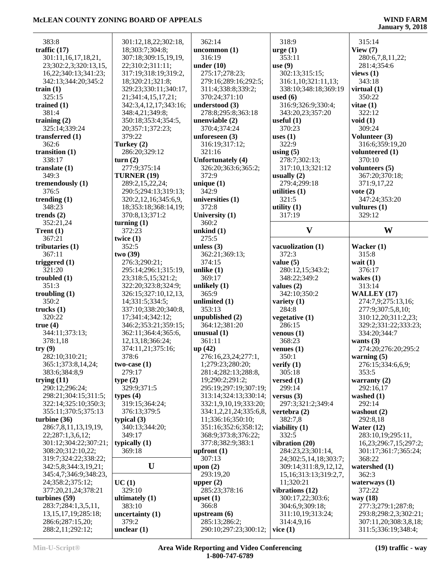| 383:8                    | 301:12,18,22;302:18,  | 362:14                   | 318:9                       | 315:14                |
|--------------------------|-----------------------|--------------------------|-----------------------------|-----------------------|
| traffic $(17)$           | 18;303:7;304:8;       | uncommon $(1)$           | $\arg e(1)$                 | View $(7)$            |
| 301:11,16,17,18,21,      | 307:18;309:15,19,19,  | 316:19                   | 353:11                      | 280:6,7,8,11,22;      |
| 23;302:2,3;320:13,15,    | 22;310:2;311:11;      | under $(10)$             | use $(9)$                   | 281:4;354:6           |
| 16,22;340:13;341:23;     | 317:19;318:19;319:2,  | 275:17;278:23;           | 302:13;315:15;              | views $(1)$           |
| 342:13;344:20;345:2      | 18;320:21;321:8;      | 279:16;289:16;292:5;     | 316:1,10;321:11,13;         | 343:18                |
| train $(1)$              | 329:23;330:11;340:17, | 311:4;338:8;339:2;       | 338:10;348:18;369:19        | virtual $(1)$         |
| 325:15                   | 21;341:4,15,17,21;    | 370:24;371:10            | used $(6)$                  | 350:22                |
| trained $(1)$            | 342:3,4,12,17;343:16; | understood (3)           | 316:9;326:9;330:4;          | vitae $(1)$           |
| 381:4                    | 348:4,21;349:8;       | 278:8;295:8;363:18       | 343:20,23;357:20            | 322:12                |
| training $(2)$           | 350:18;353:4;354:5,   | unenviable $(2)$         | useful $(1)$                | void $(1)$            |
| 325:14;339:24            | 20;357:1;372:23;      | 370:4;374:24             | 370:23                      | 309:24                |
| transferred $(1)$        | 379:22                | unforeseen $(3)$         | uses $(1)$                  | Volunteer (3)         |
| 362:6                    |                       |                          | 322:9                       |                       |
|                          | Turkey (2)            | 316:19;317:12;<br>321:16 |                             | 316:6;359:19,20       |
| transition $(1)$         | 286:20;329:12         |                          | using $(5)$                 | volunteered (1)       |
| 338:17                   | turn(2)               | Unfortunately (4)        | 278:7;302:13;               | 370:10                |
| translate $(1)$          | 277:9;375:14          | 326:20;363:6;365:2;      | 317:10,13;321:12            | volunteers (5)        |
| 349:3                    | <b>TURNER (19)</b>    | 372:9                    | usually $(2)$               | 367:20;370:18;        |
| tremendously (1)         | 289:2,15,22,24;       | unique $(1)$             | 279:4;299:18                | 371:9,17,22           |
| 376:5                    | 290:5;294:13;319:13;  | 342:9                    | utilities $(1)$             | vote $(2)$            |
| trending $(1)$           | 320:2,12,16;345:6,9,  | universities (1)         | 321:5                       | 347:24;353:20         |
| 348:23                   | 18;353:18;368:14,19;  | 372:8                    | utility $(1)$               | vultures (1)          |
| trends $(2)$             | 370:8,13;371:2        | University (1)           | 317:19                      | 329:12                |
| 352:21,24                | turning $(1)$         | 360:2                    |                             |                       |
| Trent $(1)$              | 372:23                | unkind $(1)$             | $\mathbf{V}$                | W                     |
| 367:21                   | twice $(1)$           | 275:5                    |                             |                       |
| tributaries $(1)$        | 352:5                 | unless $(3)$             | vacuolization (1)           | Wacker (1)            |
| 367:11                   | two(39)               | 362:21;369:13;           | 372:3                       | 315:8                 |
| triggered $(1)$          | 276:3;290:21;         | 374:15                   | value $(5)$                 | wait $(1)$            |
| 321:20                   |                       |                          |                             | 376:17                |
|                          | 295:14;296:1;315:19,  | unlike $(1)$             | 280:12,15;343:2;            |                       |
| troubled $(1)$           | 23;318:5,15;321:2;    | 369:17                   | 348:22;349:2                | wakes $(1)$           |
| 351:3                    | 322:20;323:8;324:9;   | unlikely $(1)$           | values $(2)$                | 313:14                |
| troubling $(1)$          | 326:15;327:10,12,13,  | 365:9                    | 342:10;350:2                | WALLEY (17)           |
| 350:2                    | 14;331:5;334:5;       | unlimited (1)            | variety $(1)$               | 274:7,9;275:13,16;    |
| trucks $(1)$             | 337:10;338:20;340:8,  | 353:13                   | 284:8                       | 277:9;307:5,8,10;     |
| 320:22                   | 17;341:4;342:12;      | unpublished (2)          | vegetative (1)              | 310:12,20;311:2,23;   |
| true(4)                  | 346:2;353:21;359:15;  | 364:12;381:20            | 286:15                      | 329:2;331:22;333:23;  |
| 344:11;373:13;           | 362:11;364:4;365:6,   | unusual $(1)$            | venous $(1)$                | 334:20;344:7          |
| 378:1,18                 | 12, 13, 18; 366: 24;  | 361:11                   | 368:23                      | wants $(3)$           |
| try(9)                   | 374:11,21;375:16;     | up(42)                   | venues $(1)$                | 274:20;276:20;295:2   |
| 282:10;310:21;           | 378:6                 | 276:16,23,24;277:1,      | 350:1                       | warning $(5)$         |
| 365:1;373:8,14,24;       | two-case $(1)$        | 1;279:23;280:20;         | verify $(1)$                | 276:15;334:6,6,9;     |
| 383:6;384:8,9            | 279:17                | 281:4;282:13;288:8,      | 305:18                      | 353:5                 |
|                          |                       |                          |                             |                       |
| trying $(11)$            | type $(2)$            | 19;290:2;291:2;          | versed $(1)$                | warranty $(2)$        |
| 290:12;296:24;           | 329:9;371:5           | 295:19;297:19;307:19;    | 299:14                      | 292:16,17             |
| 298:21;304:15;311:5;     | types $(4)$           | 313:14;324:13;330:14;    | versus $(3)$                | washed (1)            |
| 322:14;325:10;350:3;     | 319:15;364:24;        | 332:1,9,10,19;333:20;    | 297:3;321:2;349:4           | 292:14                |
| 355:11;370:5;375:13      | 376:13;379:5          | 334:1,2,21,24;335:6,8,   | vertebra $(2)$              | washout $(2)$         |
| turbine $(36)$           | typical $(3)$         | 11;336:16;350:10;        | 382:7,8                     | 292:8,18              |
| 286:7,8,11,13,19,19,     | 340:13;344:20;        | 351:16;352:6;358:12;     | viability $(1)$             | Water $(12)$          |
| 22;287:1,3,6,12;         | 349:17                | 368:9;373:8;376:22;      | 332:5                       | 283:10,19;295:11,     |
| 301:12;304:22;307:21;    | typically $(1)$       | 377:8;382:9;383:1        | vibration (20)              | 16,23;296:7,15;297:2; |
| 308:20;312:10,22;        | 369:18                | upfront $(1)$            | 284:23,23;301:14,           | 301:17;361:7;365:24;  |
| 319:7;324:22;338:22;     |                       | 307:13                   | 24;302:5,14,18;303:7;       | 368:22                |
| 342:5,8;344:3,19,21;     | U                     | upon $(2)$               | 309:14;311:8,9,12,12,       | watershed (1)         |
| 345:4,7;346:9;348:23,    |                       | 293:19,20                | 15, 16; 313: 13; 319: 2, 7, | 362:3                 |
| 24;358:2;375:12;         | UC(1)                 | upper $(2)$              | 11;320:21                   | waterways $(1)$       |
| 377:20,21,24;378:21      | 329:10                | 285:23;378:16            | vibrations (12)             | 372:22                |
|                          |                       |                          |                             |                       |
| turbines $(59)$          | ultimately $(1)$      | upset $(1)$              | 300:17,22;303:6;            | way (18)              |
| 283:7;284:1,3,5,11,      | 383:10                | 366:8                    | 304:6,9;309:18;             | 277:3;279:1;287:8;    |
| 13, 15, 17, 19; 285: 18; | uncertainty $(1)$     | upstream $(6)$           | 311:10,19;313:24;           | 293:8;298:2,3;302:21; |
| 286:6;287:15,20;         | 379:2                 | 285:13;286:2;            | 314:4,9,16                  | 307:11,20;308:3,8,18; |
| 288:2,11;292:12;         | unclear $(1)$         | 290:10;297:23;300:12;    | vice $(1)$                  | 311:5;336:19;348:4;   |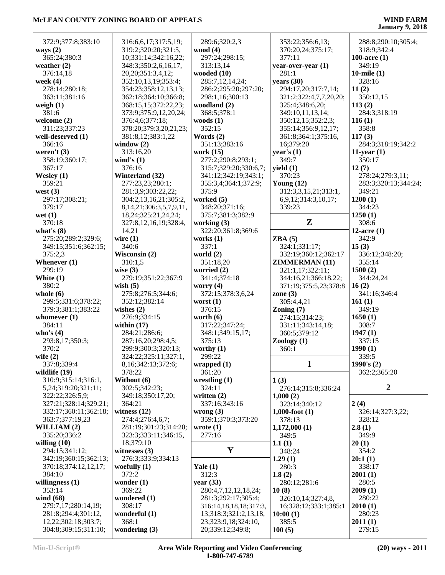| 372:9;377:8;383:10        | 316:6,6,17;317:5,19;                      | 289:6;320:2,3              | 353:22;356:6,13;       | 288:8;290:10;305:4;  |
|---------------------------|-------------------------------------------|----------------------------|------------------------|----------------------|
| ways $(2)$                | 319:2;320:20;321:5,                       | wood $(4)$                 | 370:20,24;375:17;      | 318:9;342:4          |
| 365:24;380:3              | 10;331:14;342:16,22;                      | 297:24;298:15;             | 377:11                 | 100-acre $(1)$       |
| weather $(2)$             | 348:3;350:2,6,16,17,                      | 313:13,14                  | year-over-year (1)     | 349:19               |
| 376:14,18                 | 20, 20; 351: 3, 4, 12;                    | wooded $(10)$              | 281:1                  | 10-mile $(1)$        |
| week $(4)$                | 352:10,13,19;353:4;                       | 285:7,12,14,24;            | years (30)             | 328:16               |
| 278:14;280:18;            | 354:23;358:12,13,13;                      | 286:2;295:20;297:20;       | 294:17,20;317:7,14;    | 11(2)                |
| 363:11;381:16             | 362:18;364:10;366:8;                      | 298:1,16;300:13            | 321:2;322:4,7,7,20,20; | 350:12,15            |
| weigh $(1)$               | 368:15,15;372:22,23;                      | woodland (2)               | 325:4;348:6,20;        | 113(2)               |
| 381:6                     | 373:9;375:9,12,20,24;                     | 368:5;378:1                | 349:10,11,13,14;       | 284:3;318:19         |
| welcome $(2)$             | 376:4,6;377:18;                           | woods $(1)$                | 350:12,15;352:2,3;     | 116(1)               |
| 311:23;337:23             | 378:20;379:3,20,21,23;                    | 352:15                     | 355:14;356:9,12,17;    | 358:8                |
| well-deserved (1)         | 381:8,12;383:1,22                         | Words $(2)$                | 361:8;364:1;375:16,    | 117(3)               |
| 366:16                    | window $(2)$                              | 351:13;383:16              | 16;379:20              | 284:3;318:19;342:2   |
| weren't $(3)$             | 313:16,20                                 | work (15)                  | year's $(1)$           | 11-year $(1)$        |
| 358:19;360:17;            | wind's $(1)$                              | 277:2;290:8;293:1;         | 349:7                  | 350:17               |
| 367:17                    | 376:16                                    | 315:7;329:20;330:6,7;      | yield $(1)$            | 12(7)                |
| Wesley $(1)$              | Winterland (32)                           | 341:12;342:19;343:1;       | 370:23                 | 278:24;279:3,11;     |
| 359:21                    | 277:23,23;280:1;                          | 355:3,4;364:1;372:9;       | Young $(12)$           | 283:3;320:13;344:24; |
| west $(3)$                | 281:3,9;303:22,22;                        | 375:9                      | 312:3,3,15,21;313:1,   | 349:21               |
| 297:17;308:21;            | 304:2,13,16,21;305:2,                     | worked $(5)$               | 6,9,12;314:3,10,17;    | 1200(1)              |
| 379:17                    | 8, 14, 21; 306: 3, 5, 7, 9, 11,           | 348:20;371:16;             | 339:23                 | 344:23               |
| wet $(1)$                 | 18, 24; 325: 21, 24, 24;                  | 375:7;381:3;382:9          |                        | 1250(1)              |
| 370:18                    | 327:8,12,16,19;328:4,                     | working $(3)$              | Z                      | 308:6                |
| what's $(8)$              | 14,21                                     | 322:20;361:8;369:6         |                        | 12-acre $(1)$        |
| 275:20;289:2;329:6;       | wire $(1)$                                | works $(1)$                | ZBA(5)                 | 342:9                |
| 349:15;351:6;362:15;      | 340:6                                     | 337:1                      | 324:1;331:17;          | 15(3)                |
| 375:2,3                   | Wisconsin (2)                             | world $(2)$                | 332:19;360:12;362:17   | 336:12;348:20;       |
| Whenever $(1)$            | 310:1,5                                   | 351:18,20                  | <b>ZIMMERMAN (11)</b>  | 355:14               |
| 299:19                    | wise $(3)$                                | worried $(2)$              | 321:1,17;322:11;       | 1500(2)              |
| White $(1)$               | 279:19;351:22;367:9                       | 341:4;374:18               | 344:16,21;366:18,22;   | 344:24,24            |
| 380:2                     | wish $(5)$                                | worry $(4)$                | 371:19;375:5,23;378:8  | 16(2)                |
| whole $(6)$               | 275:8;276:5;344:6;                        | 372:15;378:3,6,24          | zone $(3)$             | 341:16;346:4         |
| 299:5;331:6;378:22;       | 352:12;382:14                             | worst $(1)$                | 305:4,4,21             | 161(1)               |
| 379:3;381:1;383:22        | wishes $(2)$                              | 376:15                     | Zoning $(7)$           | 349:19               |
| whomever $(1)$            | 276:9;334:15                              | worth $(6)$                | 274:15;314:23;         | 1650(1)              |
| 384:11                    | within $(17)$                             | 317:22;347:24;             | 331:11;343:14,18;      | 308:7                |
| who's $(4)$               | 284:21;286:6;                             | 348:1;349:15,17;<br>375:13 | 360:5;379:12           | 1947(1)              |
| 293:8,17;350:3;<br>370:2  | 287:16,20;298:4,5;<br>299:9;300:3;320:13; |                            | Zoology $(1)$          | 337:15<br>1990(1)    |
|                           | 324:22;325:11;327:1,                      | worthy $(1)$<br>299:22     | 360:1                  | 339:5                |
| wife $(2)$<br>337:8;339:4 |                                           |                            | 1                      | 1990's $(2)$         |
| wildlife (19)             | 8, 16; 342: 13; 372: 6;<br>378:22         | wrapped(1)<br>361:20       |                        |                      |
| 310:9;315:14;316:1,       |                                           |                            | 1(3)                   | 362:2;365:20         |
| 5, 24; 319: 20; 321: 11;  | Without (6)<br>302:5;342:23;              | wrestling $(1)$<br>324:11  | 276:14;315:8;336:24    | $\boldsymbol{2}$     |
| 322:22;326:5,9;           | 349:18;350:17,20;                         | written $(2)$              | 1,000(2)               |                      |
| 327:21;328:14;329:21;     | 364:21                                    | 337:16;343:16              | 323:14;340:12          | 2(4)                 |
| 332:17;360:11;362:18;     | witness $(12)$                            | wrong $(3)$                | $1,000$ -foot $(1)$    | 326:14;327:3,22;     |
| 363:7;377:19,23           | 274:4;276:4,6,7;                          | 359:1;370:3;373:20         | 378:13                 | 328:12               |
| WILLIAM (2)               | 281:19;301:23;314:20;                     | wrote $(1)$                | 1,172,000(1)           | 2.8(1)               |
| 335:20;336:2              | 323:3;333:11;346:15,                      | 277:16                     | 349:5                  | 349:9                |
| willing $(10)$            | 18;379:10                                 |                            | 1.1(1)                 | 20(1)                |
| 294:15;341:12;            | witnesses $(3)$                           | $\mathbf Y$                | 348:24                 | 354:2                |
| 342:19;360:15;362:13;     | 276:3;333:9;334:13                        |                            | 1.29(1)                | 20:1(1)              |
| 370:18;374:12,12,17;      | woefully $(1)$                            | Yale $(1)$                 | 280:3                  | 338:17               |
| 384:10                    | 372:2                                     | 312:3                      | 1.8(2)                 | 2001(1)              |
| willingness $(1)$         | wonder $(1)$                              | year $(33)$                | 280:12;281:6           | 280:5                |
| 353:14                    | 369:22                                    | 280:4,7,12,12,18,24;       | 10(8)                  | 2009(1)              |
| wind $(68)$               | wondered (1)                              | 281:3;292:17;305:4;        | 326:10,14;327:4,8,     | 280:22               |
| 279:7,17;280:14,19;       | 308:17                                    | 316:14,18,18,18;317:3,     | 16;328:12;333:1;385:1  | 2010(1)              |
| 281:8;294:4;301:12,       | wonderful (1)                             | 13;318:3;321:2,13,18,      | 10:00(1)               | 280:23               |
| 12,22;302:18;303:7;       | 368:1                                     | 23;323:9,18;324:10,        | 385:5                  | 2011(1)              |
| 304:8;309:15;311:10;      | wondering $(3)$                           | 20;339:12;349:8;           | 100(5)                 | 279:15               |